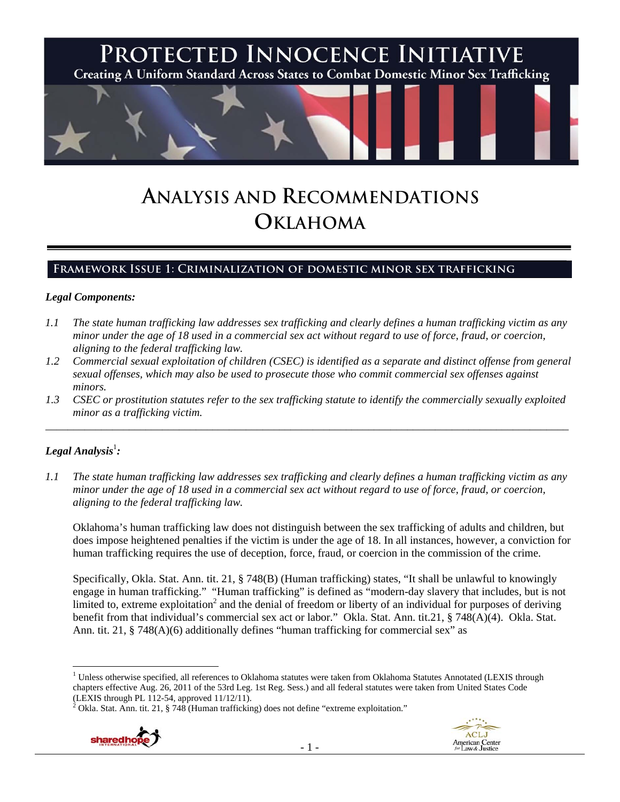

# **ANALYSIS AND RECOMMENDATIONS OKLAHOMA**

# **Framework Issue 1: Criminalization of domestic minor sex trafficking**

#### *Legal Components:*

- *1.1 The state human trafficking law addresses sex trafficking and clearly defines a human trafficking victim as any minor under the age of 18 used in a commercial sex act without regard to use of force, fraud, or coercion, aligning to the federal trafficking law.*
- *1.2 Commercial sexual exploitation of children (CSEC) is identified as a separate and distinct offense from general sexual offenses, which may also be used to prosecute those who commit commercial sex offenses against minors.*
- *1.3 CSEC or prostitution statutes refer to the sex trafficking statute to identify the commercially sexually exploited minor as a trafficking victim.*  \_\_\_\_\_\_\_\_\_\_\_\_\_\_\_\_\_\_\_\_\_\_\_\_\_\_\_\_\_\_\_\_\_\_\_\_\_\_\_\_\_\_\_\_\_\_\_\_\_\_\_\_\_\_\_\_\_\_\_\_\_\_\_\_\_\_\_\_\_\_\_\_\_\_\_\_\_\_\_\_\_\_\_\_\_\_\_\_\_\_\_\_\_\_

# $\bm{L}$ egal Analysis $^{\rm l}$ :

*1.1 The state human trafficking law addresses sex trafficking and clearly defines a human trafficking victim as any minor under the age of 18 used in a commercial sex act without regard to use of force, fraud, or coercion, aligning to the federal trafficking law.* 

Oklahoma's human trafficking law does not distinguish between the sex trafficking of adults and children, but does impose heightened penalties if the victim is under the age of 18. In all instances, however, a conviction for human trafficking requires the use of deception, force, fraud, or coercion in the commission of the crime.

Specifically, Okla. Stat. Ann. tit. 21, § 748(B) (Human trafficking) states, "It shall be unlawful to knowingly engage in human trafficking." "Human trafficking" is defined as "modern-day slavery that includes, but is not limited to, extreme exploitation<sup>2</sup> and the denial of freedom or liberty of an individual for purposes of deriving benefit from that individual's commercial sex act or labor." Okla. Stat. Ann. tit.21, § 748(A)(4). Okla. Stat. Ann. tit. 21,  $\S$  748(A)(6) additionally defines "human trafficking for commercial sex" as

<sup>&</sup>lt;sup>2</sup> Okla. Stat. Ann. tit. 21, § 748 (Human trafficking) does not define "extreme exploitation."





<sup>&</sup>lt;sup>1</sup> Unless otherwise specified, all references to Oklahoma statutes were taken from Oklahoma Statutes Annotated (LEXIS through chapters effective Aug. 26, 2011 of the 53rd Leg. 1st Reg. Sess.) and all federal statutes were taken from United States Code (LEXIS through PL 112-54, approved 11/12/11).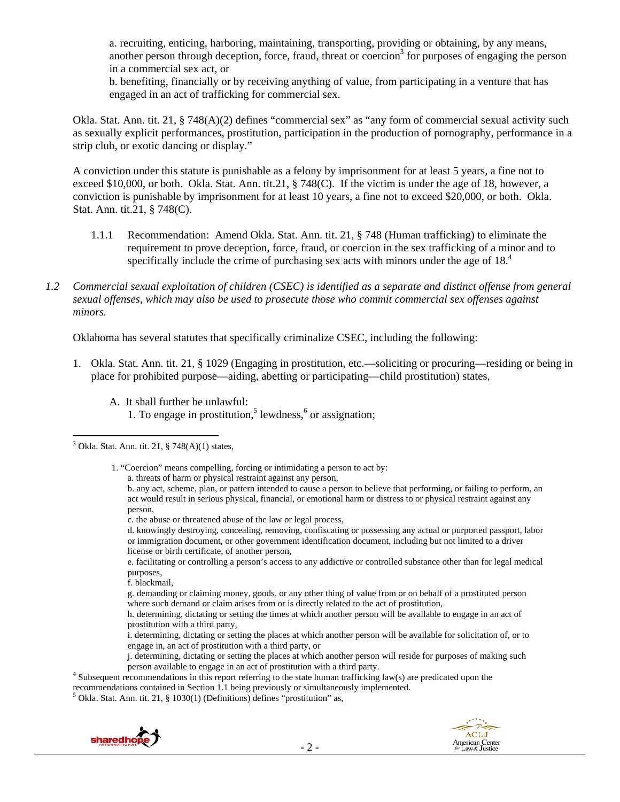a. recruiting, enticing, harboring, maintaining, transporting, providing or obtaining, by any means, another person through deception, force, fraud, threat or coercion<sup>3</sup> for purposes of engaging the person in a commercial sex act, or

b. benefiting, financially or by receiving anything of value, from participating in a venture that has engaged in an act of trafficking for commercial sex.

Okla. Stat. Ann. tit. 21, § 748(A)(2) defines "commercial sex" as "any form of commercial sexual activity such as sexually explicit performances, prostitution, participation in the production of pornography, performance in a strip club, or exotic dancing or display."

A conviction under this statute is punishable as a felony by imprisonment for at least 5 years, a fine not to exceed \$10,000, or both. Okla. Stat. Ann. tit.21, § 748(C). If the victim is under the age of 18, however, a conviction is punishable by imprisonment for at least 10 years, a fine not to exceed \$20,000, or both. Okla. Stat. Ann. tit.21, § 748(C).

- 1.1.1 Recommendation: Amend Okla. Stat. Ann. tit. 21, § 748 (Human trafficking) to eliminate the requirement to prove deception, force, fraud, or coercion in the sex trafficking of a minor and to specifically include the crime of purchasing sex acts with minors under the age of 18.<sup>4</sup>
- *1.2 Commercial sexual exploitation of children (CSEC) is identified as a separate and distinct offense from general sexual offenses, which may also be used to prosecute those who commit commercial sex offenses against minors.*

Oklahoma has several statutes that specifically criminalize CSEC, including the following:

- 1. Okla. Stat. Ann. tit. 21, § 1029 (Engaging in prostitution, etc.—soliciting or procuring—residing or being in place for prohibited purpose—aiding, abetting or participating—child prostitution) states,
	- A. It shall further be unlawful: 1. To engage in prostitution,<sup>5</sup> lewdness, $6$  or assignation;

- 2 -

 $5$  Okla. Stat. Ann. tit. 21, § 1030(1) (Definitions) defines "prostitution" as,





  $3$  Okla. Stat. Ann. tit. 21,  $\S$  748(A)(1) states,

 <sup>1. &</sup>quot;Coercion" means compelling, forcing or intimidating a person to act by: a. threats of harm or physical restraint against any person,

b. any act, scheme, plan, or pattern intended to cause a person to believe that performing, or failing to perform, an act would result in serious physical, financial, or emotional harm or distress to or physical restraint against any person,

c. the abuse or threatened abuse of the law or legal process,

d. knowingly destroying, concealing, removing, confiscating or possessing any actual or purported passport, labor or immigration document, or other government identification document, including but not limited to a driver license or birth certificate, of another person,

e. facilitating or controlling a person's access to any addictive or controlled substance other than for legal medical purposes,

f. blackmail,

g. demanding or claiming money, goods, or any other thing of value from or on behalf of a prostituted person where such demand or claim arises from or is directly related to the act of prostitution,

h. determining, dictating or setting the times at which another person will be available to engage in an act of prostitution with a third party,

i. determining, dictating or setting the places at which another person will be available for solicitation of, or to engage in, an act of prostitution with a third party, or

j. determining, dictating or setting the places at which another person will reside for purposes of making such person available to engage in an act of prostitution with a third party. 4

 $\frac{4}{3}$  Subsequent recommendations in this report referring to the state human trafficking law(s) are predicated upon the recommendations contained in Section 1.1 being previously or simultaneously implemented. 5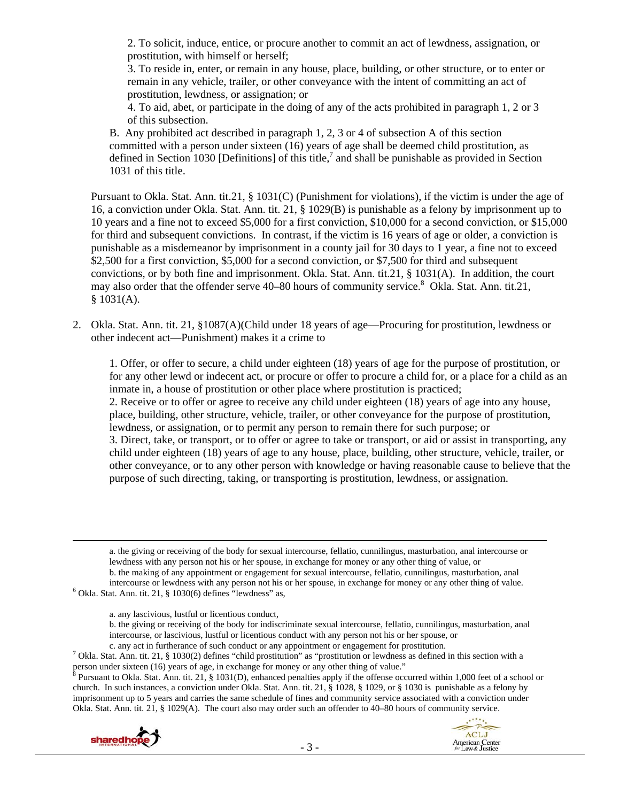2. To solicit, induce, entice, or procure another to commit an act of lewdness, assignation, or prostitution, with himself or herself;

3. To reside in, enter, or remain in any house, place, building, or other structure, or to enter or remain in any vehicle, trailer, or other conveyance with the intent of committing an act of prostitution, lewdness, or assignation; or

4. To aid, abet, or participate in the doing of any of the acts prohibited in paragraph 1, 2 or 3 of this subsection.

B. Any prohibited act described in paragraph 1, 2, 3 or 4 of subsection A of this section committed with a person under sixteen (16) years of age shall be deemed child prostitution, as defined in Section 1030 [Definitions] of this title,<sup>7</sup> and shall be punishable as provided in Section 1031 of this title.

Pursuant to Okla. Stat. Ann. tit.21, § 1031(C) (Punishment for violations), if the victim is under the age of 16, a conviction under Okla. Stat. Ann. tit. 21, § 1029(B) is punishable as a felony by imprisonment up to 10 years and a fine not to exceed \$5,000 for a first conviction, \$10,000 for a second conviction, or \$15,000 for third and subsequent convictions. In contrast, if the victim is 16 years of age or older, a conviction is punishable as a misdemeanor by imprisonment in a county jail for 30 days to 1 year, a fine not to exceed \$2,500 for a first conviction, \$5,000 for a second conviction, or \$7,500 for third and subsequent convictions, or by both fine and imprisonment. Okla. Stat. Ann. tit.21, § 1031(A). In addition, the court may also order that the offender serve 40–80 hours of community service.<sup>8</sup> Okla. Stat. Ann. tit.21, § 1031(A).

2. Okla. Stat. Ann. tit. 21, §1087(A)(Child under 18 years of age—Procuring for prostitution, lewdness or other indecent act—Punishment) makes it a crime to

1. Offer, or offer to secure, a child under eighteen (18) years of age for the purpose of prostitution, or for any other lewd or indecent act, or procure or offer to procure a child for, or a place for a child as an inmate in, a house of prostitution or other place where prostitution is practiced; 2. Receive or to offer or agree to receive any child under eighteen (18) years of age into any house, place, building, other structure, vehicle, trailer, or other conveyance for the purpose of prostitution, lewdness, or assignation, or to permit any person to remain there for such purpose; or

3. Direct, take, or transport, or to offer or agree to take or transport, or aid or assist in transporting, any child under eighteen (18) years of age to any house, place, building, other structure, vehicle, trailer, or other conveyance, or to any other person with knowledge or having reasonable cause to believe that the purpose of such directing, taking, or transporting is prostitution, lewdness, or assignation.

a. the giving or receiving of the body for sexual intercourse, fellatio, cunnilingus, masturbation, anal intercourse or lewdness with any person not his or her spouse, in exchange for money or any other thing of value, or

<u> 1989 - Johann Stein, marwolaethau a gweledydd a ganlad y ganlad y ganlad y ganlad y ganlad y ganlad y ganlad</u>

b. the making of any appointment or engagement for sexual intercourse, fellatio, cunnilingus, masturbation, anal intercourse or lewdness with any person not his or her spouse, in exchange for money or any other thing of value. 6  $6$  Okla. Stat. Ann. tit. 21, § 1030(6) defines "lewdness" as,

- a. any lascivious, lustful or licentious conduct,
- b. the giving or receiving of the body for indiscriminate sexual intercourse, fellatio, cunnilingus, masturbation, anal intercourse, or lascivious, lustful or licentious conduct with any person not his or her spouse, or
- c. any act in furtherance of such conduct or any appointment or engagement for prostitution.

 $^7$  Okla. Stat. Ann. tit. 21, § 1030(2) defines "child prostitution" as "prostitution or lewdness as defined in this section with a person under sixteen (16) years of age, in exchange for money or any other thing of value."<br><sup>8</sup> Pursuant to Okla. Stat. App, it, 21, 8, 1021(D), ephanood papelies apply if the offense oso.

 Pursuant to Okla. Stat. Ann. tit. 21, § 1031(D), enhanced penalties apply if the offense occurred within 1,000 feet of a school or church. In such instances, a conviction under Okla. Stat. Ann. tit. 21, § 1028, § 1029, or § 1030 is punishable as a felony by imprisonment up to 5 years and carries the same schedule of fines and community service associated with a conviction under Okla. Stat. Ann. tit. 21, § 1029(A). The court also may order such an offender to 40–80 hours of community service.

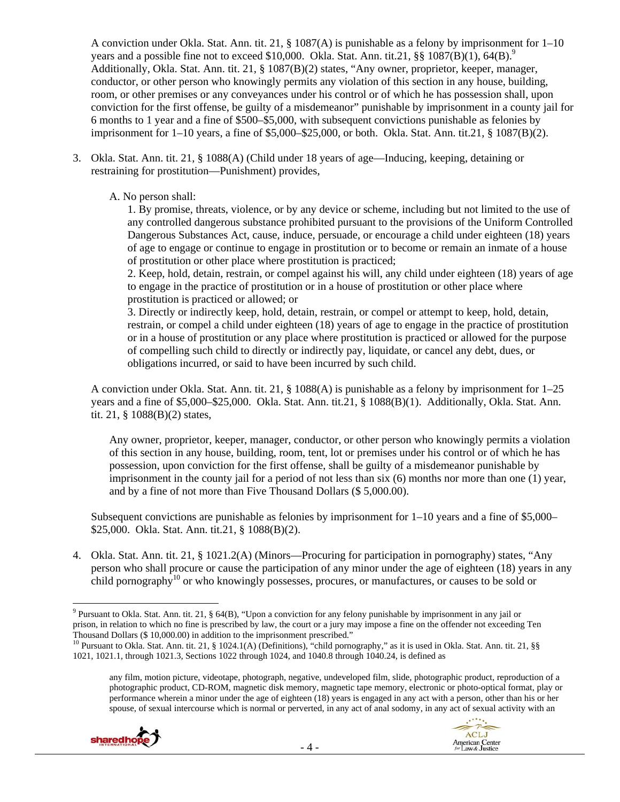A conviction under Okla. Stat. Ann. tit. 21, § 1087(A) is punishable as a felony by imprisonment for  $1-10$ years and a possible fine not to exceed \$10,000. Okla. Stat. Ann. tit.21,  $\S\$   $1087(B)(1)$ , 64(B).<sup>9</sup> Additionally, Okla. Stat. Ann. tit. 21, § 1087(B)(2) states, "Any owner, proprietor, keeper, manager, conductor, or other person who knowingly permits any violation of this section in any house, building, room, or other premises or any conveyances under his control or of which he has possession shall, upon conviction for the first offense, be guilty of a misdemeanor" punishable by imprisonment in a county jail for 6 months to 1 year and a fine of \$500–\$5,000, with subsequent convictions punishable as felonies by imprisonment for 1–10 years, a fine of \$5,000–\$25,000, or both. Okla. Stat. Ann. tit.21, § 1087(B)(2).

3. Okla. Stat. Ann. tit. 21, § 1088(A) (Child under 18 years of age—Inducing, keeping, detaining or restraining for prostitution—Punishment) provides,

A. No person shall:

1. By promise, threats, violence, or by any device or scheme, including but not limited to the use of any controlled dangerous substance prohibited pursuant to the provisions of the Uniform Controlled Dangerous Substances Act, cause, induce, persuade, or encourage a child under eighteen (18) years of age to engage or continue to engage in prostitution or to become or remain an inmate of a house of prostitution or other place where prostitution is practiced;

2. Keep, hold, detain, restrain, or compel against his will, any child under eighteen (18) years of age to engage in the practice of prostitution or in a house of prostitution or other place where prostitution is practiced or allowed; or

3. Directly or indirectly keep, hold, detain, restrain, or compel or attempt to keep, hold, detain, restrain, or compel a child under eighteen (18) years of age to engage in the practice of prostitution or in a house of prostitution or any place where prostitution is practiced or allowed for the purpose of compelling such child to directly or indirectly pay, liquidate, or cancel any debt, dues, or obligations incurred, or said to have been incurred by such child.

A conviction under Okla. Stat. Ann. tit. 21, § 1088(A) is punishable as a felony by imprisonment for 1–25 years and a fine of \$5,000–\$25,000. Okla. Stat. Ann. tit.21, § 1088(B)(1). Additionally, Okla. Stat. Ann. tit. 21, § 1088(B)(2) states,

Any owner, proprietor, keeper, manager, conductor, or other person who knowingly permits a violation of this section in any house, building, room, tent, lot or premises under his control or of which he has possession, upon conviction for the first offense, shall be guilty of a misdemeanor punishable by imprisonment in the county jail for a period of not less than six (6) months nor more than one (1) year, and by a fine of not more than Five Thousand Dollars (\$ 5,000.00).

Subsequent convictions are punishable as felonies by imprisonment for 1–10 years and a fine of \$5,000– \$25,000. Okla. Stat. Ann. tit.21, § 1088(B)(2).

4. Okla. Stat. Ann. tit. 21, § 1021.2(A) (Minors—Procuring for participation in pornography) states, "Any person who shall procure or cause the participation of any minor under the age of eighteen (18) years in any child pornography<sup>10</sup> or who knowingly possesses, procures, or manufactures, or causes to be sold or

any film, motion picture, videotape, photograph, negative, undeveloped film, slide, photographic product, reproduction of a photographic product, CD-ROM, magnetic disk memory, magnetic tape memory, electronic or photo-optical format, play or performance wherein a minor under the age of eighteen (18) years is engaged in any act with a person, other than his or her spouse, of sexual intercourse which is normal or perverted, in any act of anal sodomy, in any act of sexual activity with an



<sup>&</sup>lt;sup>9</sup> Pursuant to Okla. Stat. Ann. tit. 21, § 64(B), "Upon a conviction for any felony punishable by imprisonment in any jail or prison, in relation to which no fine is prescribed by law, the court or a jury may impose a fine on the offender not exceeding Ten Thousand Dollars (\$ 10,000.00) in addition to the imprisonment prescribed." <sup>10</sup> Pursuant to Okla. Stat. Ann. tit. 21, §§ 1024.1(A) (Definitions), "child pornography," as it is used in Okla. Stat. Ann. tit. 21, §§

<sup>1021, 1021.1,</sup> through 1021.3, Sections 1022 through 1024, and 1040.8 through 1040.24, is defined as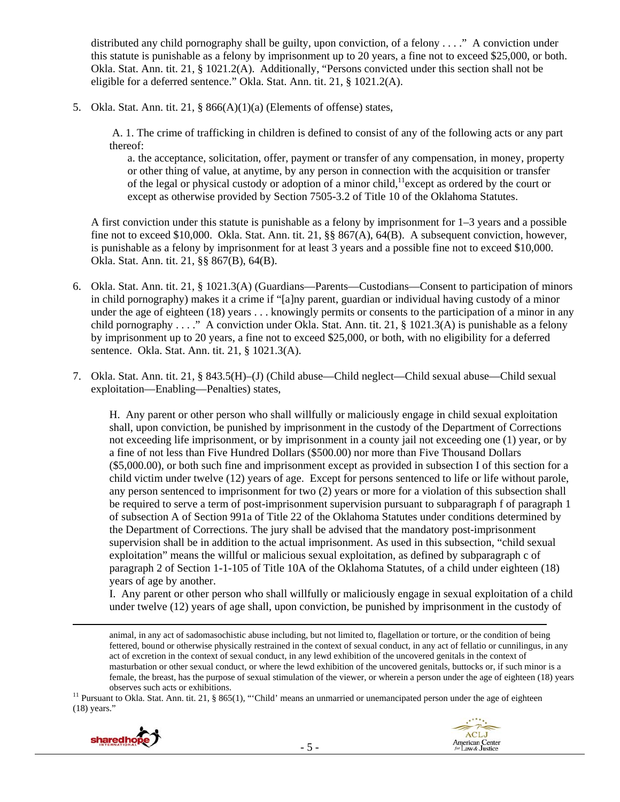distributed any child pornography shall be guilty, upon conviction, of a felony . . . ." A conviction under this statute is punishable as a felony by imprisonment up to 20 years, a fine not to exceed \$25,000, or both. Okla. Stat. Ann. tit. 21, § 1021.2(A). Additionally, "Persons convicted under this section shall not be eligible for a deferred sentence." Okla. Stat. Ann. tit. 21, § 1021.2(A).

5. Okla. Stat. Ann. tit. 21,  $\S$  866(A)(1)(a) (Elements of offense) states,

 A. 1. The crime of trafficking in children is defined to consist of any of the following acts or any part thereof:

a. the acceptance, solicitation, offer, payment or transfer of any compensation, in money, property or other thing of value, at anytime, by any person in connection with the acquisition or transfer of the legal or physical custody or adoption of a minor child,<sup>11</sup> except as ordered by the court or except as otherwise provided by Section 7505-3.2 of Title 10 of the Oklahoma Statutes.

A first conviction under this statute is punishable as a felony by imprisonment for 1–3 years and a possible fine not to exceed \$10,000. Okla. Stat. Ann. tit. 21, §§ 867(A), 64(B). A subsequent conviction, however, is punishable as a felony by imprisonment for at least 3 years and a possible fine not to exceed \$10,000. Okla. Stat. Ann. tit. 21, §§ 867(B), 64(B).

- 6. Okla. Stat. Ann. tit. 21, § 1021.3(A) (Guardians—Parents—Custodians—Consent to participation of minors in child pornography) makes it a crime if "[a]ny parent, guardian or individual having custody of a minor under the age of eighteen (18) years . . . knowingly permits or consents to the participation of a minor in any child pornography . . . ." A conviction under Okla. Stat. Ann. tit. 21, § 1021.3(A) is punishable as a felony by imprisonment up to 20 years, a fine not to exceed \$25,000, or both, with no eligibility for a deferred sentence. Okla. Stat. Ann. tit. 21, § 1021.3(A).
- 7. Okla. Stat. Ann. tit. 21, § 843.5(H)–(J) (Child abuse—Child neglect—Child sexual abuse—Child sexual exploitation—Enabling—Penalties) states,

H. Any parent or other person who shall willfully or maliciously engage in child sexual exploitation shall, upon conviction, be punished by imprisonment in the custody of the Department of Corrections not exceeding life imprisonment, or by imprisonment in a county jail not exceeding one (1) year, or by a fine of not less than Five Hundred Dollars (\$500.00) nor more than Five Thousand Dollars (\$5,000.00), or both such fine and imprisonment except as provided in subsection I of this section for a child victim under twelve (12) years of age. Except for persons sentenced to life or life without parole, any person sentenced to imprisonment for two (2) years or more for a violation of this subsection shall be required to serve a term of post-imprisonment supervision pursuant to subparagraph f of paragraph 1 of subsection A of Section 991a of Title 22 of the Oklahoma Statutes under conditions determined by the Department of Corrections. The jury shall be advised that the mandatory post-imprisonment supervision shall be in addition to the actual imprisonment. As used in this subsection, "child sexual exploitation" means the willful or malicious sexual exploitation, as defined by subparagraph c of paragraph 2 of Section 1-1-105 of Title 10A of the Oklahoma Statutes, of a child under eighteen (18) years of age by another.

I. Any parent or other person who shall willfully or maliciously engage in sexual exploitation of a child under twelve (12) years of age shall, upon conviction, be punished by imprisonment in the custody of

<u> 1989 - Johann Stein, marwolaethau a bhannaich an t-an an t-an an t-an an t-an an t-an an t-an an t-an an t-a</u> animal, in any act of sadomasochistic abuse including, but not limited to, flagellation or torture, or the condition of being fettered, bound or otherwise physically restrained in the context of sexual conduct, in any act of fellatio or cunnilingus, in any act of excretion in the context of sexual conduct, in any lewd exhibition of the uncovered genitals in the context of masturbation or other sexual conduct, or where the lewd exhibition of the uncovered genitals, buttocks or, if such minor is a female, the breast, has the purpose of sexual stimulation of the viewer, or wherein a person under the age of eighteen (18) years observes such acts or exhibitions.<br><sup>11</sup> Pursuant to Okla. Stat. Ann. tit. 21, § 865(1), "'Child' means an unmarried or unemancipated person under the age of eighteen

<sup>(18)</sup> years."



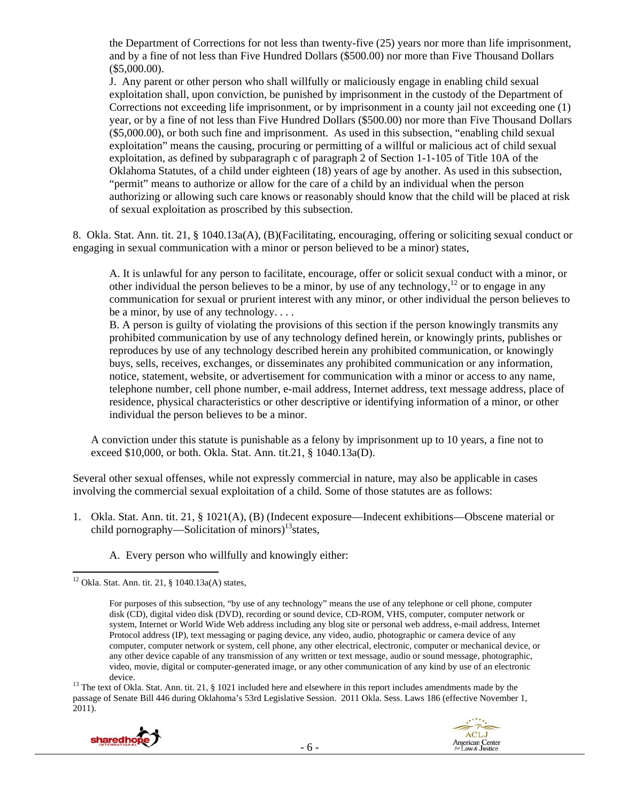the Department of Corrections for not less than twenty-five (25) years nor more than life imprisonment, and by a fine of not less than Five Hundred Dollars (\$500.00) nor more than Five Thousand Dollars (\$5,000.00).

J. Any parent or other person who shall willfully or maliciously engage in enabling child sexual exploitation shall, upon conviction, be punished by imprisonment in the custody of the Department of Corrections not exceeding life imprisonment, or by imprisonment in a county jail not exceeding one (1) year, or by a fine of not less than Five Hundred Dollars (\$500.00) nor more than Five Thousand Dollars (\$5,000.00), or both such fine and imprisonment. As used in this subsection, "enabling child sexual exploitation" means the causing, procuring or permitting of a willful or malicious act of child sexual exploitation, as defined by subparagraph c of paragraph 2 of Section 1-1-105 of Title 10A of the Oklahoma Statutes, of a child under eighteen (18) years of age by another. As used in this subsection, "permit" means to authorize or allow for the care of a child by an individual when the person authorizing or allowing such care knows or reasonably should know that the child will be placed at risk of sexual exploitation as proscribed by this subsection.

8. Okla. Stat. Ann. tit. 21, § 1040.13a(A), (B)(Facilitating, encouraging, offering or soliciting sexual conduct or engaging in sexual communication with a minor or person believed to be a minor) states,

A. It is unlawful for any person to facilitate, encourage, offer or solicit sexual conduct with a minor, or other individual the person believes to be a minor, by use of any technology,<sup>12</sup> or to engage in any communication for sexual or prurient interest with any minor, or other individual the person believes to be a minor, by use of any technology. . . .

B. A person is guilty of violating the provisions of this section if the person knowingly transmits any prohibited communication by use of any technology defined herein, or knowingly prints, publishes or reproduces by use of any technology described herein any prohibited communication, or knowingly buys, sells, receives, exchanges, or disseminates any prohibited communication or any information, notice, statement, website, or advertisement for communication with a minor or access to any name, telephone number, cell phone number, e-mail address, Internet address, text message address, place of residence, physical characteristics or other descriptive or identifying information of a minor, or other individual the person believes to be a minor.

A conviction under this statute is punishable as a felony by imprisonment up to 10 years, a fine not to exceed \$10,000, or both. Okla. Stat. Ann. tit.21, § 1040.13a(D).

Several other sexual offenses, while not expressly commercial in nature, may also be applicable in cases involving the commercial sexual exploitation of a child. Some of those statutes are as follows:

- 1. Okla. Stat. Ann. tit. 21, § 1021(A), (B) (Indecent exposure—Indecent exhibitions—Obscene material or child pornography—Solicitation of minors)<sup>13</sup> states,
	- A. Every person who willfully and knowingly either:

passage of Senate Bill 446 during Oklahoma's 53rd Legislative Session. 2011 Okla. Sess. Laws 186 (effective November 1, 2011).





  $12$  Okla. Stat. Ann. tit. 21, § 1040.13a(A) states,

For purposes of this subsection, "by use of any technology" means the use of any telephone or cell phone, computer disk (CD), digital video disk (DVD), recording or sound device, CD-ROM, VHS, computer, computer network or system, Internet or World Wide Web address including any blog site or personal web address, e-mail address, Internet Protocol address (IP), text messaging or paging device, any video, audio, photographic or camera device of any computer, computer network or system, cell phone, any other electrical, electronic, computer or mechanical device, or any other device capable of any transmission of any written or text message, audio or sound message, photographic, video, movie, digital or computer-generated image, or any other communication of any kind by use of an electronic device.<br><sup>13</sup> The text of Okla. Stat. Ann. tit. 21, § 1021 included here and elsewhere in this report includes amendments made by the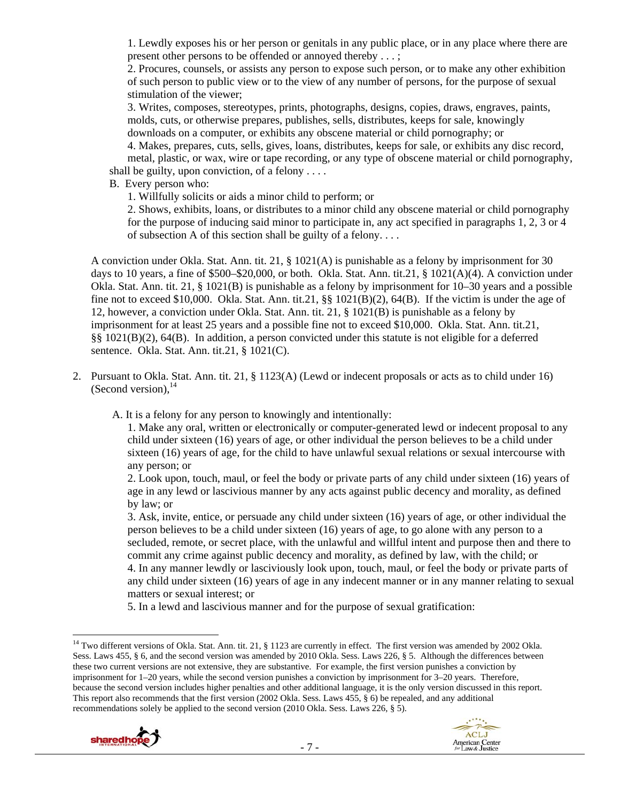1. Lewdly exposes his or her person or genitals in any public place, or in any place where there are present other persons to be offended or annoyed thereby . . . ;

2. Procures, counsels, or assists any person to expose such person, or to make any other exhibition of such person to public view or to the view of any number of persons, for the purpose of sexual stimulation of the viewer;

3. Writes, composes, stereotypes, prints, photographs, designs, copies, draws, engraves, paints, molds, cuts, or otherwise prepares, publishes, sells, distributes, keeps for sale, knowingly downloads on a computer, or exhibits any obscene material or child pornography; or

4. Makes, prepares, cuts, sells, gives, loans, distributes, keeps for sale, or exhibits any disc record, metal, plastic, or wax, wire or tape recording, or any type of obscene material or child pornography, shall be guilty, upon conviction, of a felony  $\dots$ 

B. Every person who:

1. Willfully solicits or aids a minor child to perform; or

2. Shows, exhibits, loans, or distributes to a minor child any obscene material or child pornography for the purpose of inducing said minor to participate in, any act specified in paragraphs 1, 2, 3 or 4 of subsection A of this section shall be guilty of a felony. . . .

A conviction under Okla. Stat. Ann. tit. 21, § 1021(A) is punishable as a felony by imprisonment for 30 days to 10 years, a fine of \$500–\$20,000, or both. Okla. Stat. Ann. tit.21, § 1021(A)(4). A conviction under Okla. Stat. Ann. tit. 21, § 1021(B) is punishable as a felony by imprisonment for 10–30 years and a possible fine not to exceed \$10,000. Okla. Stat. Ann. tit.21,  $\S$ [021(B)(2), 64(B). If the victim is under the age of 12, however, a conviction under Okla. Stat. Ann. tit. 21, § 1021(B) is punishable as a felony by imprisonment for at least 25 years and a possible fine not to exceed \$10,000. Okla. Stat. Ann. tit.21, §§ 1021(B)(2), 64(B). In addition, a person convicted under this statute is not eligible for a deferred sentence. Okla. Stat. Ann. tit.21, § 1021(C).

2. Pursuant to Okla. Stat. Ann. tit. 21, § 1123(A) (Lewd or indecent proposals or acts as to child under 16) (Second version),  $^{14}$ 

A. It is a felony for any person to knowingly and intentionally:

1. Make any oral, written or electronically or computer-generated lewd or indecent proposal to any child under sixteen (16) years of age, or other individual the person believes to be a child under sixteen (16) years of age, for the child to have unlawful sexual relations or sexual intercourse with any person; or

2. Look upon, touch, maul, or feel the body or private parts of any child under sixteen (16) years of age in any lewd or lascivious manner by any acts against public decency and morality, as defined by law; or

3. Ask, invite, entice, or persuade any child under sixteen (16) years of age, or other individual the person believes to be a child under sixteen (16) years of age, to go alone with any person to a secluded, remote, or secret place, with the unlawful and willful intent and purpose then and there to commit any crime against public decency and morality, as defined by law, with the child; or 4. In any manner lewdly or lasciviously look upon, touch, maul, or feel the body or private parts of any child under sixteen (16) years of age in any indecent manner or in any manner relating to sexual matters or sexual interest; or

5. In a lewd and lascivious manner and for the purpose of sexual gratification:

<sup>&</sup>lt;sup>14</sup> Two different versions of Okla. Stat. Ann. tit. 21, § 1123 are currently in effect. The first version was amended by 2002 Okla. Sess. Laws 455, § 6, and the second version was amended by 2010 Okla. Sess. Laws 226, § 5. Although the differences between these two current versions are not extensive, they are substantive. For example, the first version punishes a conviction by imprisonment for 1–20 years, while the second version punishes a conviction by imprisonment for 3–20 years. Therefore, because the second version includes higher penalties and other additional language, it is the only version discussed in this report. This report also recommends that the first version (2002 Okla. Sess. Laws 455, § 6) be repealed, and any additional recommendations solely be applied to the second version (2010 Okla. Sess. Laws 226, § 5).



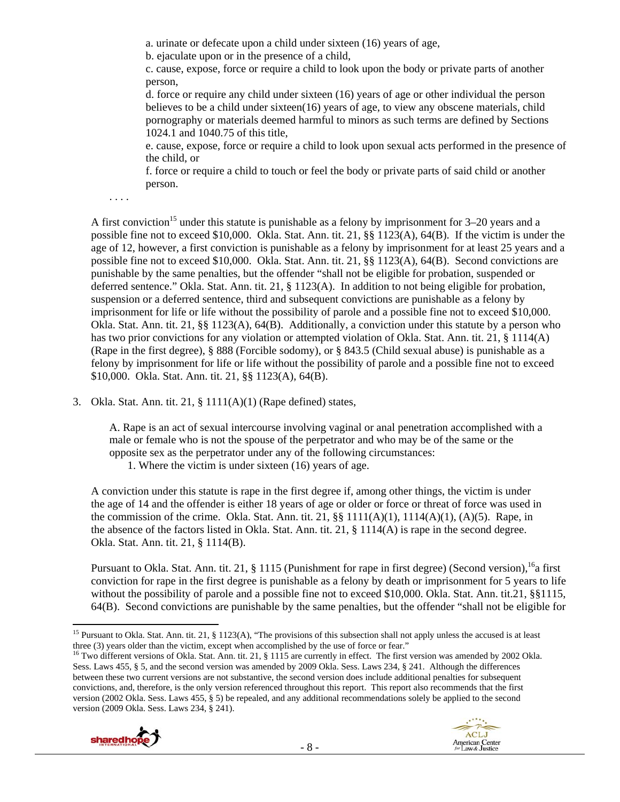a. urinate or defecate upon a child under sixteen (16) years of age,

b. ejaculate upon or in the presence of a child,

c. cause, expose, force or require a child to look upon the body or private parts of another person,

d. force or require any child under sixteen (16) years of age or other individual the person believes to be a child under sixteen(16) years of age, to view any obscene materials, child pornography or materials deemed harmful to minors as such terms are defined by Sections 1024.1 and 1040.75 of this title,

e. cause, expose, force or require a child to look upon sexual acts performed in the presence of the child, or

f. force or require a child to touch or feel the body or private parts of said child or another person.

. . . .

A first conviction<sup>15</sup> under this statute is punishable as a felony by imprisonment for  $3-20$  years and a possible fine not to exceed \$10,000. Okla. Stat. Ann. tit. 21, §§ 1123(A), 64(B). If the victim is under the age of 12, however, a first conviction is punishable as a felony by imprisonment for at least 25 years and a possible fine not to exceed \$10,000. Okla. Stat. Ann. tit. 21, §§ 1123(A), 64(B). Second convictions are punishable by the same penalties, but the offender "shall not be eligible for probation, suspended or deferred sentence." Okla. Stat. Ann. tit. 21, § 1123(A). In addition to not being eligible for probation, suspension or a deferred sentence, third and subsequent convictions are punishable as a felony by imprisonment for life or life without the possibility of parole and a possible fine not to exceed \$10,000. Okla. Stat. Ann. tit. 21, §§ 1123(A), 64(B). Additionally, a conviction under this statute by a person who has two prior convictions for any violation or attempted violation of Okla. Stat. Ann. tit. 21, § 1114(A) (Rape in the first degree), § 888 (Forcible sodomy), or § 843.5 (Child sexual abuse) is punishable as a felony by imprisonment for life or life without the possibility of parole and a possible fine not to exceed \$10,000. Okla. Stat. Ann. tit. 21, §§ 1123(A), 64(B).

3. Okla. Stat. Ann. tit. 21, § 1111(A)(1) (Rape defined) states,

A. Rape is an act of sexual intercourse involving vaginal or anal penetration accomplished with a male or female who is not the spouse of the perpetrator and who may be of the same or the opposite sex as the perpetrator under any of the following circumstances:

1. Where the victim is under sixteen (16) years of age.

A conviction under this statute is rape in the first degree if, among other things, the victim is under the age of 14 and the offender is either 18 years of age or older or force or threat of force was used in the commission of the crime. Okla. Stat. Ann. tit. 21,  $\S$  1111(A)(1), 1114(A)(1), (A)(5). Rape, in the absence of the factors listed in Okla. Stat. Ann. tit. 21, § 1114(A) is rape in the second degree. Okla. Stat. Ann. tit. 21, § 1114(B).

Pursuant to Okla. Stat. Ann. tit. 21, § 1115 (Punishment for rape in first degree) (Second version).<sup>16</sup>a first conviction for rape in the first degree is punishable as a felony by death or imprisonment for 5 years to life without the possibility of parole and a possible fine not to exceed \$10,000. Okla. Stat. Ann. tit.21, §§1115, 64(B). Second convictions are punishable by the same penalties, but the offender "shall not be eligible for

<sup>&</sup>lt;sup>16</sup> Two different versions of Okla. Stat. Ann. tit. 21, § 1115 are currently in effect. The first version was amended by 2002 Okla. Sess. Laws 455, § 5, and the second version was amended by 2009 Okla. Sess. Laws 234, § 241. Although the differences between these two current versions are not substantive, the second version does include additional penalties for subsequent convictions, and, therefore, is the only version referenced throughout this report. This report also recommends that the first version (2002 Okla. Sess. Laws 455, § 5) be repealed, and any additional recommendations solely be applied to the second version (2009 Okla. Sess. Laws 234, § 241).



 <sup>15</sup> Pursuant to Okla. Stat. Ann. tit. 21, § 1123(A), "The provisions of this subsection shall not apply unless the accused is at least three (3) years older than the victim, except when accomplished by the use of force or fear."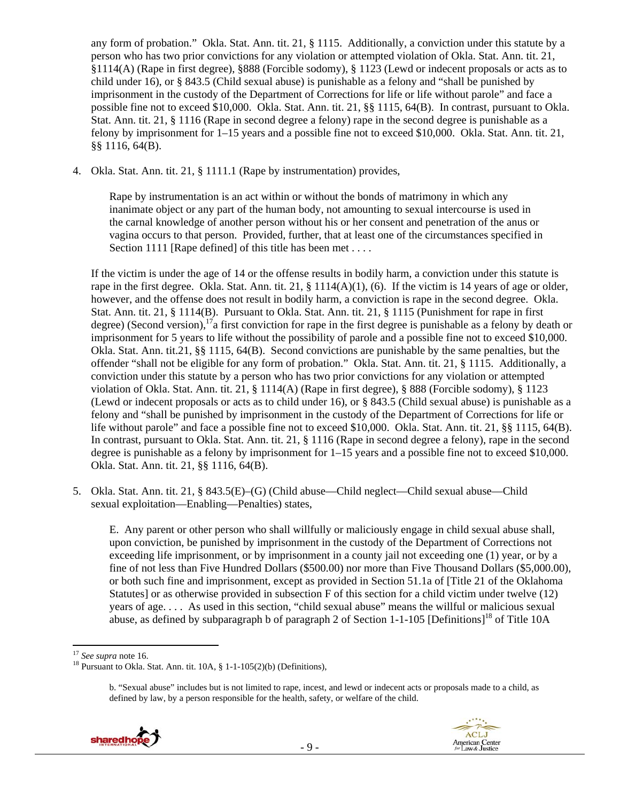any form of probation." Okla. Stat. Ann. tit. 21, § 1115. Additionally, a conviction under this statute by a person who has two prior convictions for any violation or attempted violation of Okla. Stat. Ann. tit. 21, §1114(A) (Rape in first degree), §888 (Forcible sodomy), § 1123 (Lewd or indecent proposals or acts as to child under 16), or § 843.5 (Child sexual abuse) is punishable as a felony and "shall be punished by imprisonment in the custody of the Department of Corrections for life or life without parole" and face a possible fine not to exceed \$10,000. Okla. Stat. Ann. tit. 21, §§ 1115, 64(B). In contrast, pursuant to Okla. Stat. Ann. tit. 21, § 1116 (Rape in second degree a felony) rape in the second degree is punishable as a felony by imprisonment for 1–15 years and a possible fine not to exceed \$10,000. Okla. Stat. Ann. tit. 21, §§ 1116, 64(B).

4. Okla. Stat. Ann. tit. 21, § 1111.1 (Rape by instrumentation) provides,

Rape by instrumentation is an act within or without the bonds of matrimony in which any inanimate object or any part of the human body, not amounting to sexual intercourse is used in the carnal knowledge of another person without his or her consent and penetration of the anus or vagina occurs to that person. Provided, further, that at least one of the circumstances specified in Section 1111 [Rape defined] of this title has been met . . . .

If the victim is under the age of 14 or the offense results in bodily harm, a conviction under this statute is rape in the first degree. Okla. Stat. Ann. tit. 21,  $\S$  1114(A)(1), (6). If the victim is 14 years of age or older, however, and the offense does not result in bodily harm, a conviction is rape in the second degree. Okla. Stat. Ann. tit. 21, § 1114(B). Pursuant to Okla. Stat. Ann. tit. 21, § 1115 (Punishment for rape in first degree) (Second version),<sup>17</sup>a first conviction for rape in the first degree is punishable as a felony by death or imprisonment for 5 years to life without the possibility of parole and a possible fine not to exceed \$10,000. Okla. Stat. Ann. tit.21, §§ 1115, 64(B). Second convictions are punishable by the same penalties, but the offender "shall not be eligible for any form of probation." Okla. Stat. Ann. tit. 21, § 1115. Additionally, a conviction under this statute by a person who has two prior convictions for any violation or attempted violation of Okla. Stat. Ann. tit. 21, § 1114(A) (Rape in first degree), § 888 (Forcible sodomy), § 1123 (Lewd or indecent proposals or acts as to child under 16), or § 843.5 (Child sexual abuse) is punishable as a felony and "shall be punished by imprisonment in the custody of the Department of Corrections for life or life without parole" and face a possible fine not to exceed \$10,000. Okla. Stat. Ann. tit. 21, §§ 1115, 64(B). In contrast, pursuant to Okla. Stat. Ann. tit. 21, § 1116 (Rape in second degree a felony), rape in the second degree is punishable as a felony by imprisonment for 1–15 years and a possible fine not to exceed \$10,000. Okla. Stat. Ann. tit. 21, §§ 1116, 64(B).

5. Okla. Stat. Ann. tit. 21, § 843.5(E)–(G) (Child abuse—Child neglect—Child sexual abuse—Child sexual exploitation—Enabling—Penalties) states,

E. Any parent or other person who shall willfully or maliciously engage in child sexual abuse shall, upon conviction, be punished by imprisonment in the custody of the Department of Corrections not exceeding life imprisonment, or by imprisonment in a county jail not exceeding one (1) year, or by a fine of not less than Five Hundred Dollars (\$500.00) nor more than Five Thousand Dollars (\$5,000.00), or both such fine and imprisonment, except as provided in Section 51.1a of [Title 21 of the Oklahoma Statutes] or as otherwise provided in subsection F of this section for a child victim under twelve (12) years of age. . . . As used in this section, "child sexual abuse" means the willful or malicious sexual abuse, as defined by subparagraph b of paragraph 2 of Section 1-1-105 [Definitions]<sup>18</sup> of Title 10A

b. "Sexual abuse" includes but is not limited to rape, incest, and lewd or indecent acts or proposals made to a child, as defined by law, by a person responsible for the health, safety, or welfare of the child.





<sup>&</sup>lt;sup>17</sup> *See supra* note 16. 18 Pursuant to Okla. Stat. Ann. tit. 10A, § 1-1-105(2)(b) (Definitions),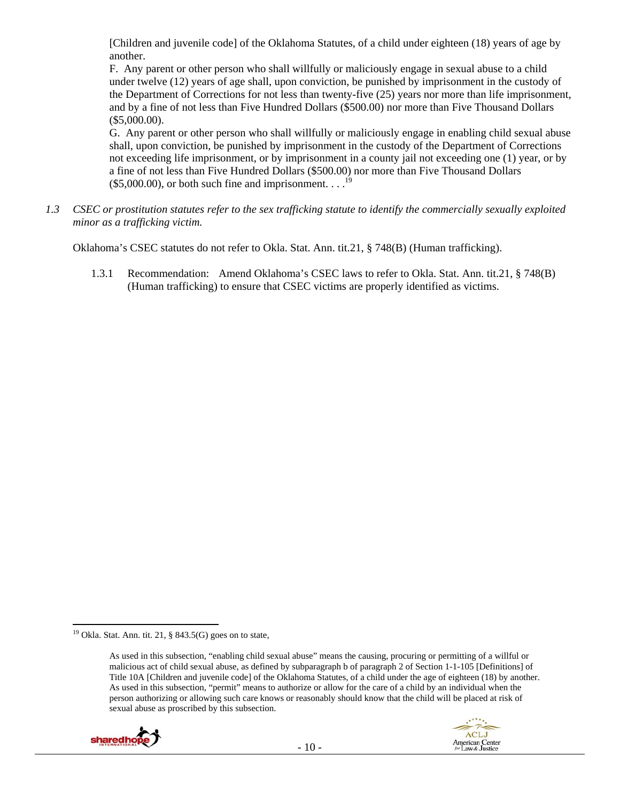[Children and juvenile code] of the Oklahoma Statutes, of a child under eighteen (18) years of age by another.

F. Any parent or other person who shall willfully or maliciously engage in sexual abuse to a child under twelve (12) years of age shall, upon conviction, be punished by imprisonment in the custody of the Department of Corrections for not less than twenty-five (25) years nor more than life imprisonment, and by a fine of not less than Five Hundred Dollars (\$500.00) nor more than Five Thousand Dollars (\$5,000.00).

G. Any parent or other person who shall willfully or maliciously engage in enabling child sexual abuse shall, upon conviction, be punished by imprisonment in the custody of the Department of Corrections not exceeding life imprisonment, or by imprisonment in a county jail not exceeding one (1) year, or by a fine of not less than Five Hundred Dollars (\$500.00) nor more than Five Thousand Dollars  $($5,000.00)$ , or both such fine and imprisonment. . . .<sup>19</sup>

*1.3 CSEC or prostitution statutes refer to the sex trafficking statute to identify the commercially sexually exploited minor as a trafficking victim.* 

Oklahoma's CSEC statutes do not refer to Okla. Stat. Ann. tit.21, § 748(B) (Human trafficking).

1.3.1 Recommendation: Amend Oklahoma's CSEC laws to refer to Okla. Stat. Ann. tit.21, § 748(B) (Human trafficking) to ensure that CSEC victims are properly identified as victims.

As used in this subsection, "enabling child sexual abuse" means the causing, procuring or permitting of a willful or malicious act of child sexual abuse, as defined by subparagraph b of paragraph 2 of Section 1-1-105 [Definitions] of Title 10A [Children and juvenile code] of the Oklahoma Statutes, of a child under the age of eighteen (18) by another. As used in this subsection, "permit" means to authorize or allow for the care of a child by an individual when the person authorizing or allowing such care knows or reasonably should know that the child will be placed at risk of sexual abuse as proscribed by this subsection.





<sup>&</sup>lt;sup>19</sup> Okla. Stat. Ann. tit. 21, § 843.5(G) goes on to state,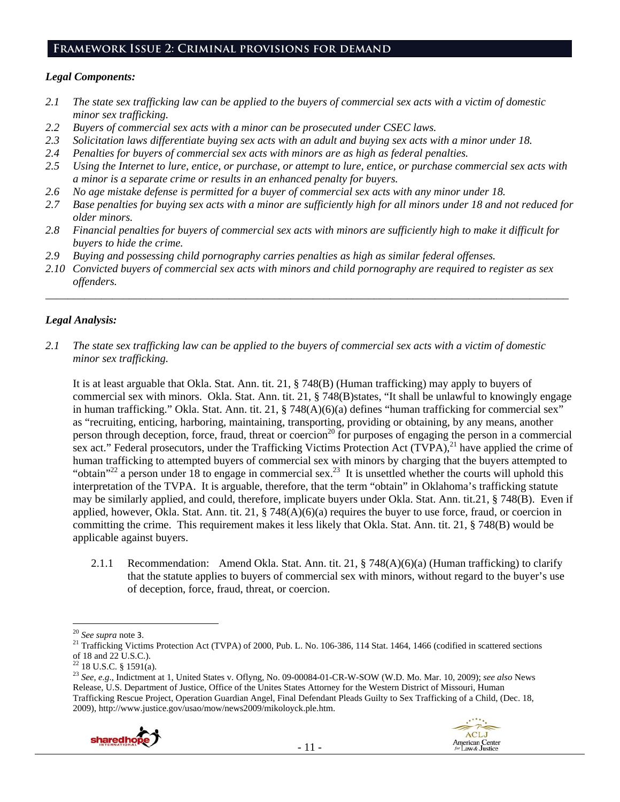#### **Framework Issue 2: Criminal provisions for demand**

#### *Legal Components:*

- *2.1 The state sex trafficking law can be applied to the buyers of commercial sex acts with a victim of domestic minor sex trafficking.*
- *2.2 Buyers of commercial sex acts with a minor can be prosecuted under CSEC laws.*
- *2.3 Solicitation laws differentiate buying sex acts with an adult and buying sex acts with a minor under 18.*
- *2.4 Penalties for buyers of commercial sex acts with minors are as high as federal penalties.*
- *2.5 Using the Internet to lure, entice, or purchase, or attempt to lure, entice, or purchase commercial sex acts with a minor is a separate crime or results in an enhanced penalty for buyers.*
- *2.6 No age mistake defense is permitted for a buyer of commercial sex acts with any minor under 18.*
- *2.7 Base penalties for buying sex acts with a minor are sufficiently high for all minors under 18 and not reduced for older minors.*
- *2.8 Financial penalties for buyers of commercial sex acts with minors are sufficiently high to make it difficult for buyers to hide the crime.*
- *2.9 Buying and possessing child pornography carries penalties as high as similar federal offenses.*
- *2.10 Convicted buyers of commercial sex acts with minors and child pornography are required to register as sex offenders.*

\_\_\_\_\_\_\_\_\_\_\_\_\_\_\_\_\_\_\_\_\_\_\_\_\_\_\_\_\_\_\_\_\_\_\_\_\_\_\_\_\_\_\_\_\_\_\_\_\_\_\_\_\_\_\_\_\_\_\_\_\_\_\_\_\_\_\_\_\_\_\_\_\_\_\_\_\_\_\_\_\_\_\_\_\_\_\_\_\_\_\_\_\_\_

# *Legal Analysis:*

*2.1 The state sex trafficking law can be applied to the buyers of commercial sex acts with a victim of domestic minor sex trafficking.* 

It is at least arguable that Okla. Stat. Ann. tit. 21, § 748(B) (Human trafficking) may apply to buyers of commercial sex with minors. Okla. Stat. Ann. tit. 21, § 748(B)states, "It shall be unlawful to knowingly engage in human trafficking." Okla. Stat. Ann. tit. 21, § 748(A)(6)(a) defines "human trafficking for commercial sex" as "recruiting, enticing, harboring, maintaining, transporting, providing or obtaining, by any means, another person through deception, force, fraud, threat or coercion<sup>20</sup> for purposes of engaging the person in a commercial sex act." Federal prosecutors, under the Trafficking Victims Protection Act (TVPA),<sup>21</sup> have applied the crime of human trafficking to attempted buyers of commercial sex with minors by charging that the buyers attempted to "obtain"<sup>22</sup> a person under 18 to engage in commercial sex.<sup>23</sup> It is unsettled whether the courts will uphold this interpretation of the TVPA. It is arguable, therefore, that the term "obtain" in Oklahoma's trafficking statute may be similarly applied, and could, therefore, implicate buyers under Okla. Stat. Ann. tit.21, § 748(B). Even if applied, however, Okla. Stat. Ann. tit. 21, § 748(A)(6)(a) requires the buyer to use force, fraud, or coercion in committing the crime. This requirement makes it less likely that Okla. Stat. Ann. tit. 21, § 748(B) would be applicable against buyers.

2.1.1 Recommendation: Amend Okla. Stat. Ann. tit. 21, § 748(A)(6)(a) (Human trafficking) to clarify that the statute applies to buyers of commercial sex with minors, without regard to the buyer's use of deception, force, fraud, threat, or coercion.

<sup>23</sup> *See, e.g*., Indictment at 1, United States v. Oflyng, No. 09-00084-01-CR-W-SOW (W.D. Mo. Mar. 10, 2009); *see also* News Release, U.S. Department of Justice, Office of the Unites States Attorney for the Western District of Missouri, Human Trafficking Rescue Project, Operation Guardian Angel, Final Defendant Pleads Guilty to Sex Trafficking of a Child, (Dec. 18, 2009), http://www.justice.gov/usao/mow/news2009/mikoloyck.ple.htm.





<sup>&</sup>lt;sup>20</sup> *See supra* note 3.<br><sup>21</sup> Trafficking Victims Protection Act (TVPA) of 2000, Pub. L. No. 106-386, 114 Stat. 1464, 1466 (codified in scattered sections of 18 and 22 U.S.C.).

 $22$  18 U.S.C. § 1591(a).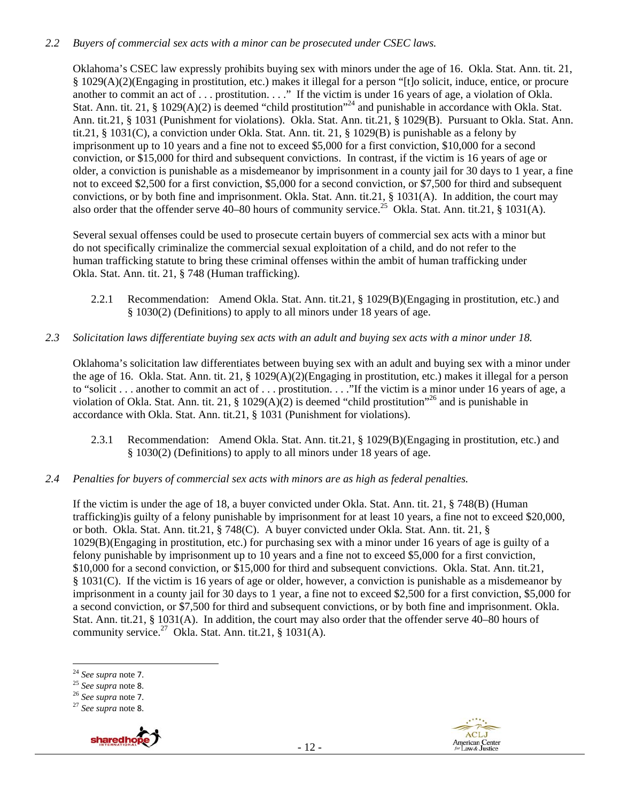## *2.2 Buyers of commercial sex acts with a minor can be prosecuted under CSEC laws.*

Oklahoma's CSEC law expressly prohibits buying sex with minors under the age of 16. Okla. Stat. Ann. tit. 21, § 1029(A)(2)(Engaging in prostitution, etc.) makes it illegal for a person "[t]o solicit, induce, entice, or procure another to commit an act of . . . prostitution. . . ." If the victim is under 16 years of age, a violation of Okla. Stat. Ann. tit. 21, § 1029(A)(2) is deemed "child prostitution"<sup>24</sup> and punishable in accordance with Okla. Stat. Ann. tit.21, § 1031 (Punishment for violations). Okla. Stat. Ann. tit.21, § 1029(B). Pursuant to Okla. Stat. Ann. tit.21, § 1031(C), a conviction under Okla. Stat. Ann. tit. 21, § 1029(B) is punishable as a felony by imprisonment up to 10 years and a fine not to exceed \$5,000 for a first conviction, \$10,000 for a second conviction, or \$15,000 for third and subsequent convictions. In contrast, if the victim is 16 years of age or older, a conviction is punishable as a misdemeanor by imprisonment in a county jail for 30 days to 1 year, a fine not to exceed \$2,500 for a first conviction, \$5,000 for a second conviction, or \$7,500 for third and subsequent convictions, or by both fine and imprisonment. Okla. Stat. Ann. tit.21, § 1031(A). In addition, the court may also order that the offender serve 40–80 hours of community service.<sup>25</sup> Okla. Stat. Ann. tit.21, § 1031(A).

Several sexual offenses could be used to prosecute certain buyers of commercial sex acts with a minor but do not specifically criminalize the commercial sexual exploitation of a child, and do not refer to the human trafficking statute to bring these criminal offenses within the ambit of human trafficking under Okla. Stat. Ann. tit. 21, § 748 (Human trafficking).

- 2.2.1 Recommendation: Amend Okla. Stat. Ann. tit.21, § 1029(B)(Engaging in prostitution, etc.) and § 1030(2) (Definitions) to apply to all minors under 18 years of age.
- *2.3 Solicitation laws differentiate buying sex acts with an adult and buying sex acts with a minor under 18.*

Oklahoma's solicitation law differentiates between buying sex with an adult and buying sex with a minor under the age of 16. Okla. Stat. Ann. tit. 21, § 1029(A)(2)(Engaging in prostitution, etc.) makes it illegal for a person to "solicit . . . another to commit an act of . . . prostitution. . . ."If the victim is a minor under 16 years of age, a violation of Okla. Stat. Ann. tit. 21,  $\S$  1029(A)(2) is deemed "child prostitution"<sup>26</sup> and is punishable in accordance with Okla. Stat. Ann. tit.21, § 1031 (Punishment for violations).

- 2.3.1 Recommendation: Amend Okla. Stat. Ann. tit.21, § 1029(B)(Engaging in prostitution, etc.) and § 1030(2) (Definitions) to apply to all minors under 18 years of age.
- *2.4 Penalties for buyers of commercial sex acts with minors are as high as federal penalties.*

If the victim is under the age of 18, a buyer convicted under Okla. Stat. Ann. tit. 21, § 748(B) (Human trafficking)is guilty of a felony punishable by imprisonment for at least 10 years, a fine not to exceed \$20,000, or both. Okla. Stat. Ann. tit.21, § 748(C). A buyer convicted under Okla. Stat. Ann. tit. 21, § 1029(B)(Engaging in prostitution, etc.) for purchasing sex with a minor under 16 years of age is guilty of a felony punishable by imprisonment up to 10 years and a fine not to exceed \$5,000 for a first conviction, \$10,000 for a second conviction, or \$15,000 for third and subsequent convictions. Okla. Stat. Ann. tit.21, § 1031(C). If the victim is 16 years of age or older, however, a conviction is punishable as a misdemeanor by imprisonment in a county jail for 30 days to 1 year, a fine not to exceed \$2,500 for a first conviction, \$5,000 for a second conviction, or \$7,500 for third and subsequent convictions, or by both fine and imprisonment. Okla. Stat. Ann. tit.21, § 1031(A). In addition, the court may also order that the offender serve 40–80 hours of community service.<sup>27</sup> Okla. Stat. Ann. tit.21,  $\S$  1031(A).



<sup>24</sup> *See supra* note 7. 25 *See supra* note 8. 26 *See supra* note 7. 27 *See supra* note 8.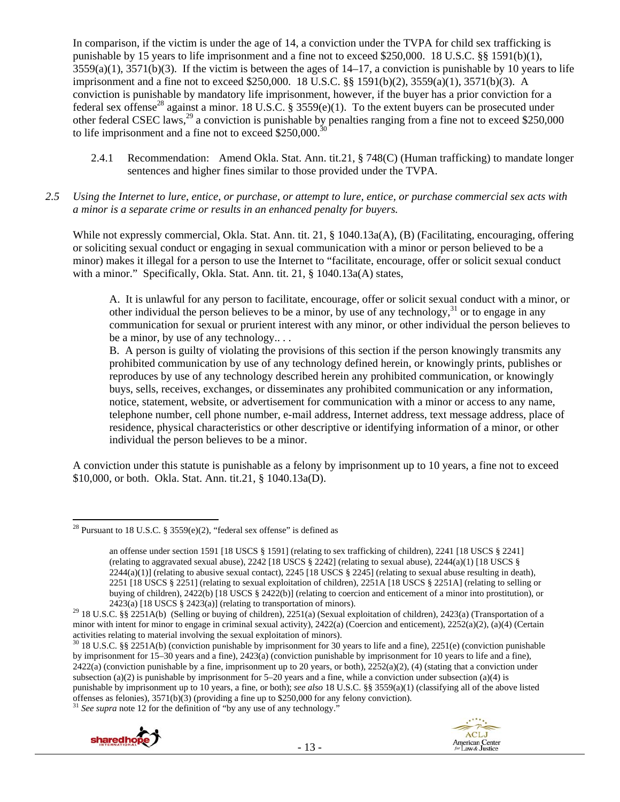In comparison, if the victim is under the age of 14, a conviction under the TVPA for child sex trafficking is punishable by 15 years to life imprisonment and a fine not to exceed \$250,000. 18 U.S.C. §§ 1591(b)(1),  $3559(a)(1)$ ,  $3571(b)(3)$ . If the victim is between the ages of  $14-17$ , a conviction is punishable by 10 years to life imprisonment and a fine not to exceed \$250,000. 18 U.S.C. §§ 1591(b)(2), 3559(a)(1), 3571(b)(3). A conviction is punishable by mandatory life imprisonment, however, if the buyer has a prior conviction for a federal sex offense<sup>28</sup> against a minor. 18 U.S.C. § 3559(e)(1). To the extent buyers can be prosecuted under other federal CSEC laws,<sup>29</sup> a conviction is punishable by penalties ranging from a fine not to exceed \$250,000 to life imprisonment and a fine not to exceed  $$250,000.<sup>30</sup>$ 

- 2.4.1 Recommendation: Amend Okla. Stat. Ann. tit.21, § 748(C) (Human trafficking) to mandate longer sentences and higher fines similar to those provided under the TVPA.
- *2.5 Using the Internet to lure, entice, or purchase, or attempt to lure, entice, or purchase commercial sex acts with a minor is a separate crime or results in an enhanced penalty for buyers.*

While not expressly commercial, Okla. Stat. Ann. tit. 21, § 1040.13a(A), (B) (Facilitating, encouraging, offering or soliciting sexual conduct or engaging in sexual communication with a minor or person believed to be a minor) makes it illegal for a person to use the Internet to "facilitate, encourage, offer or solicit sexual conduct with a minor." Specifically, Okla. Stat. Ann. tit. 21, § 1040.13a(A) states,

A. It is unlawful for any person to facilitate, encourage, offer or solicit sexual conduct with a minor, or other individual the person believes to be a minor, by use of any technology,  $31$  or to engage in any communication for sexual or prurient interest with any minor, or other individual the person believes to be a minor, by use of any technology.. . .

B. A person is guilty of violating the provisions of this section if the person knowingly transmits any prohibited communication by use of any technology defined herein, or knowingly prints, publishes or reproduces by use of any technology described herein any prohibited communication, or knowingly buys, sells, receives, exchanges, or disseminates any prohibited communication or any information, notice, statement, website, or advertisement for communication with a minor or access to any name, telephone number, cell phone number, e-mail address, Internet address, text message address, place of residence, physical characteristics or other descriptive or identifying information of a minor, or other individual the person believes to be a minor.

A conviction under this statute is punishable as a felony by imprisonment up to 10 years, a fine not to exceed \$10,000, or both. Okla. Stat. Ann. tit.21, § 1040.13a(D).

<sup>30 18</sup> U.S.C. §§ 2251A(b) (conviction punishable by imprisonment for 30 years to life and a fine), 2251(e) (conviction punishable by imprisonment for 15–30 years and a fine), 2423(a) (conviction punishable by imprisonment for 10 years to life and a fine), 2422(a) (conviction punishable by a fine, imprisonment up to 20 years, or both), 2252(a)(2), (4) (stating that a conviction under subsection (a)(2) is punishable by imprisonment for  $5-20$  years and a fine, while a conviction under subsection (a)(4) is punishable by imprisonment up to 10 years, a fine, or both); *see also* 18 U.S.C. §§ 3559(a)(1) (classifying all of the above listed offenses as felonies), 3571(b)(3) (providing a fine up to \$250,000 for any felony conviction). 31 *See supra* note 12 for the definition of "by any use of any technology."





 <sup>28</sup> Pursuant to 18 U.S.C. § 3559 $(e)(2)$ , "federal sex offense" is defined as

an offense under section 1591 [18 USCS § 1591] (relating to sex trafficking of children), 2241 [18 USCS § 2241] (relating to aggravated sexual abuse), 2242 [18 USCS § 2242] (relating to sexual abuse), 2244(a)(1) [18 USCS §  $2244(a)(1)$  (relating to abusive sexual contact),  $2245$  [18 USCS § 2245] (relating to sexual abuse resulting in death), 2251 [18 USCS § 2251] (relating to sexual exploitation of children), 2251A [18 USCS § 2251A] (relating to selling or buying of children), 2422(b) [18 USCS § 2422(b)] (relating to coercion and enticement of a minor into prostitution), or

<sup>2423(</sup>a) [18 USCS § 2423(a)] (relating to transportation of minors).<br><sup>29</sup> 18 U.S.C. §§ 2251A(b) (Selling or buying of children), 2251(a) (Sexual exploitation of children), 2423(a) (Transportation of a minor with intent for minor to engage in criminal sexual activity), 2422(a) (Coercion and enticement), 2252(a)(2), (a)(4) (Certain activities relating to material involving the sexual exploitation of minors).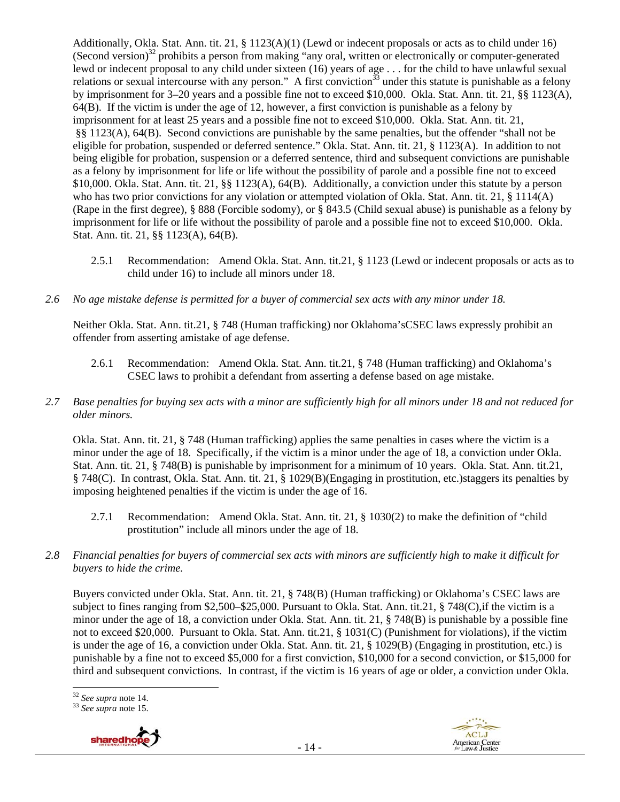Additionally, Okla. Stat. Ann. tit. 21, § 1123(A)(1) (Lewd or indecent proposals or acts as to child under 16) (Second version) $32$  prohibits a person from making "any oral, written or electronically or computer-generated lewd or indecent proposal to any child under sixteen (16) years of age . . . for the child to have unlawful sexual relations or sexual intercourse with any person." A first conviction<sup>33</sup> under this statute is punishable as a felony by imprisonment for 3–20 years and a possible fine not to exceed \$10,000. Okla. Stat. Ann. tit. 21, §§ 1123(A), 64(B). If the victim is under the age of 12, however, a first conviction is punishable as a felony by imprisonment for at least 25 years and a possible fine not to exceed \$10,000. Okla. Stat. Ann. tit. 21, §§ 1123(A), 64(B). Second convictions are punishable by the same penalties, but the offender "shall not be eligible for probation, suspended or deferred sentence." Okla. Stat. Ann. tit. 21, § 1123(A). In addition to not being eligible for probation, suspension or a deferred sentence, third and subsequent convictions are punishable as a felony by imprisonment for life or life without the possibility of parole and a possible fine not to exceed \$10,000. Okla. Stat. Ann. tit. 21, §§ 1123(A), 64(B). Additionally, a conviction under this statute by a person who has two prior convictions for any violation or attempted violation of Okla. Stat. Ann. tit. 21, § 1114(A) (Rape in the first degree), § 888 (Forcible sodomy), or § 843.5 (Child sexual abuse) is punishable as a felony by imprisonment for life or life without the possibility of parole and a possible fine not to exceed \$10,000. Okla. Stat. Ann. tit. 21, §§ 1123(A), 64(B).

- 2.5.1 Recommendation: Amend Okla. Stat. Ann. tit.21, § 1123 (Lewd or indecent proposals or acts as to child under 16) to include all minors under 18.
- *2.6 No age mistake defense is permitted for a buyer of commercial sex acts with any minor under 18.*

Neither Okla. Stat. Ann. tit.21, § 748 (Human trafficking) nor Oklahoma'sCSEC laws expressly prohibit an offender from asserting amistake of age defense.

- 2.6.1 Recommendation: Amend Okla. Stat. Ann. tit.21, § 748 (Human trafficking) and Oklahoma's CSEC laws to prohibit a defendant from asserting a defense based on age mistake.
- *2.7 Base penalties for buying sex acts with a minor are sufficiently high for all minors under 18 and not reduced for older minors.*

Okla. Stat. Ann. tit. 21, § 748 (Human trafficking) applies the same penalties in cases where the victim is a minor under the age of 18. Specifically, if the victim is a minor under the age of 18, a conviction under Okla. Stat. Ann. tit. 21, § 748(B) is punishable by imprisonment for a minimum of 10 years. Okla. Stat. Ann. tit.21, § 748(C). In contrast, Okla. Stat. Ann. tit. 21, § 1029(B)(Engaging in prostitution, etc.)staggers its penalties by imposing heightened penalties if the victim is under the age of 16.

- 2.7.1 Recommendation: Amend Okla. Stat. Ann. tit. 21, § 1030(2) to make the definition of "child prostitution" include all minors under the age of 18.
- *2.8 Financial penalties for buyers of commercial sex acts with minors are sufficiently high to make it difficult for buyers to hide the crime.*

Buyers convicted under Okla. Stat. Ann. tit. 21, § 748(B) (Human trafficking) or Oklahoma's CSEC laws are subject to fines ranging from \$2,500–\$25,000. Pursuant to Okla. Stat. Ann. tit.21, § 748(C),if the victim is a minor under the age of 18, a conviction under Okla. Stat. Ann. tit. 21, § 748(B) is punishable by a possible fine not to exceed \$20,000. Pursuant to Okla. Stat. Ann. tit.21, § 1031(C) (Punishment for violations), if the victim is under the age of 16, a conviction under Okla. Stat. Ann. tit. 21, § 1029(B) (Engaging in prostitution, etc.) is punishable by a fine not to exceed \$5,000 for a first conviction, \$10,000 for a second conviction, or \$15,000 for third and subsequent convictions. In contrast, if the victim is 16 years of age or older, a conviction under Okla.

<sup>32</sup> *See supra* note 14. 33 *See supra* note 15.





<sup>&</sup>lt;sup>32</sup> See supra note 14.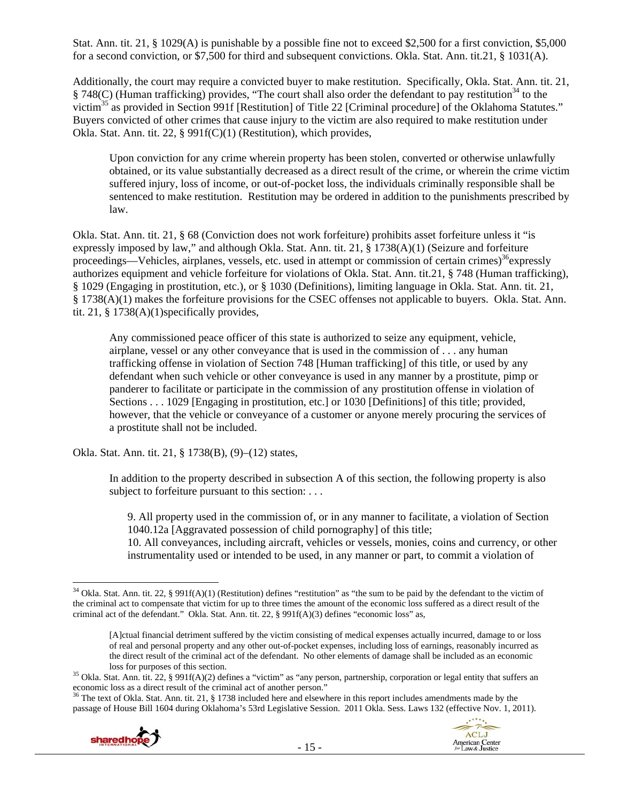Stat. Ann. tit. 21, § 1029(A) is punishable by a possible fine not to exceed \$2,500 for a first conviction, \$5,000 for a second conviction, or \$7,500 for third and subsequent convictions. Okla. Stat. Ann. tit.21, § 1031(A).

Additionally, the court may require a convicted buyer to make restitution. Specifically, Okla. Stat. Ann. tit. 21,  $§ 748(C)$  (Human trafficking) provides, "The court shall also order the defendant to pay restitution<sup>34</sup> to the victim35 as provided in Section 991f [Restitution] of Title 22 [Criminal procedure] of the Oklahoma Statutes." Buyers convicted of other crimes that cause injury to the victim are also required to make restitution under Okla. Stat. Ann. tit. 22, § 991f(C)(1) (Restitution), which provides,

Upon conviction for any crime wherein property has been stolen, converted or otherwise unlawfully obtained, or its value substantially decreased as a direct result of the crime, or wherein the crime victim suffered injury, loss of income, or out-of-pocket loss, the individuals criminally responsible shall be sentenced to make restitution. Restitution may be ordered in addition to the punishments prescribed by law.

Okla. Stat. Ann. tit. 21, § 68 (Conviction does not work forfeiture) prohibits asset forfeiture unless it "is expressly imposed by law," and although Okla. Stat. Ann. tit. 21, § 1738(A)(1) (Seizure and forfeiture proceedings—Vehicles, airplanes, vessels, etc. used in attempt or commission of certain crimes)<sup>36</sup>expressly authorizes equipment and vehicle forfeiture for violations of Okla. Stat. Ann. tit.21, § 748 (Human trafficking), § 1029 (Engaging in prostitution, etc.), or § 1030 (Definitions), limiting language in Okla. Stat. Ann. tit. 21, § 1738(A)(1) makes the forfeiture provisions for the CSEC offenses not applicable to buyers. Okla. Stat. Ann. tit. 21, § 1738(A)(1)specifically provides,

Any commissioned peace officer of this state is authorized to seize any equipment, vehicle, airplane, vessel or any other conveyance that is used in the commission of . . . any human trafficking offense in violation of Section 748 [Human trafficking] of this title, or used by any defendant when such vehicle or other conveyance is used in any manner by a prostitute, pimp or panderer to facilitate or participate in the commission of any prostitution offense in violation of Sections . . . 1029 [Engaging in prostitution, etc.] or 1030 [Definitions] of this title; provided, however, that the vehicle or conveyance of a customer or anyone merely procuring the services of a prostitute shall not be included.

Okla. Stat. Ann. tit. 21, § 1738(B), (9)–(12) states,

In addition to the property described in subsection A of this section, the following property is also subject to forfeiture pursuant to this section: . . .

9. All property used in the commission of, or in any manner to facilitate, a violation of Section 1040.12a [Aggravated possession of child pornography] of this title;

10. All conveyances, including aircraft, vehicles or vessels, monies, coins and currency, or other instrumentality used or intended to be used, in any manner or part, to commit a violation of

<sup>&</sup>lt;sup>36</sup> The text of Okla. Stat. Ann. tit. 21, § 1738 included here and elsewhere in this report includes amendments made by the passage of House Bill 1604 during Oklahoma's 53rd Legislative Session. 2011 Okla. Sess. Laws 132 (effective Nov. 1, 2011).





 <sup>34</sup> Okla. Stat. Ann. tit. 22, § 991f(A)(1) (Restitution) defines "restitution" as "the sum to be paid by the defendant to the victim of the criminal act to compensate that victim for up to three times the amount of the economic loss suffered as a direct result of the criminal act of the defendant." Okla. Stat. Ann. tit. 22, § 991f(A)(3) defines "economic loss" as,

<sup>[</sup>A]ctual financial detriment suffered by the victim consisting of medical expenses actually incurred, damage to or loss of real and personal property and any other out-of-pocket expenses, including loss of earnings, reasonably incurred as the direct result of the criminal act of the defendant. No other elements of damage shall be included as an economic loss for purposes of this section.

<sup>&</sup>lt;sup>35</sup> Okla. Stat. Ann. tit. 22, § 991f(A)(2) defines a "victim" as "any person, partnership, corporation or legal entity that suffers an economic loss as a direct result of the criminal act of another person."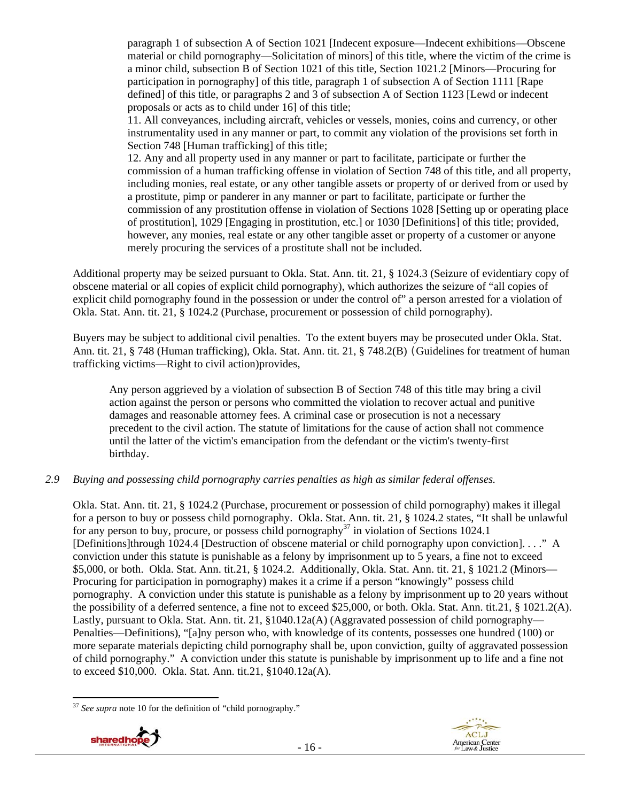paragraph 1 of subsection A of Section 1021 [Indecent exposure—Indecent exhibitions—Obscene material or child pornography—Solicitation of minors] of this title, where the victim of the crime is a minor child, subsection B of Section 1021 of this title, Section 1021.2 [Minors—Procuring for participation in pornography] of this title, paragraph 1 of subsection A of Section 1111 [Rape defined] of this title, or paragraphs 2 and 3 of subsection A of Section 1123 [Lewd or indecent proposals or acts as to child under 16] of this title;

11. All conveyances, including aircraft, vehicles or vessels, monies, coins and currency, or other instrumentality used in any manner or part, to commit any violation of the provisions set forth in Section 748 [Human trafficking] of this title;

12. Any and all property used in any manner or part to facilitate, participate or further the commission of a human trafficking offense in violation of Section 748 of this title, and all property, including monies, real estate, or any other tangible assets or property of or derived from or used by a prostitute, pimp or panderer in any manner or part to facilitate, participate or further the commission of any prostitution offense in violation of Sections 1028 [Setting up or operating place of prostitution], 1029 [Engaging in prostitution, etc.] or 1030 [Definitions] of this title; provided, however, any monies, real estate or any other tangible asset or property of a customer or anyone merely procuring the services of a prostitute shall not be included.

Additional property may be seized pursuant to Okla. Stat. Ann. tit. 21, § 1024.3 (Seizure of evidentiary copy of obscene material or all copies of explicit child pornography), which authorizes the seizure of "all copies of explicit child pornography found in the possession or under the control of" a person arrested for a violation of Okla. Stat. Ann. tit. 21, § 1024.2 (Purchase, procurement or possession of child pornography).

Buyers may be subject to additional civil penalties. To the extent buyers may be prosecuted under Okla. Stat. Ann. tit. 21, § 748 (Human trafficking), Okla. Stat. Ann. tit. 21, § 748.2(B) (Guidelines for treatment of human trafficking victims—Right to civil action)provides,

Any person aggrieved by a violation of subsection B of Section 748 of this title may bring a civil action against the person or persons who committed the violation to recover actual and punitive damages and reasonable attorney fees. A criminal case or prosecution is not a necessary precedent to the civil action. The statute of limitations for the cause of action shall not commence until the latter of the victim's emancipation from the defendant or the victim's twenty-first birthday.

## *2.9 Buying and possessing child pornography carries penalties as high as similar federal offenses.*

Okla. Stat. Ann. tit. 21, § 1024.2 (Purchase, procurement or possession of child pornography) makes it illegal for a person to buy or possess child pornography. Okla. Stat. Ann. tit. 21, § 1024.2 states, "It shall be unlawful for any person to buy, procure, or possess child pornography<sup>37</sup> in violation of Sections 1024.1 [Definitions]through 1024.4 [Destruction of obscene material or child pornography upon conviction]. . . ." A conviction under this statute is punishable as a felony by imprisonment up to 5 years, a fine not to exceed \$5,000, or both. Okla. Stat. Ann. tit.21, § 1024.2. Additionally, Okla. Stat. Ann. tit. 21, § 1021.2 (Minors— Procuring for participation in pornography) makes it a crime if a person "knowingly" possess child pornography. A conviction under this statute is punishable as a felony by imprisonment up to 20 years without the possibility of a deferred sentence, a fine not to exceed \$25,000, or both. Okla. Stat. Ann. tit.21, § 1021.2(A). Lastly, pursuant to Okla. Stat. Ann. tit. 21, §1040.12a(A) (Aggravated possession of child pornography— Penalties—Definitions), "[a]ny person who, with knowledge of its contents, possesses one hundred (100) or more separate materials depicting child pornography shall be, upon conviction, guilty of aggravated possession of child pornography." A conviction under this statute is punishable by imprisonment up to life and a fine not to exceed \$10,000. Okla. Stat. Ann. tit.21, §1040.12a(A).

 <sup>37</sup> See supra note 10 for the definition of "child pornography."



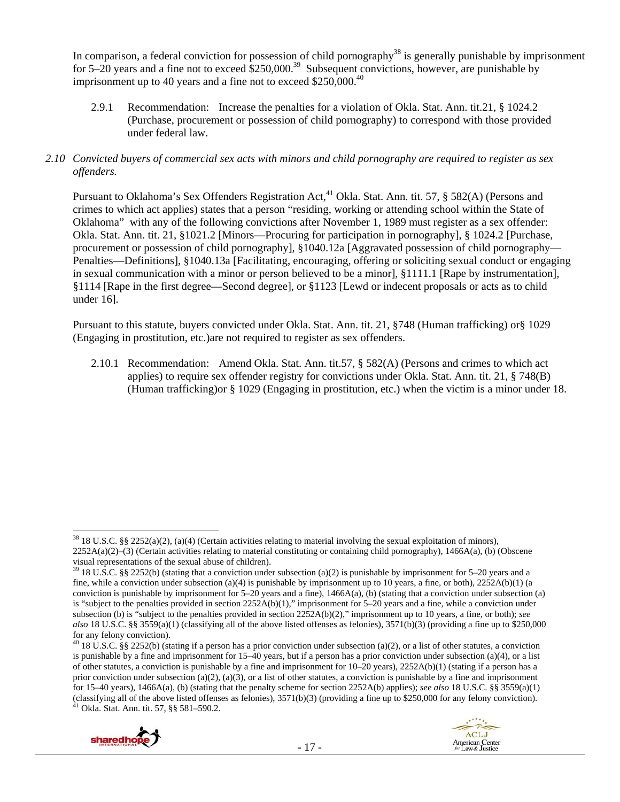In comparison, a federal conviction for possession of child pornography<sup>38</sup> is generally punishable by imprisonment for 5–20 years and a fine not to exceed  $$250,000.<sup>39</sup>$  Subsequent convictions, however, are punishable by imprisonment up to 40 years and a fine not to exceed  $$250,000.<sup>40</sup>$ 

- 2.9.1 Recommendation: Increase the penalties for a violation of Okla. Stat. Ann. tit.21, § 1024.2 (Purchase, procurement or possession of child pornography) to correspond with those provided under federal law.
- *2.10 Convicted buyers of commercial sex acts with minors and child pornography are required to register as sex offenders.*

Pursuant to Oklahoma's Sex Offenders Registration Act,<sup>41</sup> Okla. Stat. Ann. tit. 57, § 582(A) (Persons and crimes to which act applies) states that a person "residing, working or attending school within the State of Oklahoma" with any of the following convictions after November 1, 1989 must register as a sex offender: Okla. Stat. Ann. tit. 21, §1021.2 [Minors—Procuring for participation in pornography], § 1024.2 [Purchase, procurement or possession of child pornography], §1040.12a [Aggravated possession of child pornography— Penalties—Definitions], §1040.13a [Facilitating, encouraging, offering or soliciting sexual conduct or engaging in sexual communication with a minor or person believed to be a minor], §1111.1 [Rape by instrumentation], §1114 [Rape in the first degree—Second degree], or §1123 [Lewd or indecent proposals or acts as to child under 16].

Pursuant to this statute, buyers convicted under Okla. Stat. Ann. tit. 21, §748 (Human trafficking) or§ 1029 (Engaging in prostitution, etc.)are not required to register as sex offenders.

2.10.1 Recommendation: Amend Okla. Stat. Ann. tit.57, § 582(A) (Persons and crimes to which act applies) to require sex offender registry for convictions under Okla. Stat. Ann. tit. 21, § 748(B) (Human trafficking)or § 1029 (Engaging in prostitution, etc.) when the victim is a minor under 18.

 $40$  18 U.S.C. §§ 2252(b) (stating if a person has a prior conviction under subsection (a)(2), or a list of other statutes, a conviction is punishable by a fine and imprisonment for  $15-40$  years, but if a person has a prior conviction under subsection (a)(4), or a list of other statutes, a conviction is punishable by a fine and imprisonment for 10–20 years), 2252A(b)(1) (stating if a person has a prior conviction under subsection (a)(2), (a)(3), or a list of other statutes, a conviction is punishable by a fine and imprisonment for 15–40 years), 1466A(a), (b) (stating that the penalty scheme for section 2252A(b) applies); *see also* 18 U.S.C. §§ 3559(a)(1) (classifying all of the above listed offenses as felonies),  $3571(b)(3)$  (providing a fine up to \$250,000 for any felony conviction). <sup>41</sup> Okla. Stat. Ann. tit. 57, §§ 581–590.2.



 $38\,18$  U.S.C. §§ 2252(a)(2), (a)(4) (Certain activities relating to material involving the sexual exploitation of minors), 2252A(a)(2)–(3) (Certain activities relating to material constituting or containing child pornography), 1466A(a), (b) (Obscene visual representations of the sexual abuse of children).

<sup>&</sup>lt;sup>39</sup> 18 U.S.C. §§ 2252(b) (stating that a conviction under subsection (a)(2) is punishable by imprisonment for 5–20 years and a fine, while a conviction under subsection (a)(4) is punishable by imprisonment up to 10 years, a fine, or both),  $2252A(b)(1)$  (a conviction is punishable by imprisonment for  $5-20$  years and a fine), 1466A(a), (b) (stating that a conviction under subsection (a) is "subject to the penalties provided in section 2252A(b)(1)," imprisonment for 5–20 years and a fine, while a conviction under subsection (b) is "subject to the penalties provided in section 2252A(b)(2)," imprisonment up to 10 years, a fine, or both); *see also* 18 U.S.C. §§ 3559(a)(1) (classifying all of the above listed offenses as felonies), 3571(b)(3) (providing a fine up to \$250,000 for any felony conviction).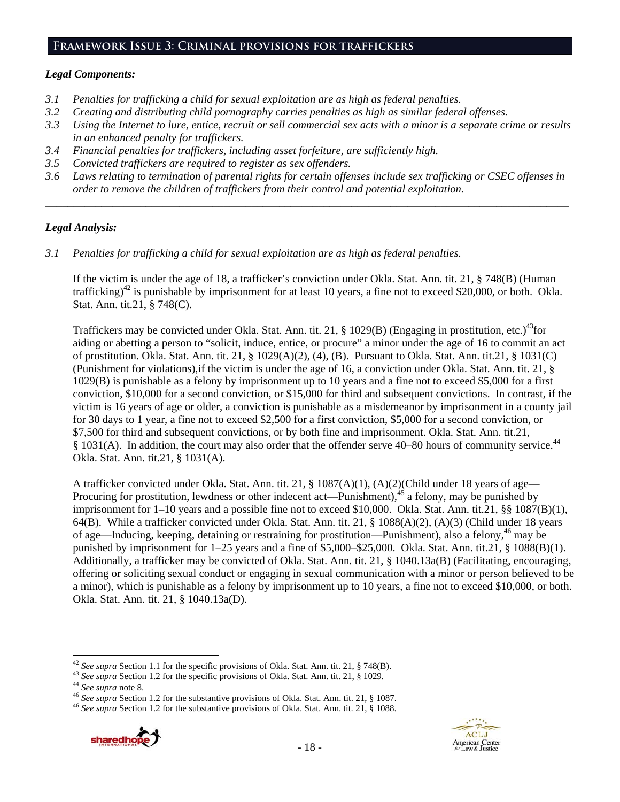#### **Framework Issue 3: Criminal provisions for traffickers**

#### *Legal Components:*

- *3.1 Penalties for trafficking a child for sexual exploitation are as high as federal penalties.*
- *3.2 Creating and distributing child pornography carries penalties as high as similar federal offenses.*
- *3.3 Using the Internet to lure, entice, recruit or sell commercial sex acts with a minor is a separate crime or results in an enhanced penalty for traffickers.*
- *3.4 Financial penalties for traffickers, including asset forfeiture, are sufficiently high.*
- *3.5 Convicted traffickers are required to register as sex offenders.*
- *3.6 Laws relating to termination of parental rights for certain offenses include sex trafficking or CSEC offenses in order to remove the children of traffickers from their control and potential exploitation. \_\_\_\_\_\_\_\_\_\_\_\_\_\_\_\_\_\_\_\_\_\_\_\_\_\_\_\_\_\_\_\_\_\_\_\_\_\_\_\_\_\_\_\_\_\_\_\_\_\_\_\_\_\_\_\_\_\_\_\_\_\_\_\_\_\_\_\_\_\_\_\_\_\_\_\_\_\_\_\_\_\_\_\_\_\_\_\_\_\_\_\_\_\_*

#### *Legal Analysis:*

*3.1 Penalties for trafficking a child for sexual exploitation are as high as federal penalties.* 

If the victim is under the age of 18, a trafficker's conviction under Okla. Stat. Ann. tit. 21, § 748(B) (Human trafficking)<sup>42</sup> is punishable by imprisonment for at least 10 years, a fine not to exceed \$20,000, or both. Okla. Stat. Ann. tit.21, § 748(C).

Traffickers may be convicted under Okla. Stat. Ann. tit. 21, § 1029(B) (Engaging in prostitution, etc.)<sup>43</sup>for aiding or abetting a person to "solicit, induce, entice, or procure" a minor under the age of 16 to commit an act of prostitution. Okla. Stat. Ann. tit. 21, § 1029(A)(2), (4), (B). Pursuant to Okla. Stat. Ann. tit.21, § 1031(C) (Punishment for violations),if the victim is under the age of 16, a conviction under Okla. Stat. Ann. tit. 21, § 1029(B) is punishable as a felony by imprisonment up to 10 years and a fine not to exceed \$5,000 for a first conviction, \$10,000 for a second conviction, or \$15,000 for third and subsequent convictions. In contrast, if the victim is 16 years of age or older, a conviction is punishable as a misdemeanor by imprisonment in a county jail for 30 days to 1 year, a fine not to exceed \$2,500 for a first conviction, \$5,000 for a second conviction, or \$7,500 for third and subsequent convictions, or by both fine and imprisonment. Okla. Stat. Ann. tit.21, § 1031(A). In addition, the court may also order that the offender serve 40–80 hours of community service.<sup>44</sup> Okla. Stat. Ann. tit.21, § 1031(A).

A trafficker convicted under Okla. Stat. Ann. tit. 21, § 1087(A)(1), (A)(2)(Child under 18 years of age— Procuring for prostitution, lewdness or other indecent act—Punishment),<sup>45</sup> a felony, may be punished by imprisonment for 1–10 years and a possible fine not to exceed \$10,000. Okla. Stat. Ann. tit.21, §§ 1087(B)(1), 64(B). While a trafficker convicted under Okla. Stat. Ann. tit. 21, § 1088(A)(2), (A)(3) (Child under 18 years of age—Inducing, keeping, detaining or restraining for prostitution—Punishment), also a felony,<sup>46</sup> may be punished by imprisonment for 1–25 years and a fine of \$5,000–\$25,000. Okla. Stat. Ann. tit.21, § 1088(B)(1). Additionally, a trafficker may be convicted of Okla. Stat. Ann. tit. 21, § 1040.13a(B) (Facilitating, encouraging, offering or soliciting sexual conduct or engaging in sexual communication with a minor or person believed to be a minor), which is punishable as a felony by imprisonment up to 10 years, a fine not to exceed \$10,000, or both. Okla. Stat. Ann. tit. 21, § 1040.13a(D).



<sup>&</sup>lt;sup>42</sup> See supra Section 1.1 for the specific provisions of Okla. Stat. Ann. tit. 21, § 748(B).<br><sup>43</sup> See supra Section 1.2 for the specific provisions of Okla. Stat. Ann. tit. 21, § 1029.<br><sup>44</sup> See supra note 8.<br><sup>46</sup> See sup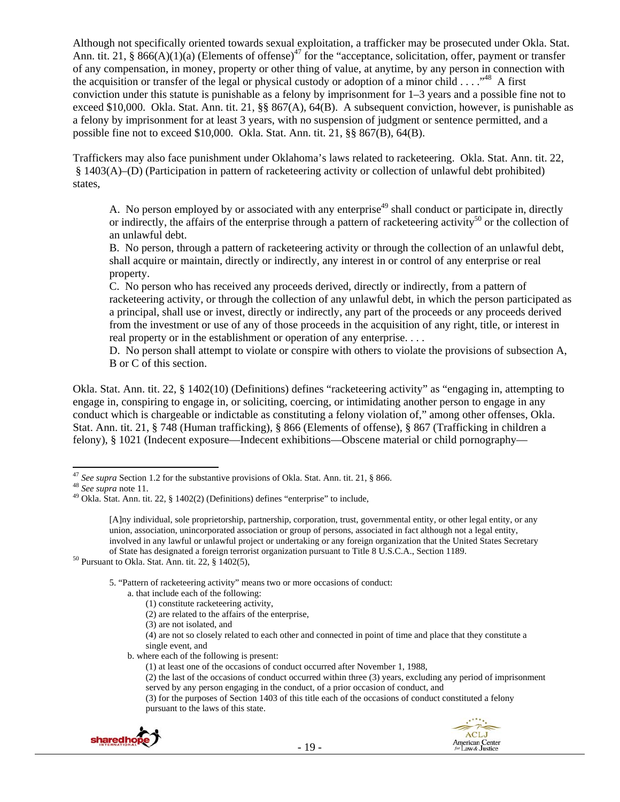Although not specifically oriented towards sexual exploitation, a trafficker may be prosecuted under Okla. Stat. Ann. tit. 21, § 866(A)(1)(a) (Elements of offense)<sup>47</sup> for the "acceptance, solicitation, offer, payment or transfer of any compensation, in money, property or other thing of value, at anytime, by any person in connection with the acquisition or transfer of the legal or physical custody or adoption of a minor child  $\dots$ ."<sup>48</sup> A first conviction under this statute is punishable as a felony by imprisonment for 1–3 years and a possible fine not to exceed \$10,000. Okla. Stat. Ann. tit. 21, §§ 867(A), 64(B). A subsequent conviction, however, is punishable as a felony by imprisonment for at least 3 years, with no suspension of judgment or sentence permitted, and a possible fine not to exceed \$10,000. Okla. Stat. Ann. tit. 21, §§ 867(B), 64(B).

Traffickers may also face punishment under Oklahoma's laws related to racketeering. Okla. Stat. Ann. tit. 22, § 1403(A)–(D) (Participation in pattern of racketeering activity or collection of unlawful debt prohibited) states,

A. No person employed by or associated with any enterprise<sup>49</sup> shall conduct or participate in, directly or indirectly, the affairs of the enterprise through a pattern of racketeering activity<sup>50</sup> or the collection of an unlawful debt.

B. No person, through a pattern of racketeering activity or through the collection of an unlawful debt, shall acquire or maintain, directly or indirectly, any interest in or control of any enterprise or real property.

C. No person who has received any proceeds derived, directly or indirectly, from a pattern of racketeering activity, or through the collection of any unlawful debt, in which the person participated as a principal, shall use or invest, directly or indirectly, any part of the proceeds or any proceeds derived from the investment or use of any of those proceeds in the acquisition of any right, title, or interest in real property or in the establishment or operation of any enterprise. . . .

D. No person shall attempt to violate or conspire with others to violate the provisions of subsection A, B or C of this section.

Okla. Stat. Ann. tit. 22, § 1402(10) (Definitions) defines "racketeering activity" as "engaging in, attempting to engage in, conspiring to engage in, or soliciting, coercing, or intimidating another person to engage in any conduct which is chargeable or indictable as constituting a felony violation of," among other offenses, Okla. Stat. Ann. tit. 21, § 748 (Human trafficking), § 866 (Elements of offense), § 867 (Trafficking in children a felony), § 1021 (Indecent exposure—Indecent exhibitions—Obscene material or child pornography—

5. "Pattern of racketeering activity" means two or more occasions of conduct:

(4) are not so closely related to each other and connected in point of time and place that they constitute a single event, and

b. where each of the following is present:

<sup>(3)</sup> for the purposes of Section 1403 of this title each of the occasions of conduct constituted a felony pursuant to the laws of this state.



 <sup>47</sup> *See supra* Section 1.2 for the substantive provisions of Okla. Stat. Ann. tit. 21, § 866. <sup>48</sup> *See supra* note 11. 49 Okla. Stat. Ann. tit. 22, § 1402(2) (Definitions) defines "enterprise" to include,

<sup>[</sup>A]ny individual, sole proprietorship, partnership, corporation, trust, governmental entity, or other legal entity, or any union, association, unincorporated association or group of persons, associated in fact although not a legal entity, involved in any lawful or unlawful project or undertaking or any foreign organization that the United States Secretary of State has designated a foreign terrorist organization pursuant to Title 8 U.S.C.A., Section 1189. 50 Pursuant to Okla. Stat. Ann. tit. 22, § 1402(5),

a. that include each of the following:

<sup>(1)</sup> constitute racketeering activity,

<sup>(2)</sup> are related to the affairs of the enterprise,

<sup>(3)</sup> are not isolated, and

<sup>(1)</sup> at least one of the occasions of conduct occurred after November 1, 1988,

<sup>(2)</sup> the last of the occasions of conduct occurred within three (3) years, excluding any period of imprisonment served by any person engaging in the conduct, of a prior occasion of conduct, and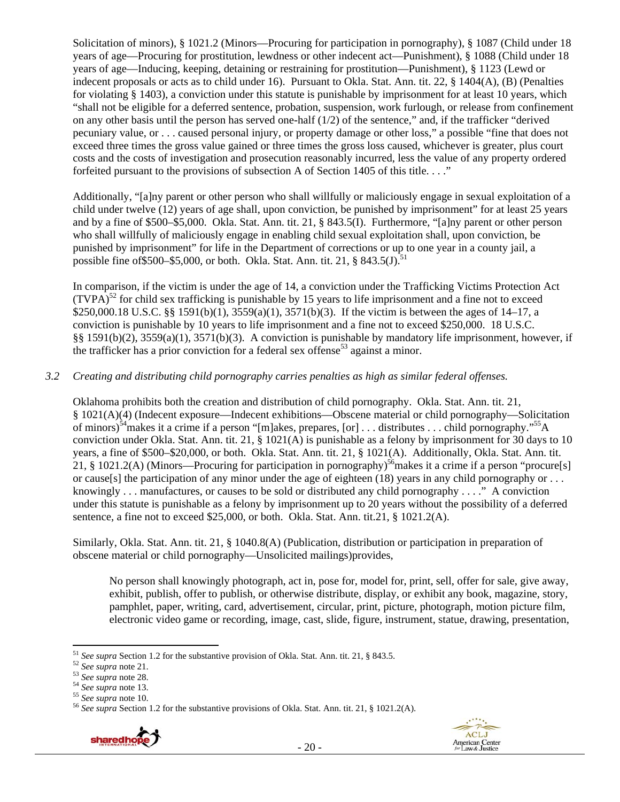Solicitation of minors), § 1021.2 (Minors—Procuring for participation in pornography), § 1087 (Child under 18 years of age—Procuring for prostitution, lewdness or other indecent act—Punishment), § 1088 (Child under 18 years of age—Inducing, keeping, detaining or restraining for prostitution—Punishment), § 1123 (Lewd or indecent proposals or acts as to child under 16). Pursuant to Okla. Stat. Ann. tit. 22, § 1404(A), (B) (Penalties for violating § 1403), a conviction under this statute is punishable by imprisonment for at least 10 years, which "shall not be eligible for a deferred sentence, probation, suspension, work furlough, or release from confinement on any other basis until the person has served one-half  $(1/2)$  of the sentence," and, if the trafficker "derived" pecuniary value, or . . . caused personal injury, or property damage or other loss," a possible "fine that does not exceed three times the gross value gained or three times the gross loss caused, whichever is greater, plus court costs and the costs of investigation and prosecution reasonably incurred, less the value of any property ordered forfeited pursuant to the provisions of subsection A of Section 1405 of this title. . . ."

Additionally, "[a]ny parent or other person who shall willfully or maliciously engage in sexual exploitation of a child under twelve (12) years of age shall, upon conviction, be punished by imprisonment" for at least 25 years and by a fine of \$500–\$5,000. Okla. Stat. Ann. tit. 21, § 843.5(I). Furthermore, "[a]ny parent or other person who shall willfully of maliciously engage in enabling child sexual exploitation shall, upon conviction, be punished by imprisonment" for life in the Department of corrections or up to one year in a county jail, a possible fine of \$500–\$5,000, or both. Okla. Stat. Ann. tit. 21,  $\S$  843.5(J).<sup>51</sup>

In comparison, if the victim is under the age of 14, a conviction under the Trafficking Victims Protection Act  $(TVPA)^{52}$  for child sex trafficking is punishable by 15 years to life imprisonment and a fine not to exceed \$250,000.18 U.S.C. §§ 1591(b)(1), 3559(a)(1), 3571(b)(3). If the victim is between the ages of 14–17, a conviction is punishable by 10 years to life imprisonment and a fine not to exceed \$250,000. 18 U.S.C. §§ 1591(b)(2), 3559(a)(1), 3571(b)(3). A conviction is punishable by mandatory life imprisonment, however, if the trafficker has a prior conviction for a federal sex offense<sup>53</sup> against a minor.

## *3.2 Creating and distributing child pornography carries penalties as high as similar federal offenses.*

Oklahoma prohibits both the creation and distribution of child pornography. Okla. Stat. Ann. tit. 21, § 1021(A)(4) (Indecent exposure—Indecent exhibitions—Obscene material or child pornography—Solicitation of minors)<sup>54</sup>makes it a crime if a person "[m]akes, prepares, [or] . . . distributes . . . child pornography."<sup>55</sup>A conviction under Okla. Stat. Ann. tit. 21, § 1021(A) is punishable as a felony by imprisonment for 30 days to 10 years, a fine of \$500–\$20,000, or both. Okla. Stat. Ann. tit. 21, § 1021(A). Additionally, Okla. Stat. Ann. tit. 21, § 1021.2(A) (Minors—Procuring for participation in pornography)<sup>56</sup> makes it a crime if a person "procure[s] or cause[s] the participation of any minor under the age of eighteen  $(18)$  years in any child pornography or ... knowingly . . . manufactures, or causes to be sold or distributed any child pornography . . . ." A conviction under this statute is punishable as a felony by imprisonment up to 20 years without the possibility of a deferred sentence, a fine not to exceed \$25,000, or both. Okla. Stat. Ann. tit.21, § 1021.2(A).

Similarly, Okla. Stat. Ann. tit. 21, § 1040.8(A) (Publication, distribution or participation in preparation of obscene material or child pornography—Unsolicited mailings)provides,

No person shall knowingly photograph, act in, pose for, model for, print, sell, offer for sale, give away, exhibit, publish, offer to publish, or otherwise distribute, display, or exhibit any book, magazine, story, pamphlet, paper, writing, card, advertisement, circular, print, picture, photograph, motion picture film, electronic video game or recording, image, cast, slide, figure, instrument, statue, drawing, presentation,

<sup>&</sup>lt;sup>52</sup> See supra note 21.<br>
<sup>53</sup> See supra note 28.<br>
<sup>53</sup> See supra note 28.<br>
<sup>54</sup> See supra note 13.<br>
<sup>55</sup> See supra note 10.<br>
<sup>56</sup> See supra note 10.<br>
<sup>56</sup> See supra Section 1.2 for the substantive provisions of Okla. Stat





<sup>&</sup>lt;sup>51</sup> See supra Section 1.2 for the substantive provision of Okla. Stat. Ann. tit. 21, § 843.5.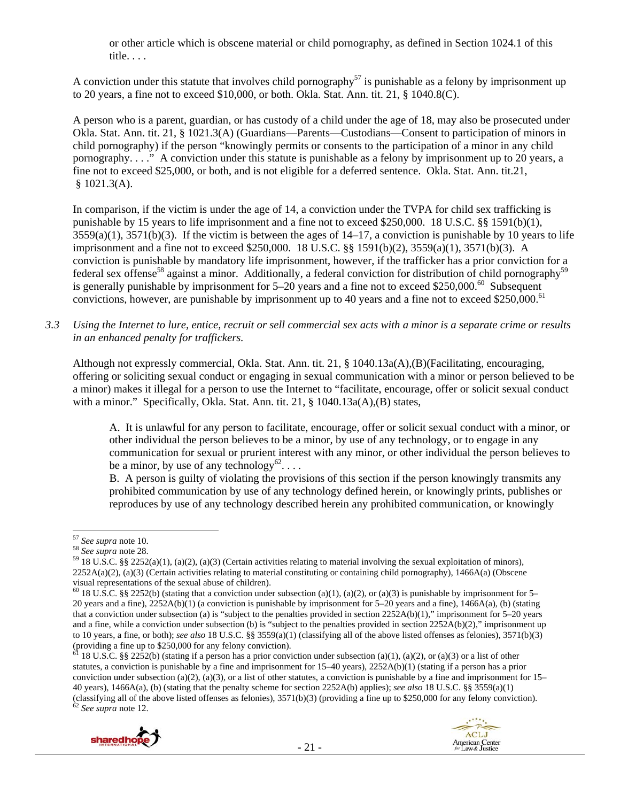or other article which is obscene material or child pornography, as defined in Section 1024.1 of this title. . . .

A conviction under this statute that involves child pornography<sup>57</sup> is punishable as a felony by imprisonment up to 20 years, a fine not to exceed \$10,000, or both. Okla. Stat. Ann. tit. 21, § 1040.8(C).

A person who is a parent, guardian, or has custody of a child under the age of 18, may also be prosecuted under Okla. Stat. Ann. tit. 21, § 1021.3(A) (Guardians—Parents—Custodians—Consent to participation of minors in child pornography) if the person "knowingly permits or consents to the participation of a minor in any child pornography. . . ." A conviction under this statute is punishable as a felony by imprisonment up to 20 years, a fine not to exceed \$25,000, or both, and is not eligible for a deferred sentence. Okla. Stat. Ann. tit.21,  $$1021.3(A).$ 

In comparison, if the victim is under the age of 14, a conviction under the TVPA for child sex trafficking is punishable by 15 years to life imprisonment and a fine not to exceed \$250,000. 18 U.S.C. §§ 1591(b)(1),  $3559(a)(1)$ ,  $3571(b)(3)$ . If the victim is between the ages of  $14-17$ , a conviction is punishable by 10 years to life imprisonment and a fine not to exceed \$250,000. 18 U.S.C. §§ 1591(b)(2), 3559(a)(1), 3571(b)(3). A conviction is punishable by mandatory life imprisonment, however, if the trafficker has a prior conviction for a federal sex offense<sup>58</sup> against a minor. Additionally, a federal conviction for distribution of child pornography<sup>59</sup> is generally punishable by imprisonment for  $5-20$  years and a fine not to exceed \$250,000.<sup>60</sup> Subsequent convictions, however, are punishable by imprisonment up to 40 years and a fine not to exceed \$250,000.<sup>61</sup>

*3.3 Using the Internet to lure, entice, recruit or sell commercial sex acts with a minor is a separate crime or results in an enhanced penalty for traffickers.* 

Although not expressly commercial, Okla. Stat. Ann. tit. 21, § 1040.13a(A),(B)(Facilitating, encouraging, offering or soliciting sexual conduct or engaging in sexual communication with a minor or person believed to be a minor) makes it illegal for a person to use the Internet to "facilitate, encourage, offer or solicit sexual conduct with a minor." Specifically, Okla. Stat. Ann. tit. 21, § 1040.13a(A),(B) states,

A. It is unlawful for any person to facilitate, encourage, offer or solicit sexual conduct with a minor, or other individual the person believes to be a minor, by use of any technology, or to engage in any communication for sexual or prurient interest with any minor, or other individual the person believes to be a minor, by use of any technology<sup>62</sup>...

B. A person is guilty of violating the provisions of this section if the person knowingly transmits any prohibited communication by use of any technology defined herein, or knowingly prints, publishes or reproduces by use of any technology described herein any prohibited communication, or knowingly

<sup>&</sup>lt;sup>61</sup> 18 U.S.C. §§ 2252(b) (stating if a person has a prior conviction under subsection (a)(1), (a)(2), or (a)(3) or a list of other statutes, a conviction is punishable by a fine and imprisonment for 15–40 years), 2252A(b)(1) (stating if a person has a prior conviction under subsection (a)(2), (a)(3), or a list of other statutes, a conviction is punishable by a fine and imprisonment for  $15-$ 40 years), 1466A(a), (b) (stating that the penalty scheme for section 2252A(b) applies); *see also* 18 U.S.C. §§ 3559(a)(1) (classifying all of the above listed offenses as felonies),  $3571(b)(3)$  (providing a fine up to \$250,000 for any felony conviction). <sup>62</sup> *See supra* note 12.



<sup>&</sup>lt;sup>57</sup> *See supra* note 10.<br><sup>58</sup> *See supra* note 28.<br><sup>59</sup> 18 U.S.C. §§ 2252(a)(1), (a)(2), (a)(3) (Certain activities relating to material involving the sexual exploitation of minors),  $2252A(a)(2)$ , (a)(3) (Certain activities relating to material constituting or containing child pornography), 1466A(a) (Obscene visual representations of the sexual abuse of children).

<sup>&</sup>lt;sup>60</sup> 18 U.S.C. §§ 2252(b) (stating that a conviction under subsection (a)(1), (a)(2), or (a)(3) is punishable by imprisonment for 5– 20 years and a fine), 2252A(b)(1) (a conviction is punishable by imprisonment for 5–20 years and a fine), 1466A(a), (b) (stating that a conviction under subsection (a) is "subject to the penalties provided in section  $2252A(b)(1)$ ," imprisonment for 5–20 years and a fine, while a conviction under subsection (b) is "subject to the penalties provided in section 2252A(b)(2)," imprisonment up to 10 years, a fine, or both); *see also* 18 U.S.C. §§ 3559(a)(1) (classifying all of the above listed offenses as felonies), 3571(b)(3) (providing a fine up to \$250,000 for any felony conviction).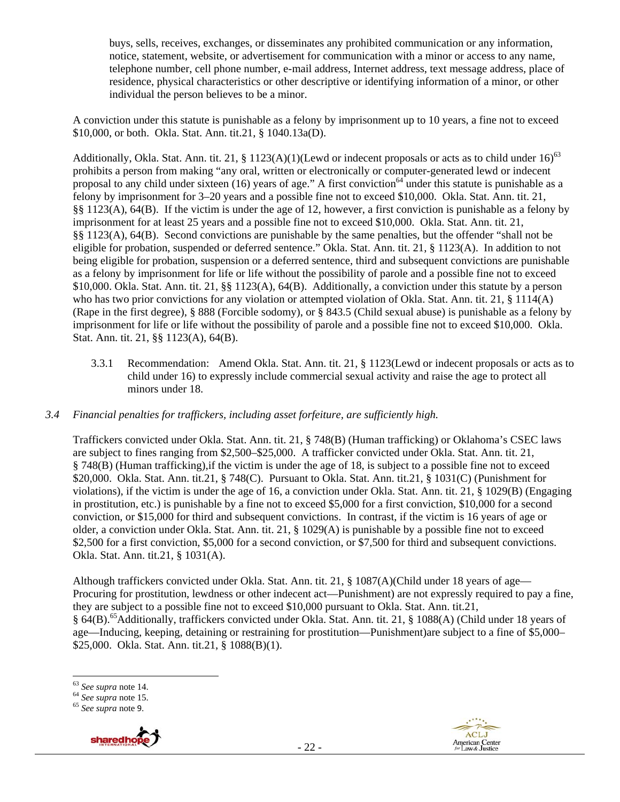buys, sells, receives, exchanges, or disseminates any prohibited communication or any information, notice, statement, website, or advertisement for communication with a minor or access to any name, telephone number, cell phone number, e-mail address, Internet address, text message address, place of residence, physical characteristics or other descriptive or identifying information of a minor, or other individual the person believes to be a minor.

A conviction under this statute is punishable as a felony by imprisonment up to 10 years, a fine not to exceed \$10,000, or both. Okla. Stat. Ann. tit.21, § 1040.13a(D).

Additionally, Okla. Stat. Ann. tit. 21, § 1123(A)(1)(Lewd or indecent proposals or acts as to child under 16)<sup>63</sup> prohibits a person from making "any oral, written or electronically or computer-generated lewd or indecent proposal to any child under sixteen (16) years of age." A first conviction<sup>64</sup> under this statute is punishable as a felony by imprisonment for 3–20 years and a possible fine not to exceed \$10,000. Okla. Stat. Ann. tit. 21, §§ 1123(A), 64(B). If the victim is under the age of 12, however, a first conviction is punishable as a felony by imprisonment for at least 25 years and a possible fine not to exceed \$10,000. Okla. Stat. Ann. tit. 21, §§ 1123(A), 64(B). Second convictions are punishable by the same penalties, but the offender "shall not be eligible for probation, suspended or deferred sentence." Okla. Stat. Ann. tit. 21, § 1123(A). In addition to not being eligible for probation, suspension or a deferred sentence, third and subsequent convictions are punishable as a felony by imprisonment for life or life without the possibility of parole and a possible fine not to exceed \$10,000. Okla. Stat. Ann. tit. 21, §§ 1123(A), 64(B). Additionally, a conviction under this statute by a person who has two prior convictions for any violation or attempted violation of Okla. Stat. Ann. tit. 21, § 1114(A) (Rape in the first degree), § 888 (Forcible sodomy), or § 843.5 (Child sexual abuse) is punishable as a felony by imprisonment for life or life without the possibility of parole and a possible fine not to exceed \$10,000. Okla. Stat. Ann. tit. 21, §§ 1123(A), 64(B).

3.3.1 Recommendation: Amend Okla. Stat. Ann. tit. 21, § 1123(Lewd or indecent proposals or acts as to child under 16) to expressly include commercial sexual activity and raise the age to protect all minors under 18.

## *3.4 Financial penalties for traffickers, including asset forfeiture, are sufficiently high.*

Traffickers convicted under Okla. Stat. Ann. tit. 21, § 748(B) (Human trafficking) or Oklahoma's CSEC laws are subject to fines ranging from \$2,500–\$25,000. A trafficker convicted under Okla. Stat. Ann. tit. 21, § 748(B) (Human trafficking),if the victim is under the age of 18, is subject to a possible fine not to exceed \$20,000. Okla. Stat. Ann. tit.21, § 748(C). Pursuant to Okla. Stat. Ann. tit.21, § 1031(C) (Punishment for violations), if the victim is under the age of 16, a conviction under Okla. Stat. Ann. tit. 21, § 1029(B) (Engaging in prostitution, etc.) is punishable by a fine not to exceed \$5,000 for a first conviction, \$10,000 for a second conviction, or \$15,000 for third and subsequent convictions. In contrast, if the victim is 16 years of age or older, a conviction under Okla. Stat. Ann. tit. 21, § 1029(A) is punishable by a possible fine not to exceed \$2,500 for a first conviction, \$5,000 for a second conviction, or \$7,500 for third and subsequent convictions. Okla. Stat. Ann. tit.21, § 1031(A).

Although traffickers convicted under Okla. Stat. Ann. tit. 21, § 1087(A)(Child under 18 years of age— Procuring for prostitution, lewdness or other indecent act—Punishment) are not expressly required to pay a fine, they are subject to a possible fine not to exceed \$10,000 pursuant to Okla. Stat. Ann. tit.21, § 64(B).65Additionally, traffickers convicted under Okla. Stat. Ann. tit. 21, § 1088(A) (Child under 18 years of age—Inducing, keeping, detaining or restraining for prostitution—Punishment)are subject to a fine of \$5,000– \$25,000. Okla. Stat. Ann. tit.21, § 1088(B)(1).



 <sup>63</sup> *See supra* note 14. 64 *See supra* note 15. 65 *See supra* note 9.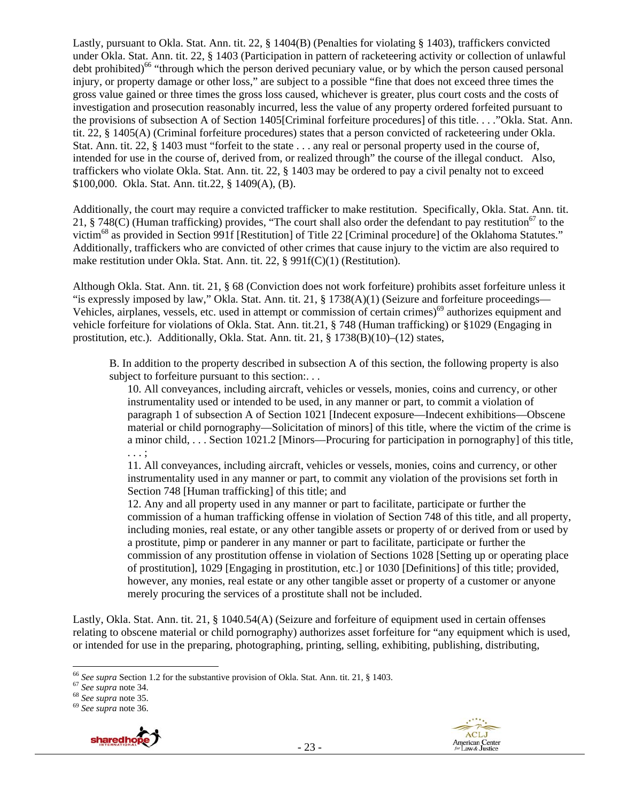Lastly, pursuant to Okla. Stat. Ann. tit. 22, § 1404(B) (Penalties for violating § 1403), traffickers convicted under Okla. Stat. Ann. tit. 22, § 1403 (Participation in pattern of racketeering activity or collection of unlawful debt prohibited)<sup>66</sup> "through which the person derived pecuniary value, or by which the person caused personal injury, or property damage or other loss," are subject to a possible "fine that does not exceed three times the gross value gained or three times the gross loss caused, whichever is greater, plus court costs and the costs of investigation and prosecution reasonably incurred, less the value of any property ordered forfeited pursuant to the provisions of subsection A of Section 1405[Criminal forfeiture procedures] of this title. . . ."Okla. Stat. Ann. tit. 22, § 1405(A) (Criminal forfeiture procedures) states that a person convicted of racketeering under Okla. Stat. Ann. tit. 22, § 1403 must "forfeit to the state . . . any real or personal property used in the course of, intended for use in the course of, derived from, or realized through" the course of the illegal conduct. Also, traffickers who violate Okla. Stat. Ann. tit. 22, § 1403 may be ordered to pay a civil penalty not to exceed \$100,000. Okla. Stat. Ann. tit.22, § 1409(A), (B).

Additionally, the court may require a convicted trafficker to make restitution. Specifically, Okla. Stat. Ann. tit. 21, § 748(C) (Human trafficking) provides, "The court shall also order the defendant to pay restitution<sup>67</sup> to the victim68 as provided in Section 991f [Restitution] of Title 22 [Criminal procedure] of the Oklahoma Statutes." Additionally, traffickers who are convicted of other crimes that cause injury to the victim are also required to make restitution under Okla. Stat. Ann. tit. 22, § 991f(C)(1) (Restitution).

Although Okla. Stat. Ann. tit. 21, § 68 (Conviction does not work forfeiture) prohibits asset forfeiture unless it "is expressly imposed by law," Okla. Stat. Ann. tit. 21, § 1738(A)(1) (Seizure and forfeiture proceedings— Vehicles, airplanes, vessels, etc. used in attempt or commission of certain crimes)<sup>69</sup> authorizes equipment and vehicle forfeiture for violations of Okla. Stat. Ann. tit.21, § 748 (Human trafficking) or §1029 (Engaging in prostitution, etc.). Additionally, Okla. Stat. Ann. tit. 21, § 1738(B)(10)–(12) states,

B. In addition to the property described in subsection A of this section, the following property is also subject to forfeiture pursuant to this section:...

10. All conveyances, including aircraft, vehicles or vessels, monies, coins and currency, or other instrumentality used or intended to be used, in any manner or part, to commit a violation of paragraph 1 of subsection A of Section 1021 [Indecent exposure—Indecent exhibitions—Obscene material or child pornography—Solicitation of minors] of this title, where the victim of the crime is a minor child, . . . Section 1021.2 [Minors—Procuring for participation in pornography] of this title, . . . ;

11. All conveyances, including aircraft, vehicles or vessels, monies, coins and currency, or other instrumentality used in any manner or part, to commit any violation of the provisions set forth in Section 748 [Human trafficking] of this title; and

12. Any and all property used in any manner or part to facilitate, participate or further the commission of a human trafficking offense in violation of Section 748 of this title, and all property, including monies, real estate, or any other tangible assets or property of or derived from or used by a prostitute, pimp or panderer in any manner or part to facilitate, participate or further the commission of any prostitution offense in violation of Sections 1028 [Setting up or operating place of prostitution], 1029 [Engaging in prostitution, etc.] or 1030 [Definitions] of this title; provided, however, any monies, real estate or any other tangible asset or property of a customer or anyone merely procuring the services of a prostitute shall not be included.

Lastly, Okla. Stat. Ann. tit. 21, § 1040.54(A) (Seizure and forfeiture of equipment used in certain offenses relating to obscene material or child pornography) authorizes asset forfeiture for "any equipment which is used, or intended for use in the preparing, photographing, printing, selling, exhibiting, publishing, distributing,





<sup>66</sup> *See supra* Section 1.2 for the substantive provision of Okla. Stat. Ann. tit. 21, § 1403. 67 *See supra* note 34. 68 *See supra* note 35. 69 *See supra* note 36.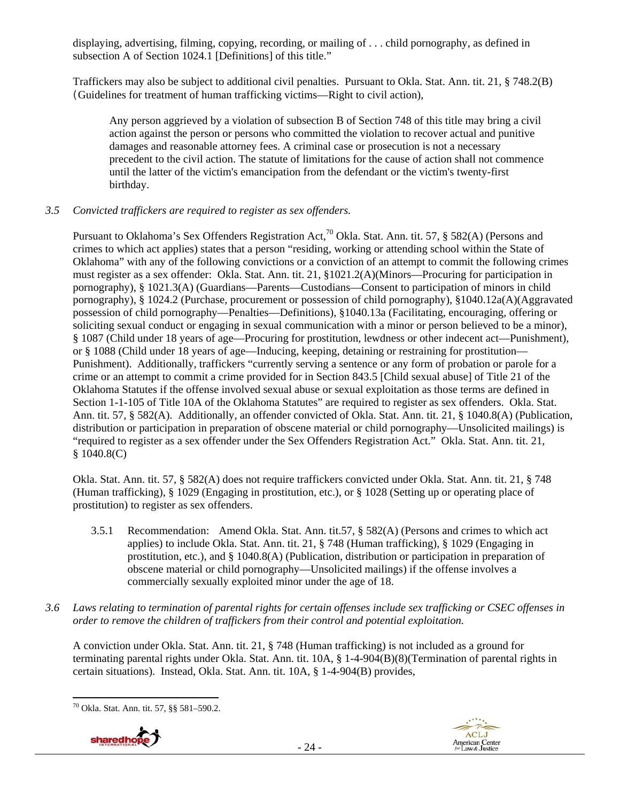displaying, advertising, filming, copying, recording, or mailing of . . . child pornography, as defined in subsection A of Section 1024.1 [Definitions] of this title."

Traffickers may also be subject to additional civil penalties. Pursuant to Okla. Stat. Ann. tit. 21, § 748.2(B) (Guidelines for treatment of human trafficking victims—Right to civil action),

Any person aggrieved by a violation of subsection B of Section 748 of this title may bring a civil action against the person or persons who committed the violation to recover actual and punitive damages and reasonable attorney fees. A criminal case or prosecution is not a necessary precedent to the civil action. The statute of limitations for the cause of action shall not commence until the latter of the victim's emancipation from the defendant or the victim's twenty-first birthday.

#### *3.5 Convicted traffickers are required to register as sex offenders.*

Pursuant to Oklahoma's Sex Offenders Registration Act,<sup>70</sup> Okla. Stat. Ann. tit. 57, § 582(A) (Persons and crimes to which act applies) states that a person "residing, working or attending school within the State of Oklahoma" with any of the following convictions or a conviction of an attempt to commit the following crimes must register as a sex offender: Okla. Stat. Ann. tit. 21, §1021.2(A)(Minors—Procuring for participation in pornography), § 1021.3(A) (Guardians—Parents—Custodians—Consent to participation of minors in child pornography), § 1024.2 (Purchase, procurement or possession of child pornography), §1040.12a(A)(Aggravated possession of child pornography—Penalties—Definitions), §1040.13a (Facilitating, encouraging, offering or soliciting sexual conduct or engaging in sexual communication with a minor or person believed to be a minor), § 1087 (Child under 18 years of age—Procuring for prostitution, lewdness or other indecent act—Punishment), or § 1088 (Child under 18 years of age—Inducing, keeping, detaining or restraining for prostitution— Punishment). Additionally, traffickers "currently serving a sentence or any form of probation or parole for a crime or an attempt to commit a crime provided for in Section 843.5 [Child sexual abuse] of Title 21 of the Oklahoma Statutes if the offense involved sexual abuse or sexual exploitation as those terms are defined in Section 1-1-105 of Title 10A of the Oklahoma Statutes" are required to register as sex offenders. Okla. Stat. Ann. tit. 57, § 582(A). Additionally, an offender convicted of Okla. Stat. Ann. tit. 21, § 1040.8(A) (Publication, distribution or participation in preparation of obscene material or child pornography—Unsolicited mailings) is "required to register as a sex offender under the Sex Offenders Registration Act." Okla. Stat. Ann. tit. 21, § 1040.8(C)

Okla. Stat. Ann. tit. 57, § 582(A) does not require traffickers convicted under Okla. Stat. Ann. tit. 21, § 748 (Human trafficking), § 1029 (Engaging in prostitution, etc.), or § 1028 (Setting up or operating place of prostitution) to register as sex offenders.

- 3.5.1 Recommendation: Amend Okla. Stat. Ann. tit.57, § 582(A) (Persons and crimes to which act applies) to include Okla. Stat. Ann. tit. 21, § 748 (Human trafficking), § 1029 (Engaging in prostitution, etc.), and § 1040.8(A) (Publication, distribution or participation in preparation of obscene material or child pornography—Unsolicited mailings) if the offense involves a commercially sexually exploited minor under the age of 18.
- *3.6 Laws relating to termination of parental rights for certain offenses include sex trafficking or CSEC offenses in order to remove the children of traffickers from their control and potential exploitation.*

A conviction under Okla. Stat. Ann. tit. 21, § 748 (Human trafficking) is not included as a ground for terminating parental rights under Okla. Stat. Ann. tit. 10A, § 1-4-904(B)(8)(Termination of parental rights in certain situations). Instead, Okla. Stat. Ann. tit. 10A, § 1-4-904(B) provides,

 70 Okla. Stat. Ann. tit. 57, §§ 581–590.2.



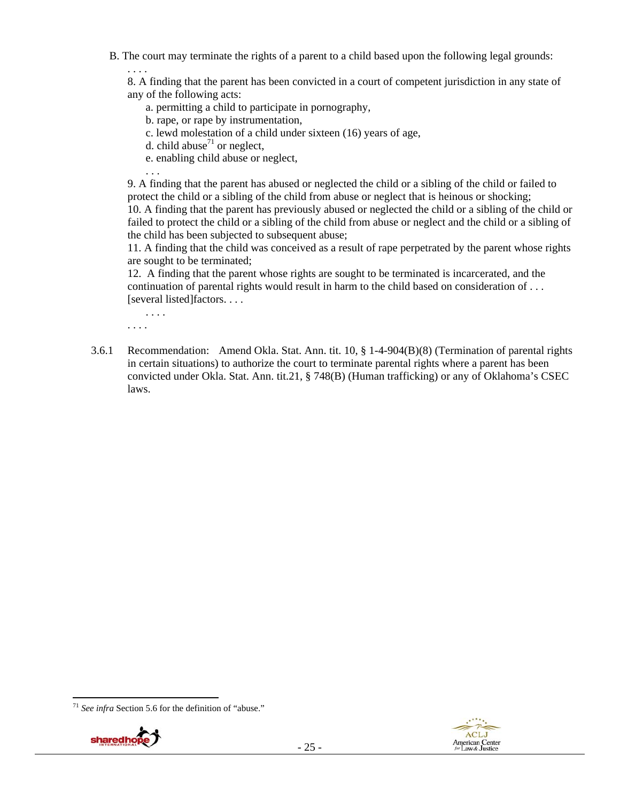B. The court may terminate the rights of a parent to a child based upon the following legal grounds:

8. A finding that the parent has been convicted in a court of competent jurisdiction in any state of any of the following acts:

a. permitting a child to participate in pornography,

b. rape, or rape by instrumentation,

c. lewd molestation of a child under sixteen (16) years of age,

d. child abuse<sup>71</sup> or neglect,

e. enabling child abuse or neglect,

9. A finding that the parent has abused or neglected the child or a sibling of the child or failed to protect the child or a sibling of the child from abuse or neglect that is heinous or shocking; 10. A finding that the parent has previously abused or neglected the child or a sibling of the child or failed to protect the child or a sibling of the child from abuse or neglect and the child or a sibling of the child has been subjected to subsequent abuse;

11. A finding that the child was conceived as a result of rape perpetrated by the parent whose rights are sought to be terminated;

12. A finding that the parent whose rights are sought to be terminated is incarcerated, and the continuation of parental rights would result in harm to the child based on consideration of . . . [several listed]factors. . . .

. . . . . . . .

. . . .

. . .

3.6.1 Recommendation: Amend Okla. Stat. Ann. tit. 10, § 1-4-904(B)(8) (Termination of parental rights in certain situations) to authorize the court to terminate parental rights where a parent has been convicted under Okla. Stat. Ann. tit.21, § 748(B) (Human trafficking) or any of Oklahoma's CSEC laws.

 <sup>71</sup> *See infra* Section 5.6 for the definition of "abuse."



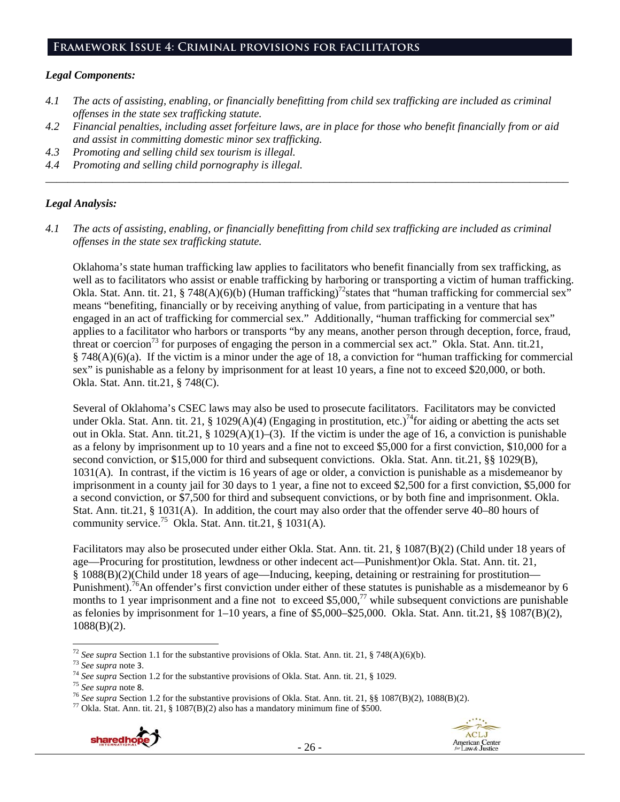#### **Framework Issue 4: Criminal provisions for facilitators**

#### *Legal Components:*

- *4.1 The acts of assisting, enabling, or financially benefitting from child sex trafficking are included as criminal offenses in the state sex trafficking statute.*
- *4.2 Financial penalties, including asset forfeiture laws, are in place for those who benefit financially from or aid and assist in committing domestic minor sex trafficking.*

*\_\_\_\_\_\_\_\_\_\_\_\_\_\_\_\_\_\_\_\_\_\_\_\_\_\_\_\_\_\_\_\_\_\_\_\_\_\_\_\_\_\_\_\_\_\_\_\_\_\_\_\_\_\_\_\_\_\_\_\_\_\_\_\_\_\_\_\_\_\_\_\_\_\_\_\_\_\_\_\_\_\_\_\_\_\_\_\_\_\_\_\_\_\_* 

- *4.3 Promoting and selling child sex tourism is illegal.*
- *4.4 Promoting and selling child pornography is illegal.*

## *Legal Analysis:*

*4.1 The acts of assisting, enabling, or financially benefitting from child sex trafficking are included as criminal offenses in the state sex trafficking statute.* 

Oklahoma's state human trafficking law applies to facilitators who benefit financially from sex trafficking, as well as to facilitators who assist or enable trafficking by harboring or transporting a victim of human trafficking. Okla. Stat. Ann. tit. 21, § 748(A)(6)(b) (Human trafficking)<sup>72</sup> states that "human trafficking for commercial sex" means "benefiting, financially or by receiving anything of value, from participating in a venture that has engaged in an act of trafficking for commercial sex." Additionally, "human trafficking for commercial sex" applies to a facilitator who harbors or transports "by any means, another person through deception, force, fraud, threat or coercion<sup>73</sup> for purposes of engaging the person in a commercial sex act." Okla. Stat. Ann. tit.21, § 748(A)(6)(a). If the victim is a minor under the age of 18, a conviction for "human trafficking for commercial sex" is punishable as a felony by imprisonment for at least 10 years, a fine not to exceed \$20,000, or both. Okla. Stat. Ann. tit.21, § 748(C).

Several of Oklahoma's CSEC laws may also be used to prosecute facilitators. Facilitators may be convicted under Okla. Stat. Ann. tit. 21, § 1029(A)(4) (Engaging in prostitution, etc.)<sup>74</sup>for aiding or abetting the acts set out in Okla. Stat. Ann. tit.21, § 1029(A)(1)–(3). If the victim is under the age of 16, a conviction is punishable as a felony by imprisonment up to 10 years and a fine not to exceed \$5,000 for a first conviction, \$10,000 for a second conviction, or \$15,000 for third and subsequent convictions. Okla. Stat. Ann. tit.21, §§ 1029(B), 1031(A). In contrast, if the victim is 16 years of age or older, a conviction is punishable as a misdemeanor by imprisonment in a county jail for 30 days to 1 year, a fine not to exceed \$2,500 for a first conviction, \$5,000 for a second conviction, or \$7,500 for third and subsequent convictions, or by both fine and imprisonment. Okla. Stat. Ann. tit.21, § 1031(A). In addition, the court may also order that the offender serve 40–80 hours of community service.<sup>75</sup> Okla. Stat. Ann. tit.21, § 1031(A).

Facilitators may also be prosecuted under either Okla. Stat. Ann. tit. 21, § 1087(B)(2) (Child under 18 years of age—Procuring for prostitution, lewdness or other indecent act—Punishment)or Okla. Stat. Ann. tit. 21, § 1088(B)(2)(Child under 18 years of age—Inducing, keeping, detaining or restraining for prostitution— Punishment).<sup>76</sup>An offender's first conviction under either of these statutes is punishable as a misdemeanor by 6 months to 1 year imprisonment and a fine not to exceed \$5,000,<sup>77</sup> while subsequent convictions are punishable as felonies by imprisonment for 1–10 years, a fine of \$5,000–\$25,000. Okla. Stat. Ann. tit.21, §§ 1087(B)(2), 1088(B)(2).





<sup>&</sup>lt;sup>72</sup> See supra Section 1.1 for the substantive provisions of Okla. Stat. Ann. tit. 21, § 748(A)(6)(b).

<sup>&</sup>lt;sup>73</sup> See supra note 3.<br><sup>74</sup> See supra Section 1.2 for the substantive provisions of Okla. Stat. Ann. tit. 21, § 1029.<br><sup>75</sup> See supra note 8.<br><sup>75</sup> See supra Section 1.2 for the substantive provisions of Okla. Stat. Ann. ti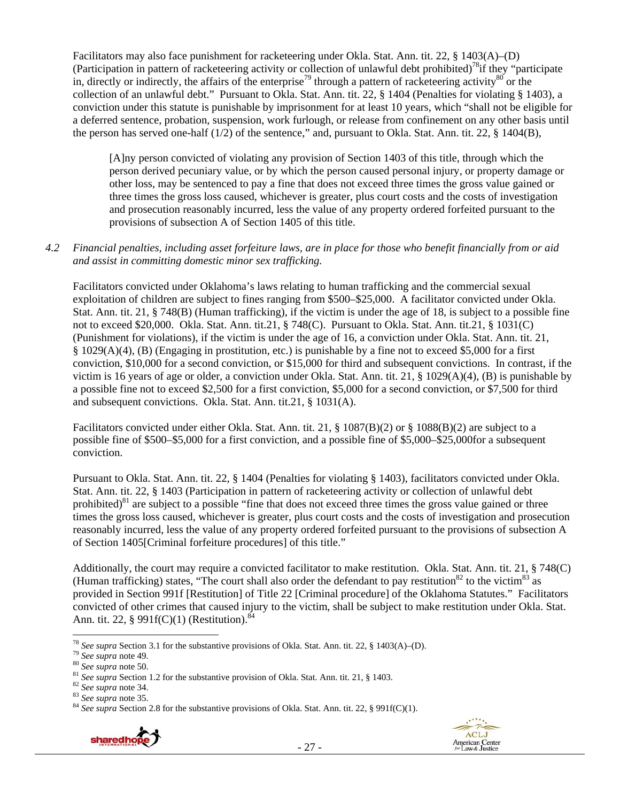Facilitators may also face punishment for racketeering under Okla. Stat. Ann. tit. 22, § 1403(A)–(D) (Participation in pattern of racketeering activity or collection of unlawful debt prohibited)<sup>78</sup>if they "participate in, directly or indirectly, the affairs of the enterprise<sup>79</sup> through a pattern of racketeering activity<sup>80</sup> or the collection of an unlawful debt." Pursuant to Okla. Stat. Ann. tit. 22, § 1404 (Penalties for violating § 1403), a conviction under this statute is punishable by imprisonment for at least 10 years, which "shall not be eligible for a deferred sentence, probation, suspension, work furlough, or release from confinement on any other basis until the person has served one-half (1/2) of the sentence," and, pursuant to Okla. Stat. Ann. tit. 22, § 1404(B),

[A]ny person convicted of violating any provision of Section 1403 of this title, through which the person derived pecuniary value, or by which the person caused personal injury, or property damage or other loss, may be sentenced to pay a fine that does not exceed three times the gross value gained or three times the gross loss caused, whichever is greater, plus court costs and the costs of investigation and prosecution reasonably incurred, less the value of any property ordered forfeited pursuant to the provisions of subsection A of Section 1405 of this title.

## *4.2 Financial penalties, including asset forfeiture laws, are in place for those who benefit financially from or aid and assist in committing domestic minor sex trafficking.*

Facilitators convicted under Oklahoma's laws relating to human trafficking and the commercial sexual exploitation of children are subject to fines ranging from \$500–\$25,000. A facilitator convicted under Okla. Stat. Ann. tit. 21, § 748(B) (Human trafficking), if the victim is under the age of 18, is subject to a possible fine not to exceed \$20,000. Okla. Stat. Ann. tit.21, § 748(C). Pursuant to Okla. Stat. Ann. tit.21, § 1031(C) (Punishment for violations), if the victim is under the age of 16, a conviction under Okla. Stat. Ann. tit. 21, § 1029(A)(4), (B) (Engaging in prostitution, etc.) is punishable by a fine not to exceed \$5,000 for a first conviction, \$10,000 for a second conviction, or \$15,000 for third and subsequent convictions. In contrast, if the victim is 16 years of age or older, a conviction under Okla. Stat. Ann. tit. 21, § 1029(A)(4), (B) is punishable by a possible fine not to exceed \$2,500 for a first conviction, \$5,000 for a second conviction, or \$7,500 for third and subsequent convictions. Okla. Stat. Ann. tit.21, § 1031(A).

Facilitators convicted under either Okla. Stat. Ann. tit. 21, § 1087(B)(2) or § 1088(B)(2) are subject to a possible fine of \$500–\$5,000 for a first conviction, and a possible fine of \$5,000–\$25,000for a subsequent conviction.

Pursuant to Okla. Stat. Ann. tit. 22, § 1404 (Penalties for violating § 1403), facilitators convicted under Okla. Stat. Ann. tit. 22, § 1403 (Participation in pattern of racketeering activity or collection of unlawful debt prohibited)<sup>81</sup> are subject to a possible "fine that does not exceed three times the gross value gained or three times the gross loss caused, whichever is greater, plus court costs and the costs of investigation and prosecution reasonably incurred, less the value of any property ordered forfeited pursuant to the provisions of subsection A of Section 1405[Criminal forfeiture procedures] of this title."

Additionally, the court may require a convicted facilitator to make restitution. Okla. Stat. Ann. tit. 21, § 748(C) (Human trafficking) states, "The court shall also order the defendant to pay restitution<sup>82</sup> to the victim<sup>83</sup> as provided in Section 991f [Restitution] of Title 22 [Criminal procedure] of the Oklahoma Statutes." Facilitators convicted of other crimes that caused injury to the victim, shall be subject to make restitution under Okla. Stat. Ann. tit. 22, § 991 $f(C)(1)$  (Restitution).<sup>84</sup>





 <sup>78</sup> See supra Section 3.1 for the substantive provisions of Okla. Stat. Ann. tit. 22, § 1403(A)–(D).<br><sup>79</sup> See supra note 49.<br><sup>80</sup> See supra note 50.<br><sup>81</sup> See supra Section 1.2 for the substantive provision of Okla. Stat.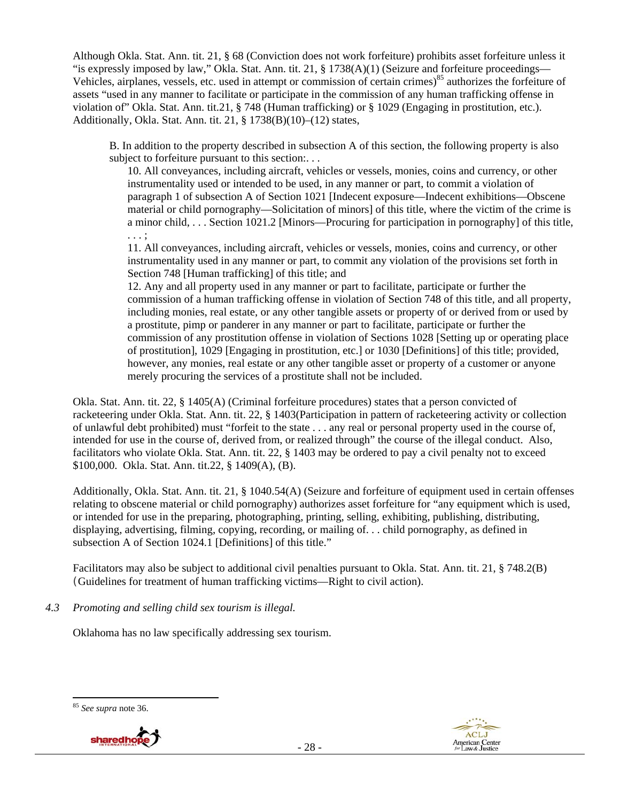Although Okla. Stat. Ann. tit. 21, § 68 (Conviction does not work forfeiture) prohibits asset forfeiture unless it "is expressly imposed by law," Okla. Stat. Ann. tit. 21, § 1738(A)(1) (Seizure and forfeiture proceedings— Vehicles, airplanes, vessels, etc. used in attempt or commission of certain crimes)<sup>85</sup> authorizes the forfeiture of assets "used in any manner to facilitate or participate in the commission of any human trafficking offense in violation of" Okla. Stat. Ann. tit.21, § 748 (Human trafficking) or § 1029 (Engaging in prostitution, etc.). Additionally, Okla. Stat. Ann. tit. 21, § 1738(B)(10)–(12) states,

B. In addition to the property described in subsection A of this section, the following property is also subject to forfeiture pursuant to this section:...

10. All conveyances, including aircraft, vehicles or vessels, monies, coins and currency, or other instrumentality used or intended to be used, in any manner or part, to commit a violation of paragraph 1 of subsection A of Section 1021 [Indecent exposure—Indecent exhibitions—Obscene material or child pornography—Solicitation of minors] of this title, where the victim of the crime is a minor child, . . . Section 1021.2 [Minors—Procuring for participation in pornography] of this title, . . . ;

11. All conveyances, including aircraft, vehicles or vessels, monies, coins and currency, or other instrumentality used in any manner or part, to commit any violation of the provisions set forth in Section 748 [Human trafficking] of this title; and

12. Any and all property used in any manner or part to facilitate, participate or further the commission of a human trafficking offense in violation of Section 748 of this title, and all property, including monies, real estate, or any other tangible assets or property of or derived from or used by a prostitute, pimp or panderer in any manner or part to facilitate, participate or further the commission of any prostitution offense in violation of Sections 1028 [Setting up or operating place of prostitution], 1029 [Engaging in prostitution, etc.] or 1030 [Definitions] of this title; provided, however, any monies, real estate or any other tangible asset or property of a customer or anyone merely procuring the services of a prostitute shall not be included.

Okla. Stat. Ann. tit. 22, § 1405(A) (Criminal forfeiture procedures) states that a person convicted of racketeering under Okla. Stat. Ann. tit. 22, § 1403(Participation in pattern of racketeering activity or collection of unlawful debt prohibited) must "forfeit to the state . . . any real or personal property used in the course of, intended for use in the course of, derived from, or realized through" the course of the illegal conduct. Also, facilitators who violate Okla. Stat. Ann. tit. 22, § 1403 may be ordered to pay a civil penalty not to exceed \$100,000. Okla. Stat. Ann. tit.22, § 1409(A), (B).

Additionally, Okla. Stat. Ann. tit. 21, § 1040.54(A) (Seizure and forfeiture of equipment used in certain offenses relating to obscene material or child pornography) authorizes asset forfeiture for "any equipment which is used, or intended for use in the preparing, photographing, printing, selling, exhibiting, publishing, distributing, displaying, advertising, filming, copying, recording, or mailing of. . . child pornography, as defined in subsection A of Section 1024.1 [Definitions] of this title."

Facilitators may also be subject to additional civil penalties pursuant to Okla. Stat. Ann. tit. 21, § 748.2(B) (Guidelines for treatment of human trafficking victims—Right to civil action).

*4.3 Promoting and selling child sex tourism is illegal.* 

Oklahoma has no law specifically addressing sex tourism.





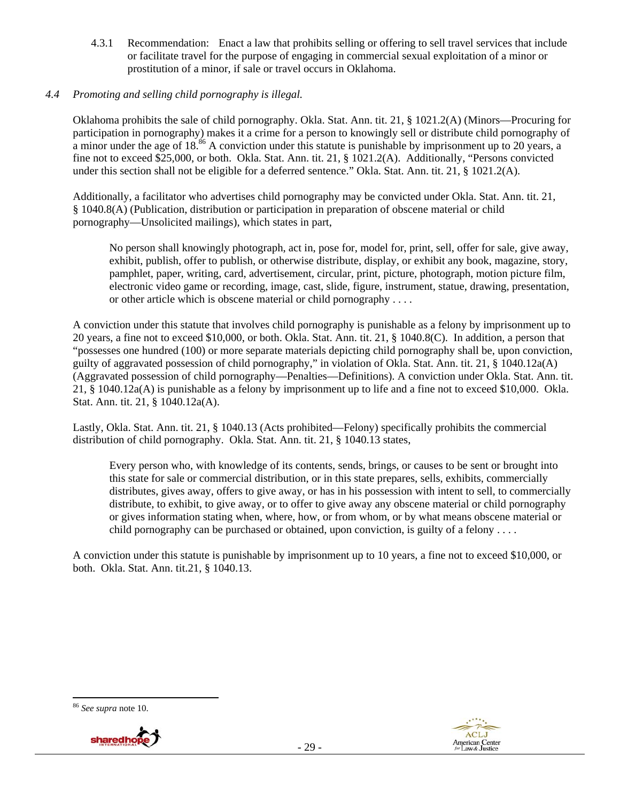4.3.1 Recommendation: Enact a law that prohibits selling or offering to sell travel services that include or facilitate travel for the purpose of engaging in commercial sexual exploitation of a minor or prostitution of a minor, if sale or travel occurs in Oklahoma.

## *4.4 Promoting and selling child pornography is illegal.*

Oklahoma prohibits the sale of child pornography. Okla. Stat. Ann. tit. 21, § 1021.2(A) (Minors—Procuring for participation in pornography) makes it a crime for a person to knowingly sell or distribute child pornography of a minor under the age of 18.<sup>86</sup> A conviction under this statute is punishable by imprisonment up to 20 years, a fine not to exceed \$25,000, or both. Okla. Stat. Ann. tit. 21, § 1021.2(A). Additionally, "Persons convicted under this section shall not be eligible for a deferred sentence." Okla. Stat. Ann. tit. 21, § 1021.2(A).

Additionally, a facilitator who advertises child pornography may be convicted under Okla. Stat. Ann. tit. 21, § 1040.8(A) (Publication, distribution or participation in preparation of obscene material or child pornography—Unsolicited mailings), which states in part,

No person shall knowingly photograph, act in, pose for, model for, print, sell, offer for sale, give away, exhibit, publish, offer to publish, or otherwise distribute, display, or exhibit any book, magazine, story, pamphlet, paper, writing, card, advertisement, circular, print, picture, photograph, motion picture film, electronic video game or recording, image, cast, slide, figure, instrument, statue, drawing, presentation, or other article which is obscene material or child pornography . . . .

A conviction under this statute that involves child pornography is punishable as a felony by imprisonment up to 20 years, a fine not to exceed \$10,000, or both. Okla. Stat. Ann. tit. 21, § 1040.8(C). In addition, a person that "possesses one hundred (100) or more separate materials depicting child pornography shall be, upon conviction, guilty of aggravated possession of child pornography," in violation of Okla. Stat. Ann. tit. 21, § 1040.12a(A) (Aggravated possession of child pornography—Penalties—Definitions). A conviction under Okla. Stat. Ann. tit. 21, § 1040.12a(A) is punishable as a felony by imprisonment up to life and a fine not to exceed \$10,000. Okla. Stat. Ann. tit. 21, § 1040.12a(A).

Lastly, Okla. Stat. Ann. tit. 21, § 1040.13 (Acts prohibited—Felony) specifically prohibits the commercial distribution of child pornography. Okla. Stat. Ann. tit. 21, § 1040.13 states,

Every person who, with knowledge of its contents, sends, brings, or causes to be sent or brought into this state for sale or commercial distribution, or in this state prepares, sells, exhibits, commercially distributes, gives away, offers to give away, or has in his possession with intent to sell, to commercially distribute, to exhibit, to give away, or to offer to give away any obscene material or child pornography or gives information stating when, where, how, or from whom, or by what means obscene material or child pornography can be purchased or obtained, upon conviction, is guilty of a felony  $\dots$ .

A conviction under this statute is punishable by imprisonment up to 10 years, a fine not to exceed \$10,000, or both. Okla. Stat. Ann. tit.21, § 1040.13.

#### <sup>86</sup> *See supra* note 10.



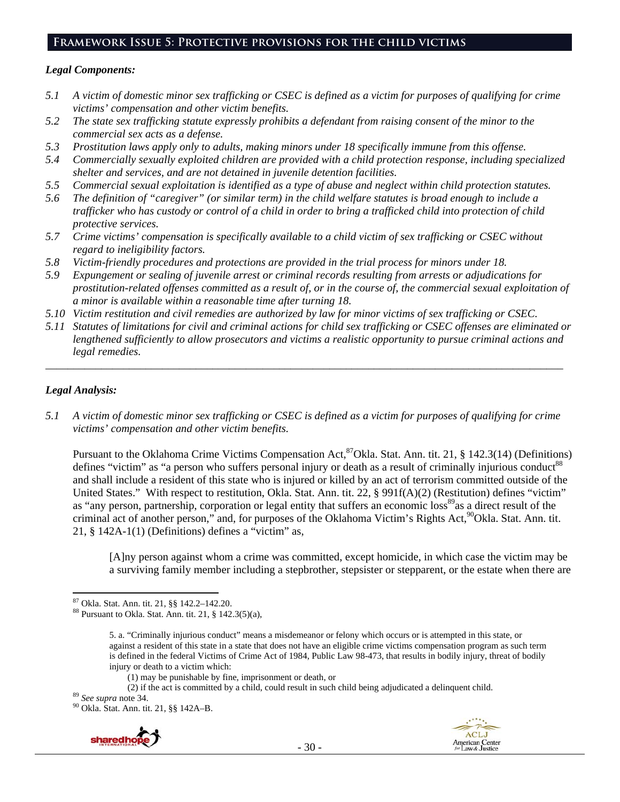# **Framework Issue 5: Protective provisions for the child victims**

#### *Legal Components:*

- *5.1 A victim of domestic minor sex trafficking or CSEC is defined as a victim for purposes of qualifying for crime victims' compensation and other victim benefits.*
- *5.2 The state sex trafficking statute expressly prohibits a defendant from raising consent of the minor to the commercial sex acts as a defense.*
- *5.3 Prostitution laws apply only to adults, making minors under 18 specifically immune from this offense.*
- *5.4 Commercially sexually exploited children are provided with a child protection response, including specialized shelter and services, and are not detained in juvenile detention facilities.*
- *5.5 Commercial sexual exploitation is identified as a type of abuse and neglect within child protection statutes.*
- *5.6 The definition of "caregiver" (or similar term) in the child welfare statutes is broad enough to include a trafficker who has custody or control of a child in order to bring a trafficked child into protection of child protective services.*
- *5.7 Crime victims' compensation is specifically available to a child victim of sex trafficking or CSEC without regard to ineligibility factors.*
- *5.8 Victim-friendly procedures and protections are provided in the trial process for minors under 18.*
- *5.9 Expungement or sealing of juvenile arrest or criminal records resulting from arrests or adjudications for prostitution-related offenses committed as a result of, or in the course of, the commercial sexual exploitation of a minor is available within a reasonable time after turning 18.*
- *5.10 Victim restitution and civil remedies are authorized by law for minor victims of sex trafficking or CSEC.*
- *5.11 Statutes of limitations for civil and criminal actions for child sex trafficking or CSEC offenses are eliminated or lengthened sufficiently to allow prosecutors and victims a realistic opportunity to pursue criminal actions and legal remedies.*

*\_\_\_\_\_\_\_\_\_\_\_\_\_\_\_\_\_\_\_\_\_\_\_\_\_\_\_\_\_\_\_\_\_\_\_\_\_\_\_\_\_\_\_\_\_\_\_\_\_\_\_\_\_\_\_\_\_\_\_\_\_\_\_\_\_\_\_\_\_\_\_\_\_\_\_\_\_\_\_\_\_\_\_\_\_\_\_\_\_\_\_\_\_* 

## *Legal Analysis:*

*5.1 A victim of domestic minor sex trafficking or CSEC is defined as a victim for purposes of qualifying for crime victims' compensation and other victim benefits.* 

Pursuant to the Oklahoma Crime Victims Compensation Act,<sup>87</sup>Okla. Stat. Ann. tit. 21, § 142.3(14) (Definitions) defines "victim" as "a person who suffers personal injury or death as a result of criminally injurious conduct<sup>88</sup> and shall include a resident of this state who is injured or killed by an act of terrorism committed outside of the United States." With respect to restitution, Okla. Stat. Ann. tit. 22, § 991f(A)(2) (Restitution) defines "victim" as "any person, partnership, corporation or legal entity that suffers an economic loss<sup>89</sup>as a direct result of the criminal act of another person," and, for purposes of the Oklahoma Victim's Rights Act, <sup>90</sup>Okla. Stat. Ann. tit. 21,  $\S$  142A-1(1) (Definitions) defines a "victim" as,

[A]ny person against whom a crime was committed, except homicide, in which case the victim may be a surviving family member including a stepbrother, stepsister or stepparent, or the estate when there are

(2) if the act is committed by a child, could result in such child being adjudicated a delinquent child. 89 *See supra* note 34. 90 Okla. Stat. Ann. tit. 21, §§ 142A–B.





 87 Okla. Stat. Ann. tit. 21, §§ 142.2–142.20.

<sup>88</sup> Pursuant to Okla. Stat. Ann. tit. 21, § 142.3(5)(a),

<sup>5.</sup> a. "Criminally injurious conduct" means a misdemeanor or felony which occurs or is attempted in this state, or against a resident of this state in a state that does not have an eligible crime victims compensation program as such term is defined in the federal Victims of Crime Act of 1984, Public Law 98-473, that results in bodily injury, threat of bodily injury or death to a victim which:

<sup>(1)</sup> may be punishable by fine, imprisonment or death, or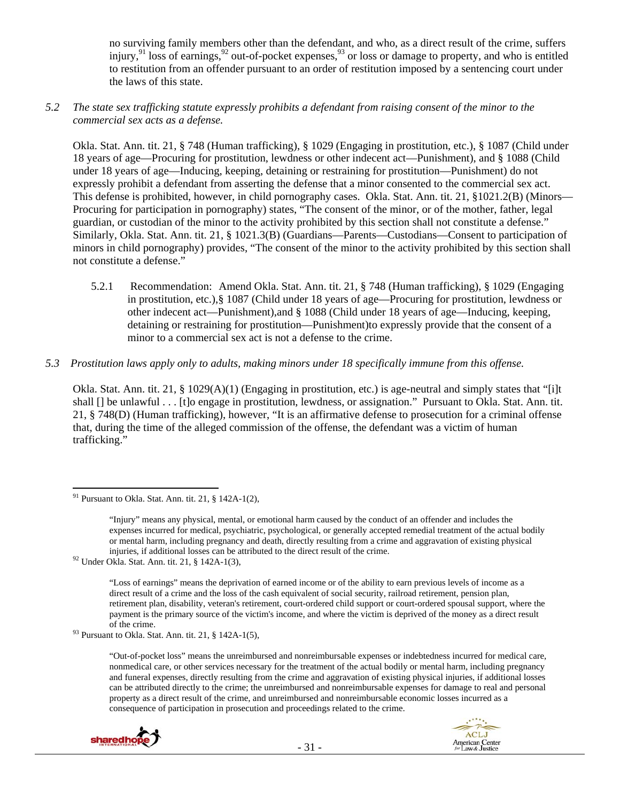no surviving family members other than the defendant, and who, as a direct result of the crime, suffers injury,  $91 \text{ loss of earnings}, \frac{92}{2}$  out-of-pocket expenses,  $93 \text{ or loss or damage to property, and who is entitled}$ to restitution from an offender pursuant to an order of restitution imposed by a sentencing court under the laws of this state.

#### *5.2 The state sex trafficking statute expressly prohibits a defendant from raising consent of the minor to the commercial sex acts as a defense.*

Okla. Stat. Ann. tit. 21, § 748 (Human trafficking), § 1029 (Engaging in prostitution, etc.), § 1087 (Child under 18 years of age—Procuring for prostitution, lewdness or other indecent act—Punishment), and § 1088 (Child under 18 years of age—Inducing, keeping, detaining or restraining for prostitution—Punishment) do not expressly prohibit a defendant from asserting the defense that a minor consented to the commercial sex act. This defense is prohibited, however, in child pornography cases. Okla. Stat. Ann. tit. 21, §1021.2(B) (Minors— Procuring for participation in pornography) states, "The consent of the minor, or of the mother, father, legal guardian, or custodian of the minor to the activity prohibited by this section shall not constitute a defense." Similarly, Okla. Stat. Ann. tit. 21, § 1021.3(B) (Guardians—Parents—Custodians—Consent to participation of minors in child pornography) provides, "The consent of the minor to the activity prohibited by this section shall not constitute a defense."

5.2.1 Recommendation: Amend Okla. Stat. Ann. tit. 21, § 748 (Human trafficking), § 1029 (Engaging in prostitution, etc.),§ 1087 (Child under 18 years of age—Procuring for prostitution, lewdness or other indecent act—Punishment),and § 1088 (Child under 18 years of age—Inducing, keeping, detaining or restraining for prostitution—Punishment)to expressly provide that the consent of a minor to a commercial sex act is not a defense to the crime.

#### *5.3 Prostitution laws apply only to adults, making minors under 18 specifically immune from this offense.*

Okla. Stat. Ann. tit. 21, § 1029(A)(1) (Engaging in prostitution, etc.) is age-neutral and simply states that "[i]t shall [] be unlawful . . . [t]o engage in prostitution, lewdness, or assignation." Pursuant to Okla. Stat. Ann. tit. 21, § 748(D) (Human trafficking), however, "It is an affirmative defense to prosecution for a criminal offense that, during the time of the alleged commission of the offense, the defendant was a victim of human trafficking."

 $93$  Pursuant to Okla. Stat. Ann. tit. 21, § 142A-1(5),

<sup>&</sup>quot;Out-of-pocket loss" means the unreimbursed and nonreimbursable expenses or indebtedness incurred for medical care, nonmedical care, or other services necessary for the treatment of the actual bodily or mental harm, including pregnancy and funeral expenses, directly resulting from the crime and aggravation of existing physical injuries, if additional losses can be attributed directly to the crime; the unreimbursed and nonreimbursable expenses for damage to real and personal property as a direct result of the crime, and unreimbursed and nonreimbursable economic losses incurred as a consequence of participation in prosecution and proceedings related to the crime.



 $91$  Pursuant to Okla. Stat. Ann. tit. 21, § 142A-1(2),

<sup>&</sup>quot;Injury" means any physical, mental, or emotional harm caused by the conduct of an offender and includes the expenses incurred for medical, psychiatric, psychological, or generally accepted remedial treatment of the actual bodily or mental harm, including pregnancy and death, directly resulting from a crime and aggravation of existing physical injuries, if additional losses can be attributed to the direct result of the crime. 92 Under Okla. Stat. Ann. tit. 21, § 142A-1(3),

<sup>&</sup>quot;Loss of earnings" means the deprivation of earned income or of the ability to earn previous levels of income as a direct result of a crime and the loss of the cash equivalent of social security, railroad retirement, pension plan, retirement plan, disability, veteran's retirement, court-ordered child support or court-ordered spousal support, where the payment is the primary source of the victim's income, and where the victim is deprived of the money as a direct result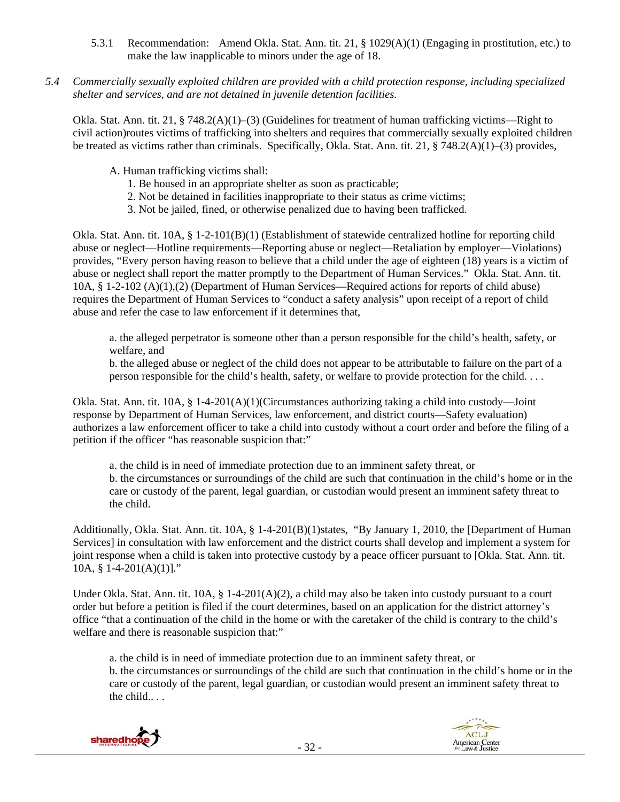- 5.3.1 Recommendation: Amend Okla. Stat. Ann. tit. 21, § 1029(A)(1) (Engaging in prostitution, etc.) to make the law inapplicable to minors under the age of 18.
- *5.4 Commercially sexually exploited children are provided with a child protection response, including specialized shelter and services, and are not detained in juvenile detention facilities.*

Okla. Stat. Ann. tit. 21, § 748.2(A)(1)–(3) (Guidelines for treatment of human trafficking victims—Right to civil action)routes victims of trafficking into shelters and requires that commercially sexually exploited children be treated as victims rather than criminals. Specifically, Okla. Stat. Ann. tit. 21, § 748.2(A)(1)–(3) provides,

- A. Human trafficking victims shall:
	- 1. Be housed in an appropriate shelter as soon as practicable;
	- 2. Not be detained in facilities inappropriate to their status as crime victims;
	- 3. Not be jailed, fined, or otherwise penalized due to having been trafficked.

Okla. Stat. Ann. tit. 10A, § 1-2-101(B)(1) (Establishment of statewide centralized hotline for reporting child abuse or neglect—Hotline requirements—Reporting abuse or neglect—Retaliation by employer—Violations) provides, "Every person having reason to believe that a child under the age of eighteen (18) years is a victim of abuse or neglect shall report the matter promptly to the Department of Human Services." Okla. Stat. Ann. tit. 10A, § 1-2-102 (A)(1),(2) (Department of Human Services—Required actions for reports of child abuse) requires the Department of Human Services to "conduct a safety analysis" upon receipt of a report of child abuse and refer the case to law enforcement if it determines that,

a. the alleged perpetrator is someone other than a person responsible for the child's health, safety, or welfare, and

b. the alleged abuse or neglect of the child does not appear to be attributable to failure on the part of a person responsible for the child's health, safety, or welfare to provide protection for the child. . . .

Okla. Stat. Ann. tit. 10A, § 1-4-201(A)(1)(Circumstances authorizing taking a child into custody—Joint response by Department of Human Services, law enforcement, and district courts—Safety evaluation) authorizes a law enforcement officer to take a child into custody without a court order and before the filing of a petition if the officer "has reasonable suspicion that:"

a. the child is in need of immediate protection due to an imminent safety threat, or b. the circumstances or surroundings of the child are such that continuation in the child's home or in the care or custody of the parent, legal guardian, or custodian would present an imminent safety threat to the child.

Additionally, Okla. Stat. Ann. tit. 10A, § 1-4-201(B)(1)states, "By January 1, 2010, the [Department of Human Services] in consultation with law enforcement and the district courts shall develop and implement a system for joint response when a child is taken into protective custody by a peace officer pursuant to [Okla. Stat. Ann. tit. 10A,  $§$  1-4-201(A)(1)]."

Under Okla. Stat. Ann. tit.  $10A$ , §  $1-4-201(A)(2)$ , a child may also be taken into custody pursuant to a court order but before a petition is filed if the court determines, based on an application for the district attorney's office "that a continuation of the child in the home or with the caretaker of the child is contrary to the child's welfare and there is reasonable suspicion that:"

a. the child is in need of immediate protection due to an imminent safety threat, or b. the circumstances or surroundings of the child are such that continuation in the child's home or in the care or custody of the parent, legal guardian, or custodian would present an imminent safety threat to the child.. . .



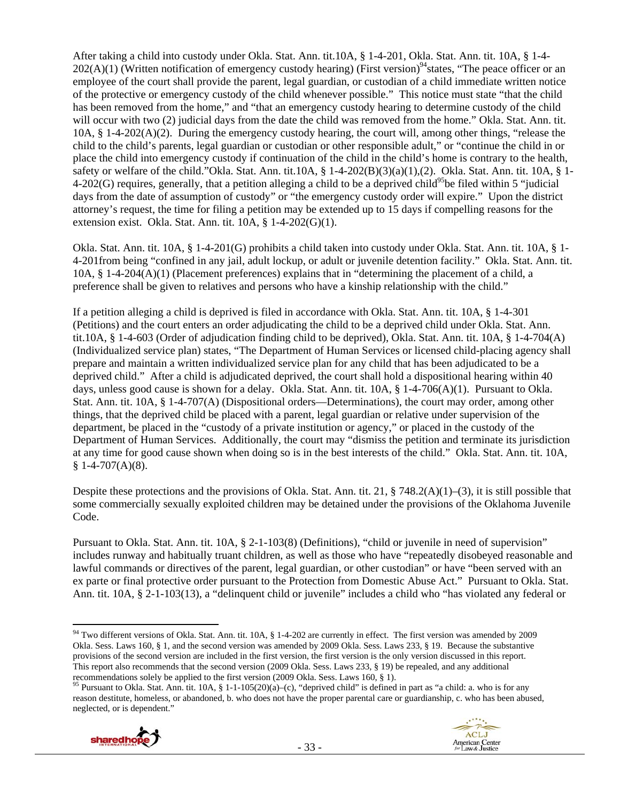After taking a child into custody under Okla. Stat. Ann. tit.10A, § 1-4-201, Okla. Stat. Ann. tit. 10A, § 1-4-  $202(A)(1)$  (Written notification of emergency custody hearing) (First version)<sup>94</sup> states, "The peace officer or an employee of the court shall provide the parent, legal guardian, or custodian of a child immediate written notice of the protective or emergency custody of the child whenever possible." This notice must state "that the child has been removed from the home," and "that an emergency custody hearing to determine custody of the child will occur with two (2) judicial days from the date the child was removed from the home." Okla. Stat. Ann. tit. 10A, § 1-4-202(A)(2). During the emergency custody hearing, the court will, among other things, "release the child to the child's parents, legal guardian or custodian or other responsible adult," or "continue the child in or place the child into emergency custody if continuation of the child in the child's home is contrary to the health, safety or welfare of the child."Okla. Stat. Ann. tit.10A,  $\S$  1-4-202(B)(3)(a)(1),(2). Okla. Stat. Ann. tit. 10A,  $\S$  1-4-202(G) requires, generally, that a petition alleging a child to be a deprived child<sup>95</sup>be filed within 5 "judicial" days from the date of assumption of custody" or "the emergency custody order will expire." Upon the district attorney's request, the time for filing a petition may be extended up to 15 days if compelling reasons for the extension exist. Okla. Stat. Ann. tit. 10A, § 1-4-202(G)(1).

Okla. Stat. Ann. tit. 10A, § 1-4-201(G) prohibits a child taken into custody under Okla. Stat. Ann. tit. 10A, § 1- 4-201from being "confined in any jail, adult lockup, or adult or juvenile detention facility." Okla. Stat. Ann. tit. 10A, § 1-4-204(A)(1) (Placement preferences) explains that in "determining the placement of a child, a preference shall be given to relatives and persons who have a kinship relationship with the child."

If a petition alleging a child is deprived is filed in accordance with Okla. Stat. Ann. tit. 10A, § 1-4-301 (Petitions) and the court enters an order adjudicating the child to be a deprived child under Okla. Stat. Ann. tit.10A, § 1-4-603 (Order of adjudication finding child to be deprived), Okla. Stat. Ann. tit. 10A, § 1-4-704(A) (Individualized service plan) states, "The Department of Human Services or licensed child-placing agency shall prepare and maintain a written individualized service plan for any child that has been adjudicated to be a deprived child." After a child is adjudicated deprived, the court shall hold a dispositional hearing within 40 days, unless good cause is shown for a delay. Okla. Stat. Ann. tit. 10A, § 1-4-706(A)(1). Pursuant to Okla. Stat. Ann. tit. 10A, § 1-4-707(A) (Dispositional orders—Determinations), the court may order, among other things, that the deprived child be placed with a parent, legal guardian or relative under supervision of the department, be placed in the "custody of a private institution or agency," or placed in the custody of the Department of Human Services. Additionally, the court may "dismiss the petition and terminate its jurisdiction at any time for good cause shown when doing so is in the best interests of the child." Okla. Stat. Ann. tit. 10A,  $§ 1-4-707(A)(8).$ 

Despite these protections and the provisions of Okla. Stat. Ann. tit. 21,  $\S$  748.2(A)(1)–(3), it is still possible that some commercially sexually exploited children may be detained under the provisions of the Oklahoma Juvenile Code.

Pursuant to Okla. Stat. Ann. tit. 10A, § 2-1-103(8) (Definitions), "child or juvenile in need of supervision" includes runway and habitually truant children, as well as those who have "repeatedly disobeyed reasonable and lawful commands or directives of the parent, legal guardian, or other custodian" or have "been served with an ex parte or final protective order pursuant to the Protection from Domestic Abuse Act." Pursuant to Okla. Stat. Ann. tit. 10A, § 2-1-103(13), a "delinquent child or juvenile" includes a child who "has violated any federal or

reason destitute, homeless, or abandoned, b. who does not have the proper parental care or guardianship, c. who has been abused, neglected, or is dependent."



  $94$  Two different versions of Okla. Stat. Ann. tit. 10A, § 1-4-202 are currently in effect. The first version was amended by 2009 Okla. Sess. Laws 160, § 1, and the second version was amended by 2009 Okla. Sess. Laws 233, § 19. Because the substantive provisions of the second version are included in the first version, the first version is the only version discussed in this report. This report also recommends that the second version (2009 Okla. Sess. Laws 233, § 19) be repealed, and any additional recommendations solely be applied to the first version (2009 Okla. Sess. Laws 160, § 1).<br><sup>95</sup> Pursuant to Okla. Stat. Ann. tit. 10A, § 1-1-105(20)(a)–(c), "deprived child" is defined in part as "a child: a. who is for any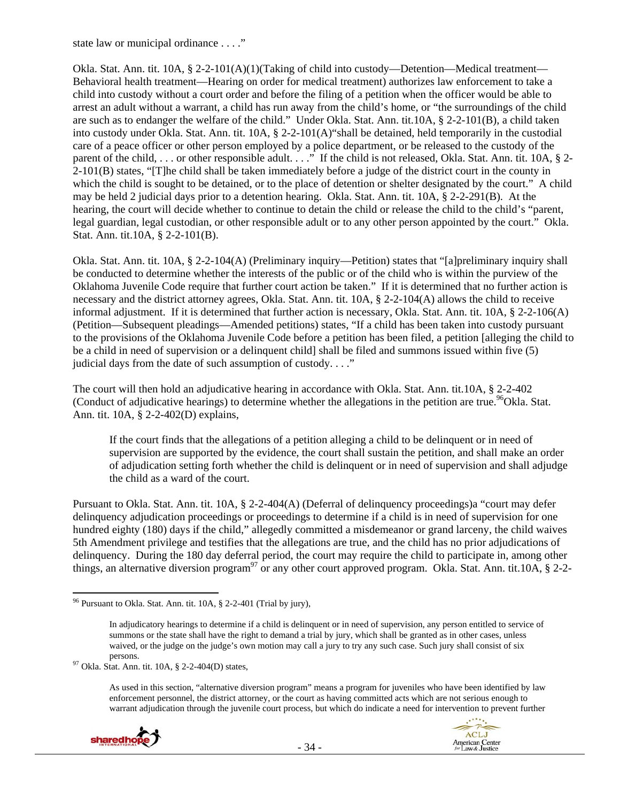state law or municipal ordinance . . . ."

Okla. Stat. Ann. tit. 10A, § 2-2-101(A)(1)(Taking of child into custody—Detention—Medical treatment— Behavioral health treatment—Hearing on order for medical treatment) authorizes law enforcement to take a child into custody without a court order and before the filing of a petition when the officer would be able to arrest an adult without a warrant, a child has run away from the child's home, or "the surroundings of the child are such as to endanger the welfare of the child." Under Okla. Stat. Ann. tit.10A, § 2-2-101(B), a child taken into custody under Okla. Stat. Ann. tit. 10A, § 2-2-101(A)"shall be detained, held temporarily in the custodial care of a peace officer or other person employed by a police department, or be released to the custody of the parent of the child, ... or other responsible adult. ..." If the child is not released, Okla. Stat. Ann. tit. 10A, § 2-2-101(B) states, "[T]he child shall be taken immediately before a judge of the district court in the county in which the child is sought to be detained, or to the place of detention or shelter designated by the court." A child may be held 2 judicial days prior to a detention hearing. Okla. Stat. Ann. tit. 10A, § 2-2-291(B). At the hearing, the court will decide whether to continue to detain the child or release the child to the child's "parent, legal guardian, legal custodian, or other responsible adult or to any other person appointed by the court." Okla. Stat. Ann. tit.10A, § 2-2-101(B).

Okla. Stat. Ann. tit. 10A, § 2-2-104(A) (Preliminary inquiry—Petition) states that "[a]preliminary inquiry shall be conducted to determine whether the interests of the public or of the child who is within the purview of the Oklahoma Juvenile Code require that further court action be taken." If it is determined that no further action is necessary and the district attorney agrees, Okla. Stat. Ann. tit. 10A, § 2-2-104(A) allows the child to receive informal adjustment. If it is determined that further action is necessary, Okla. Stat. Ann. tit. 10A, § 2-2-106(A) (Petition—Subsequent pleadings—Amended petitions) states, "If a child has been taken into custody pursuant to the provisions of the Oklahoma Juvenile Code before a petition has been filed, a petition [alleging the child to be a child in need of supervision or a delinquent child] shall be filed and summons issued within five (5) judicial days from the date of such assumption of custody. . . ."

The court will then hold an adjudicative hearing in accordance with Okla. Stat. Ann. tit.10A, § 2-2-402 (Conduct of adjudicative hearings) to determine whether the allegations in the petition are true.<sup>96</sup>Okla. Stat. Ann. tit. 10A, § 2-2-402(D) explains,

If the court finds that the allegations of a petition alleging a child to be delinquent or in need of supervision are supported by the evidence, the court shall sustain the petition, and shall make an order of adjudication setting forth whether the child is delinquent or in need of supervision and shall adjudge the child as a ward of the court.

Pursuant to Okla. Stat. Ann. tit. 10A, § 2-2-404(A) (Deferral of delinquency proceedings)a "court may defer delinquency adjudication proceedings or proceedings to determine if a child is in need of supervision for one hundred eighty (180) days if the child," allegedly committed a misdemeanor or grand larceny, the child waives 5th Amendment privilege and testifies that the allegations are true, and the child has no prior adjudications of delinquency. During the 180 day deferral period, the court may require the child to participate in, among other things, an alternative diversion program<sup>97</sup> or any other court approved program. Okla. Stat. Ann. tit.10A, § 2-2-

persons.<br><sup>97</sup> Okla. Stat. Ann. tit. 10A,  $\S$  2-2-404(D) states,

As used in this section, "alternative diversion program" means a program for juveniles who have been identified by law enforcement personnel, the district attorney, or the court as having committed acts which are not serious enough to warrant adjudication through the juvenile court process, but which do indicate a need for intervention to prevent further



  $96$  Pursuant to Okla. Stat. Ann. tit. 10A,  $\S$  2-2-401 (Trial by jury),

In adjudicatory hearings to determine if a child is delinquent or in need of supervision, any person entitled to service of summons or the state shall have the right to demand a trial by jury, which shall be granted as in other cases, unless waived, or the judge on the judge's own motion may call a jury to try any such case. Such jury shall consist of six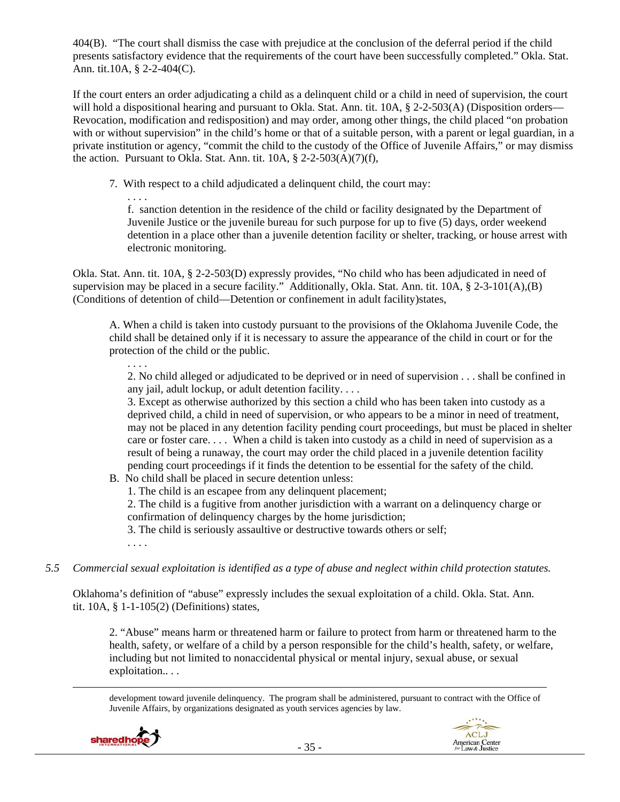404(B). "The court shall dismiss the case with prejudice at the conclusion of the deferral period if the child presents satisfactory evidence that the requirements of the court have been successfully completed." Okla. Stat. Ann. tit.10A, § 2-2-404(C).

If the court enters an order adjudicating a child as a delinquent child or a child in need of supervision, the court will hold a dispositional hearing and pursuant to Okla. Stat. Ann. tit. 10A, § 2-2-503(A) (Disposition orders— Revocation, modification and redisposition) and may order, among other things, the child placed "on probation with or without supervision" in the child's home or that of a suitable person, with a parent or legal guardian, in a private institution or agency, "commit the child to the custody of the Office of Juvenile Affairs," or may dismiss the action. Pursuant to Okla. Stat. Ann. tit.  $10A$ ,  $\S$  2-2-503(A)(7)(f),

7. With respect to a child adjudicated a delinquent child, the court may:

f. sanction detention in the residence of the child or facility designated by the Department of Juvenile Justice or the juvenile bureau for such purpose for up to five (5) days, order weekend detention in a place other than a juvenile detention facility or shelter, tracking, or house arrest with electronic monitoring.

Okla. Stat. Ann. tit. 10A, § 2-2-503(D) expressly provides, "No child who has been adjudicated in need of supervision may be placed in a secure facility." Additionally, Okla. Stat. Ann. tit. 10A, § 2-3-101(A),(B) (Conditions of detention of child—Detention or confinement in adult facility)states,

A. When a child is taken into custody pursuant to the provisions of the Oklahoma Juvenile Code, the child shall be detained only if it is necessary to assure the appearance of the child in court or for the protection of the child or the public.

2. No child alleged or adjudicated to be deprived or in need of supervision . . . shall be confined in any jail, adult lockup, or adult detention facility. . . .

3. Except as otherwise authorized by this section a child who has been taken into custody as a deprived child, a child in need of supervision, or who appears to be a minor in need of treatment, may not be placed in any detention facility pending court proceedings, but must be placed in shelter care or foster care. . . . When a child is taken into custody as a child in need of supervision as a result of being a runaway, the court may order the child placed in a juvenile detention facility pending court proceedings if it finds the detention to be essential for the safety of the child.

- B. No child shall be placed in secure detention unless:
	- 1. The child is an escapee from any delinquent placement;

2. The child is a fugitive from another jurisdiction with a warrant on a delinquency charge or confirmation of delinquency charges by the home jurisdiction;

3. The child is seriously assaultive or destructive towards others or self;

. . . .

. . . .

. . . .

*5.5 Commercial sexual exploitation is identified as a type of abuse and neglect within child protection statutes.* 

Oklahoma's definition of "abuse" expressly includes the sexual exploitation of a child. Okla. Stat. Ann. tit. 10A, § 1-1-105(2) (Definitions) states,

2. "Abuse" means harm or threatened harm or failure to protect from harm or threatened harm to the health, safety, or welfare of a child by a person responsible for the child's health, safety, or welfare, including but not limited to nonaccidental physical or mental injury, sexual abuse, or sexual exploitation...

<u> Andrewski politika (za obrazu pod predsjednika u predsjednika u predsjednika u predsjednika (za obrazu pod p</u> development toward juvenile delinquency. The program shall be administered, pursuant to contract with the Office of Juvenile Affairs, by organizations designated as youth services agencies by law.



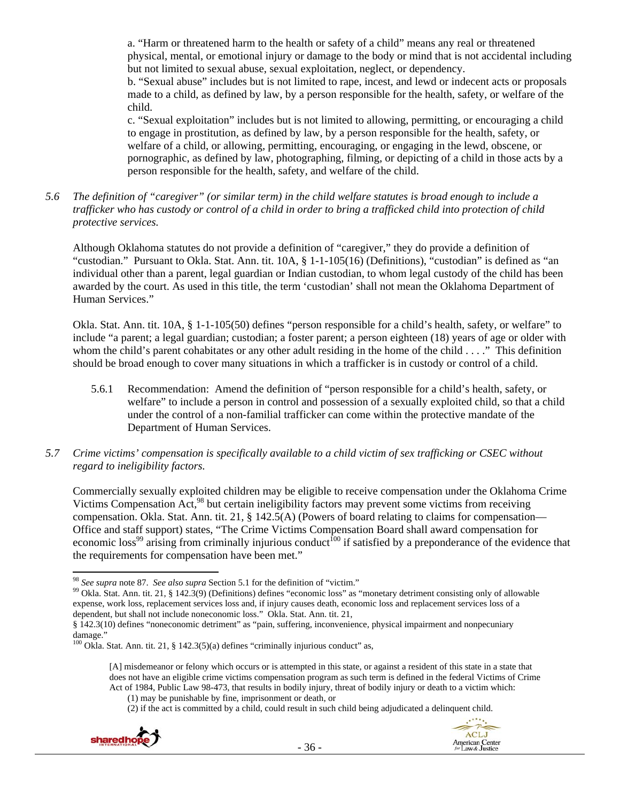a. "Harm or threatened harm to the health or safety of a child" means any real or threatened physical, mental, or emotional injury or damage to the body or mind that is not accidental including but not limited to sexual abuse, sexual exploitation, neglect, or dependency.

b. "Sexual abuse" includes but is not limited to rape, incest, and lewd or indecent acts or proposals made to a child, as defined by law, by a person responsible for the health, safety, or welfare of the child.

c. "Sexual exploitation" includes but is not limited to allowing, permitting, or encouraging a child to engage in prostitution, as defined by law, by a person responsible for the health, safety, or welfare of a child, or allowing, permitting, encouraging, or engaging in the lewd, obscene, or pornographic, as defined by law, photographing, filming, or depicting of a child in those acts by a person responsible for the health, safety, and welfare of the child.

*5.6 The definition of "caregiver" (or similar term) in the child welfare statutes is broad enough to include a trafficker who has custody or control of a child in order to bring a trafficked child into protection of child protective services.* 

Although Oklahoma statutes do not provide a definition of "caregiver," they do provide a definition of "custodian." Pursuant to Okla. Stat. Ann. tit. 10A, § 1-1-105(16) (Definitions), "custodian" is defined as "an individual other than a parent, legal guardian or Indian custodian, to whom legal custody of the child has been awarded by the court. As used in this title, the term 'custodian' shall not mean the Oklahoma Department of Human Services."

Okla. Stat. Ann. tit. 10A, § 1-1-105(50) defines "person responsible for a child's health, safety, or welfare" to include "a parent; a legal guardian; custodian; a foster parent; a person eighteen (18) years of age or older with whom the child's parent cohabitates or any other adult residing in the home of the child . . . ." This definition should be broad enough to cover many situations in which a trafficker is in custody or control of a child.

- 5.6.1 Recommendation: Amend the definition of "person responsible for a child's health, safety, or welfare" to include a person in control and possession of a sexually exploited child, so that a child under the control of a non-familial trafficker can come within the protective mandate of the Department of Human Services.
- *5.7 Crime victims' compensation is specifically available to a child victim of sex trafficking or CSEC without regard to ineligibility factors.*

Commercially sexually exploited children may be eligible to receive compensation under the Oklahoma Crime Victims Compensation Act,<sup>98</sup> but certain ineligibility factors may prevent some victims from receiving compensation. Okla. Stat. Ann. tit. 21, § 142.5(A) (Powers of board relating to claims for compensation— Office and staff support) states, "The Crime Victims Compensation Board shall award compensation for economic loss<sup>99</sup> arising from criminally injurious conduct<sup>100</sup> if satisfied by a preponderance of the evidence that the requirements for compensation have been met."

<sup>(2)</sup> if the act is committed by a child, could result in such child being adjudicated a delinquent child.





<sup>&</sup>lt;sup>98</sup> See supra note 87. See also supra Section 5.1 for the definition of "victim."

<sup>&</sup>lt;sup>99</sup> Okla. Stat. Ann. tit. 21, § 142.3(9) (Definitions) defines "economic loss" as "monetary detriment consisting only of allowable expense, work loss, replacement services loss and, if injury causes death, economic loss and replacement services loss of a dependent, but shall not include noneconomic loss." Okla. Stat. Ann. tit. 21,

<sup>§ 142.3(10)</sup> defines "noneconomic detriment" as "pain, suffering, inconvenience, physical impairment and nonpecuniary damage."

 $100$  Okla. Stat. Ann. tit. 21, § 142.3(5)(a) defines "criminally injurious conduct" as,

<sup>[</sup>A] misdemeanor or felony which occurs or is attempted in this state, or against a resident of this state in a state that does not have an eligible crime victims compensation program as such term is defined in the federal Victims of Crime Act of 1984, Public Law 98-473, that results in bodily injury, threat of bodily injury or death to a victim which:

<sup>(1)</sup> may be punishable by fine, imprisonment or death, or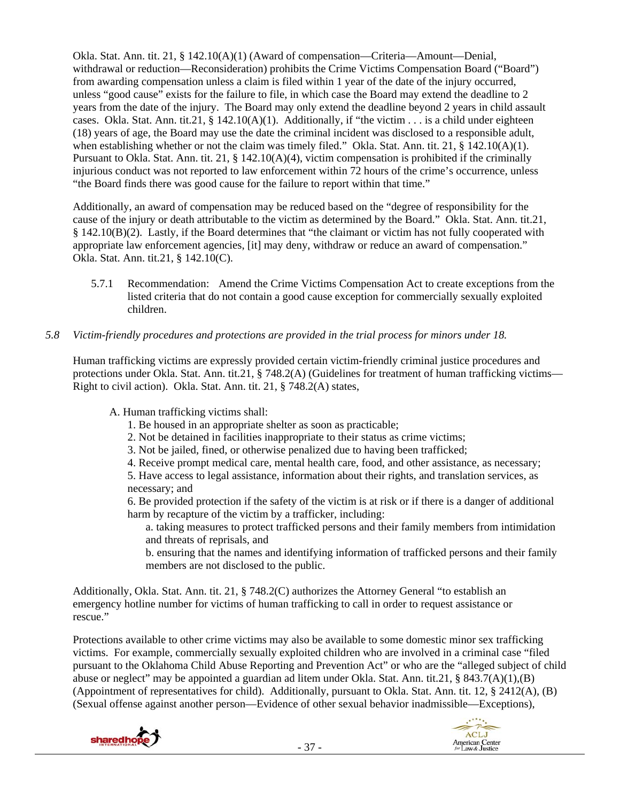Okla. Stat. Ann. tit. 21, § 142.10(A)(1) (Award of compensation—Criteria—Amount—Denial, withdrawal or reduction—Reconsideration) prohibits the Crime Victims Compensation Board ("Board") from awarding compensation unless a claim is filed within 1 year of the date of the injury occurred, unless "good cause" exists for the failure to file, in which case the Board may extend the deadline to 2 years from the date of the injury. The Board may only extend the deadline beyond 2 years in child assault cases. Okla. Stat. Ann. tit.21,  $\S$  142.10(A)(1). Additionally, if "the victim . . . is a child under eighteen (18) years of age, the Board may use the date the criminal incident was disclosed to a responsible adult, when establishing whether or not the claim was timely filed." Okla. Stat. Ann. tit. 21, § 142.10(A)(1). Pursuant to Okla. Stat. Ann. tit. 21, § 142.10(A)(4), victim compensation is prohibited if the criminally injurious conduct was not reported to law enforcement within 72 hours of the crime's occurrence, unless "the Board finds there was good cause for the failure to report within that time."

Additionally, an award of compensation may be reduced based on the "degree of responsibility for the cause of the injury or death attributable to the victim as determined by the Board." Okla. Stat. Ann. tit.21, § 142.10(B)(2). Lastly, if the Board determines that "the claimant or victim has not fully cooperated with appropriate law enforcement agencies, [it] may deny, withdraw or reduce an award of compensation." Okla. Stat. Ann. tit.21, § 142.10(C).

5.7.1 Recommendation: Amend the Crime Victims Compensation Act to create exceptions from the listed criteria that do not contain a good cause exception for commercially sexually exploited children.

## *5.8 Victim-friendly procedures and protections are provided in the trial process for minors under 18.*

Human trafficking victims are expressly provided certain victim-friendly criminal justice procedures and protections under Okla. Stat. Ann. tit.21, § 748.2(A) (Guidelines for treatment of human trafficking victims— Right to civil action). Okla. Stat. Ann. tit. 21, § 748.2(A) states,

A. Human trafficking victims shall:

- 1. Be housed in an appropriate shelter as soon as practicable;
- 2. Not be detained in facilities inappropriate to their status as crime victims;
- 3. Not be jailed, fined, or otherwise penalized due to having been trafficked;
- 4. Receive prompt medical care, mental health care, food, and other assistance, as necessary;

5. Have access to legal assistance, information about their rights, and translation services, as necessary; and

6. Be provided protection if the safety of the victim is at risk or if there is a danger of additional harm by recapture of the victim by a trafficker, including:

a. taking measures to protect trafficked persons and their family members from intimidation and threats of reprisals, and

b. ensuring that the names and identifying information of trafficked persons and their family members are not disclosed to the public.

Additionally, Okla. Stat. Ann. tit. 21, § 748.2(C) authorizes the Attorney General "to establish an emergency hotline number for victims of human trafficking to call in order to request assistance or rescue."

Protections available to other crime victims may also be available to some domestic minor sex trafficking victims. For example, commercially sexually exploited children who are involved in a criminal case "filed pursuant to the Oklahoma Child Abuse Reporting and Prevention Act" or who are the "alleged subject of child abuse or neglect" may be appointed a guardian ad litem under Okla. Stat. Ann. tit.21, § 843.7(A)(1),(B) (Appointment of representatives for child). Additionally, pursuant to Okla. Stat. Ann. tit. 12, § 2412(A), (B) (Sexual offense against another person—Evidence of other sexual behavior inadmissible—Exceptions),



ACLJ

American Center<br>for Law & Justice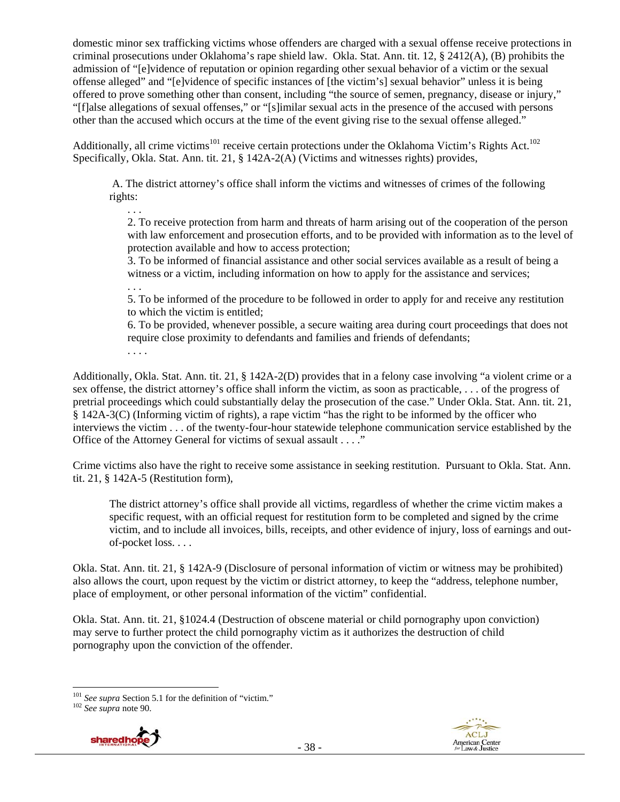domestic minor sex trafficking victims whose offenders are charged with a sexual offense receive protections in criminal prosecutions under Oklahoma's rape shield law. Okla. Stat. Ann. tit. 12, § 2412(A), (B) prohibits the admission of "[e]vidence of reputation or opinion regarding other sexual behavior of a victim or the sexual offense alleged" and "[e]vidence of specific instances of [the victim's] sexual behavior" unless it is being offered to prove something other than consent, including "the source of semen, pregnancy, disease or injury," "[f]alse allegations of sexual offenses," or "[s]imilar sexual acts in the presence of the accused with persons other than the accused which occurs at the time of the event giving rise to the sexual offense alleged."

Additionally, all crime victims<sup>101</sup> receive certain protections under the Oklahoma Victim's Rights Act.<sup>102</sup> Specifically, Okla. Stat. Ann. tit. 21, § 142A-2(A) (Victims and witnesses rights) provides,

 A. The district attorney's office shall inform the victims and witnesses of crimes of the following rights:

. . .

2. To receive protection from harm and threats of harm arising out of the cooperation of the person with law enforcement and prosecution efforts, and to be provided with information as to the level of protection available and how to access protection;

3. To be informed of financial assistance and other social services available as a result of being a witness or a victim, including information on how to apply for the assistance and services;

. . .

5. To be informed of the procedure to be followed in order to apply for and receive any restitution to which the victim is entitled;

6. To be provided, whenever possible, a secure waiting area during court proceedings that does not require close proximity to defendants and families and friends of defendants;

. . . .

Additionally, Okla. Stat. Ann. tit. 21, § 142A-2(D) provides that in a felony case involving "a violent crime or a sex offense, the district attorney's office shall inform the victim, as soon as practicable, . . . of the progress of pretrial proceedings which could substantially delay the prosecution of the case." Under Okla. Stat. Ann. tit. 21, § 142A-3(C) (Informing victim of rights), a rape victim "has the right to be informed by the officer who interviews the victim . . . of the twenty-four-hour statewide telephone communication service established by the Office of the Attorney General for victims of sexual assault . . . ."

Crime victims also have the right to receive some assistance in seeking restitution. Pursuant to Okla. Stat. Ann. tit. 21, § 142A-5 (Restitution form),

The district attorney's office shall provide all victims, regardless of whether the crime victim makes a specific request, with an official request for restitution form to be completed and signed by the crime victim, and to include all invoices, bills, receipts, and other evidence of injury, loss of earnings and outof-pocket loss. . . .

Okla. Stat. Ann. tit. 21, § 142A-9 (Disclosure of personal information of victim or witness may be prohibited) also allows the court, upon request by the victim or district attorney, to keep the "address, telephone number, place of employment, or other personal information of the victim" confidential.

Okla. Stat. Ann. tit. 21, §1024.4 (Destruction of obscene material or child pornography upon conviction) may serve to further protect the child pornography victim as it authorizes the destruction of child pornography upon the conviction of the offender.





<sup>101</sup> *See supra* Section 5.1 for the definition of "victim." 102 *See supra* note 90.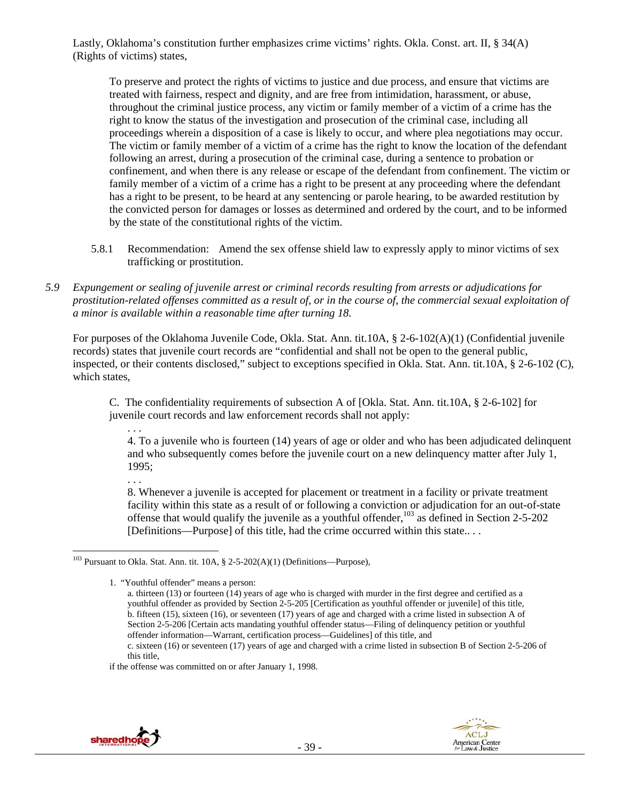Lastly, Oklahoma's constitution further emphasizes crime victims' rights. Okla. Const. art. II, § 34(A) (Rights of victims) states,

To preserve and protect the rights of victims to justice and due process, and ensure that victims are treated with fairness, respect and dignity, and are free from intimidation, harassment, or abuse, throughout the criminal justice process, any victim or family member of a victim of a crime has the right to know the status of the investigation and prosecution of the criminal case, including all proceedings wherein a disposition of a case is likely to occur, and where plea negotiations may occur. The victim or family member of a victim of a crime has the right to know the location of the defendant following an arrest, during a prosecution of the criminal case, during a sentence to probation or confinement, and when there is any release or escape of the defendant from confinement. The victim or family member of a victim of a crime has a right to be present at any proceeding where the defendant has a right to be present, to be heard at any sentencing or parole hearing, to be awarded restitution by the convicted person for damages or losses as determined and ordered by the court, and to be informed by the state of the constitutional rights of the victim.

- 5.8.1 Recommendation: Amend the sex offense shield law to expressly apply to minor victims of sex trafficking or prostitution.
- *5.9 Expungement or sealing of juvenile arrest or criminal records resulting from arrests or adjudications for prostitution-related offenses committed as a result of, or in the course of, the commercial sexual exploitation of a minor is available within a reasonable time after turning 18.*

For purposes of the Oklahoma Juvenile Code, Okla. Stat. Ann. tit.10A, § 2-6-102(A)(1) (Confidential juvenile records) states that juvenile court records are "confidential and shall not be open to the general public, inspected, or their contents disclosed," subject to exceptions specified in Okla. Stat. Ann. tit.10A, § 2-6-102 (C), which states,

C. The confidentiality requirements of subsection A of [Okla. Stat. Ann. tit.10A, § 2-6-102] for juvenile court records and law enforcement records shall not apply:

- . . . 4. To a juvenile who is fourteen (14) years of age or older and who has been adjudicated delinquent and who subsequently comes before the juvenile court on a new delinquency matter after July 1, 1995;
	- . . .

8. Whenever a juvenile is accepted for placement or treatment in a facility or private treatment facility within this state as a result of or following a conviction or adjudication for an out-of-state offense that would qualify the juvenile as a youthful offender,<sup>103</sup> as defined in Section 2-5-202 [Definitions—Purpose] of this title, had the crime occurred within this state.. . .



<sup>&</sup>lt;sup>103</sup> Pursuant to Okla. Stat. Ann. tit. 10A, § 2-5-202(A)(1) (Definitions—Purpose),

<sup>1. &</sup>quot;Youthful offender" means a person:

a. thirteen (13) or fourteen (14) years of age who is charged with murder in the first degree and certified as a youthful offender as provided by Section 2-5-205 [Certification as youthful offender or juvenile] of this title, b. fifteen (15), sixteen (16), or seventeen (17) years of age and charged with a crime listed in subsection A of Section 2-5-206 [Certain acts mandating youthful offender status—Filing of delinquency petition or youthful offender information—Warrant, certification process—Guidelines] of this title, and

c. sixteen (16) or seventeen (17) years of age and charged with a crime listed in subsection B of Section 2-5-206 of this title,

if the offense was committed on or after January 1, 1998.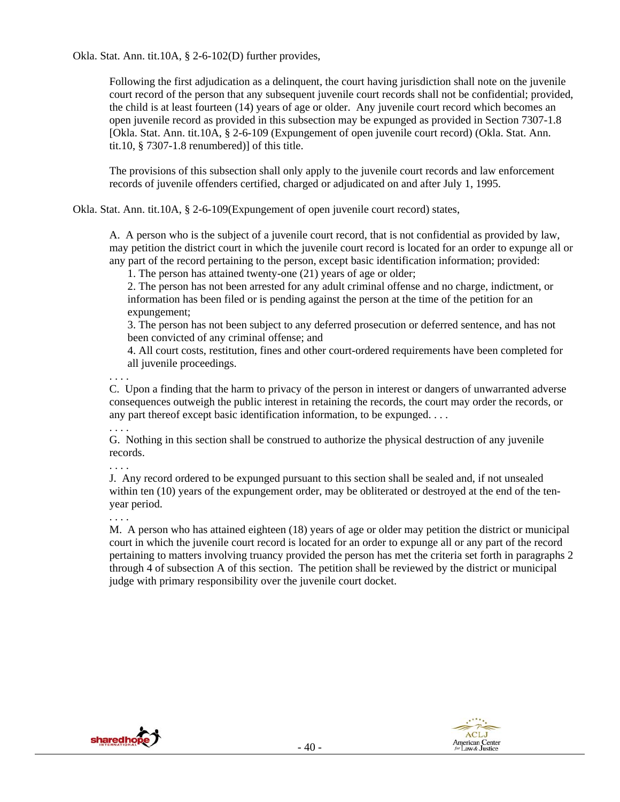Okla. Stat. Ann. tit.10A, § 2-6-102(D) further provides,

Following the first adjudication as a delinquent, the court having jurisdiction shall note on the juvenile court record of the person that any subsequent juvenile court records shall not be confidential; provided, the child is at least fourteen (14) years of age or older. Any juvenile court record which becomes an open juvenile record as provided in this subsection may be expunged as provided in Section 7307-1.8 [Okla. Stat. Ann. tit.10A, § 2-6-109 (Expungement of open juvenile court record) (Okla. Stat. Ann. tit.10, § 7307-1.8 renumbered)] of this title.

The provisions of this subsection shall only apply to the juvenile court records and law enforcement records of juvenile offenders certified, charged or adjudicated on and after July 1, 1995.

Okla. Stat. Ann. tit.10A, § 2-6-109(Expungement of open juvenile court record) states,

A. A person who is the subject of a juvenile court record, that is not confidential as provided by law, may petition the district court in which the juvenile court record is located for an order to expunge all or any part of the record pertaining to the person, except basic identification information; provided:

1. The person has attained twenty-one (21) years of age or older;

2. The person has not been arrested for any adult criminal offense and no charge, indictment, or information has been filed or is pending against the person at the time of the petition for an expungement;

3. The person has not been subject to any deferred prosecution or deferred sentence, and has not been convicted of any criminal offense; and

4. All court costs, restitution, fines and other court-ordered requirements have been completed for all juvenile proceedings.

. . . .

C. Upon a finding that the harm to privacy of the person in interest or dangers of unwarranted adverse consequences outweigh the public interest in retaining the records, the court may order the records, or any part thereof except basic identification information, to be expunged. . . .

. . . .

G. Nothing in this section shall be construed to authorize the physical destruction of any juvenile records.

. . . .

J. Any record ordered to be expunged pursuant to this section shall be sealed and, if not unsealed within ten (10) years of the expungement order, may be obliterated or destroyed at the end of the tenyear period.

. . . .

M. A person who has attained eighteen (18) years of age or older may petition the district or municipal court in which the juvenile court record is located for an order to expunge all or any part of the record pertaining to matters involving truancy provided the person has met the criteria set forth in paragraphs 2 through 4 of subsection A of this section. The petition shall be reviewed by the district or municipal judge with primary responsibility over the juvenile court docket.

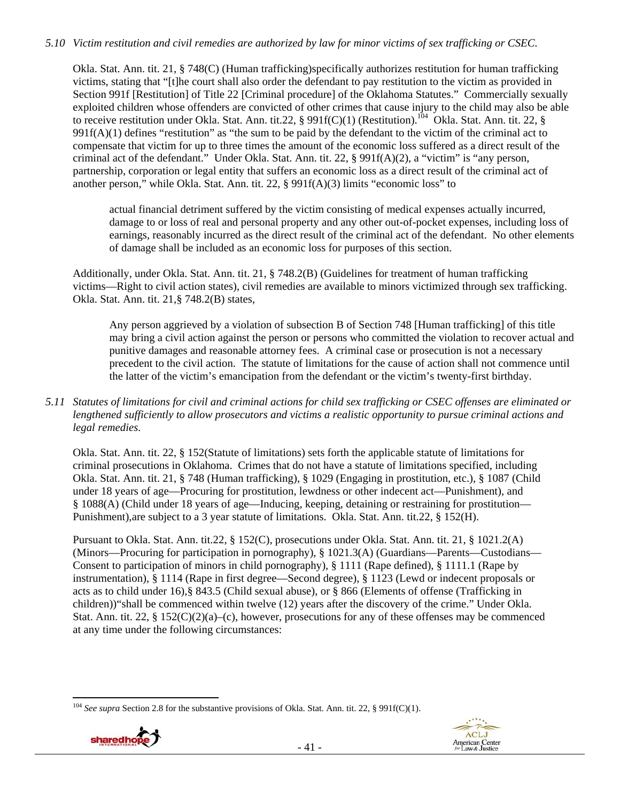## *5.10 Victim restitution and civil remedies are authorized by law for minor victims of sex trafficking or CSEC.*

Okla. Stat. Ann. tit. 21, § 748(C) (Human trafficking)specifically authorizes restitution for human trafficking victims, stating that "[t]he court shall also order the defendant to pay restitution to the victim as provided in Section 991f [Restitution] of Title 22 [Criminal procedure] of the Oklahoma Statutes." Commercially sexually exploited children whose offenders are convicted of other crimes that cause injury to the child may also be able to receive restitution under Okla. Stat. Ann. tit.22, § 991f(C)(1) (Restitution).<sup>104</sup> Okla. Stat. Ann. tit. 22, §  $991f(A)(1)$  defines "restitution" as "the sum to be paid by the defendant to the victim of the criminal act to compensate that victim for up to three times the amount of the economic loss suffered as a direct result of the criminal act of the defendant." Under Okla. Stat. Ann. tit. 22, § 991f(A)(2), a "victim" is "any person, partnership, corporation or legal entity that suffers an economic loss as a direct result of the criminal act of another person," while Okla. Stat. Ann. tit. 22, § 991f(A)(3) limits "economic loss" to

actual financial detriment suffered by the victim consisting of medical expenses actually incurred, damage to or loss of real and personal property and any other out-of-pocket expenses, including loss of earnings, reasonably incurred as the direct result of the criminal act of the defendant. No other elements of damage shall be included as an economic loss for purposes of this section.

Additionally, under Okla. Stat. Ann. tit. 21, § 748.2(B) (Guidelines for treatment of human trafficking victims—Right to civil action states), civil remedies are available to minors victimized through sex trafficking. Okla. Stat. Ann. tit. 21,§ 748.2(B) states,

Any person aggrieved by a violation of subsection B of Section 748 [Human trafficking] of this title may bring a civil action against the person or persons who committed the violation to recover actual and punitive damages and reasonable attorney fees. A criminal case or prosecution is not a necessary precedent to the civil action. The statute of limitations for the cause of action shall not commence until the latter of the victim's emancipation from the defendant or the victim's twenty-first birthday.

*5.11 Statutes of limitations for civil and criminal actions for child sex trafficking or CSEC offenses are eliminated or lengthened sufficiently to allow prosecutors and victims a realistic opportunity to pursue criminal actions and legal remedies.* 

Okla. Stat. Ann. tit. 22, § 152(Statute of limitations) sets forth the applicable statute of limitations for criminal prosecutions in Oklahoma. Crimes that do not have a statute of limitations specified, including Okla. Stat. Ann. tit. 21, § 748 (Human trafficking), § 1029 (Engaging in prostitution, etc.), § 1087 (Child under 18 years of age—Procuring for prostitution, lewdness or other indecent act—Punishment), and § 1088(A) (Child under 18 years of age—Inducing, keeping, detaining or restraining for prostitution— Punishment),are subject to a 3 year statute of limitations. Okla. Stat. Ann. tit.22, § 152(H).

Pursuant to Okla. Stat. Ann. tit.22, § 152(C), prosecutions under Okla. Stat. Ann. tit. 21, § 1021.2(A) (Minors—Procuring for participation in pornography), § 1021.3(A) (Guardians—Parents—Custodians— Consent to participation of minors in child pornography), § 1111 (Rape defined), § 1111.1 (Rape by instrumentation), § 1114 (Rape in first degree—Second degree), § 1123 (Lewd or indecent proposals or acts as to child under 16),§ 843.5 (Child sexual abuse), or § 866 (Elements of offense (Trafficking in children))"shall be commenced within twelve (12) years after the discovery of the crime." Under Okla. Stat. Ann. tit. 22, §  $152(C)(2)(a)-(c)$ , however, prosecutions for any of these offenses may be commenced at any time under the following circumstances:

 <sup>104</sup> *See supra* Section 2.8 for the substantive provisions of Okla. Stat. Ann. tit. 22, § 991f(C)(1).



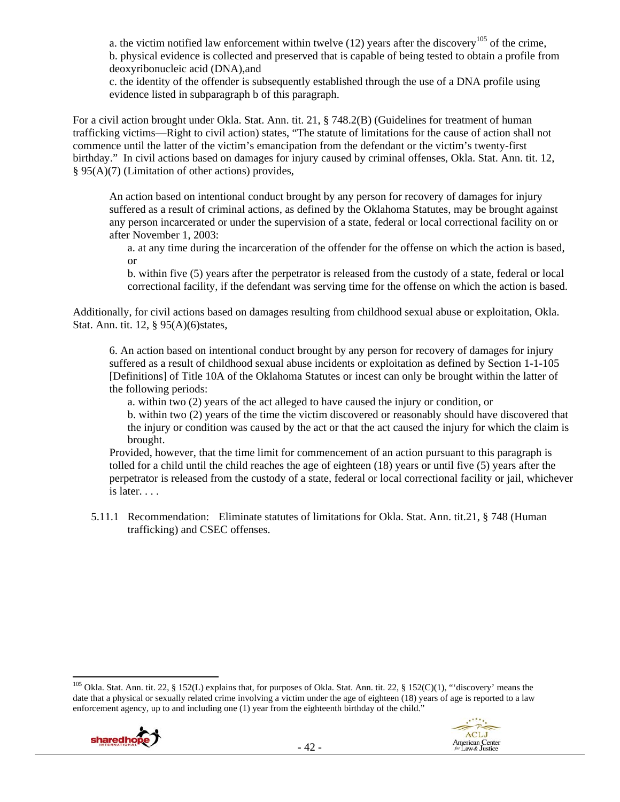a. the victim notified law enforcement within twelve  $(12)$  years after the discovery<sup>105</sup> of the crime, b. physical evidence is collected and preserved that is capable of being tested to obtain a profile from deoxyribonucleic acid (DNA),and

c. the identity of the offender is subsequently established through the use of a DNA profile using evidence listed in subparagraph b of this paragraph.

For a civil action brought under Okla. Stat. Ann. tit. 21, § 748.2(B) (Guidelines for treatment of human trafficking victims—Right to civil action) states, "The statute of limitations for the cause of action shall not commence until the latter of the victim's emancipation from the defendant or the victim's twenty-first birthday." In civil actions based on damages for injury caused by criminal offenses, Okla. Stat. Ann. tit. 12, § 95(A)(7) (Limitation of other actions) provides,

An action based on intentional conduct brought by any person for recovery of damages for injury suffered as a result of criminal actions, as defined by the Oklahoma Statutes, may be brought against any person incarcerated or under the supervision of a state, federal or local correctional facility on or after November 1, 2003:

a. at any time during the incarceration of the offender for the offense on which the action is based, or

b. within five (5) years after the perpetrator is released from the custody of a state, federal or local correctional facility, if the defendant was serving time for the offense on which the action is based.

Additionally, for civil actions based on damages resulting from childhood sexual abuse or exploitation, Okla. Stat. Ann. tit. 12, § 95(A)(6)states,

6. An action based on intentional conduct brought by any person for recovery of damages for injury suffered as a result of childhood sexual abuse incidents or exploitation as defined by Section 1-1-105 [Definitions] of Title 10A of the Oklahoma Statutes or incest can only be brought within the latter of the following periods:

a. within two (2) years of the act alleged to have caused the injury or condition, or

b. within two (2) years of the time the victim discovered or reasonably should have discovered that the injury or condition was caused by the act or that the act caused the injury for which the claim is brought.

Provided, however, that the time limit for commencement of an action pursuant to this paragraph is tolled for a child until the child reaches the age of eighteen (18) years or until five (5) years after the perpetrator is released from the custody of a state, federal or local correctional facility or jail, whichever is later. . . .

5.11.1 Recommendation: Eliminate statutes of limitations for Okla. Stat. Ann. tit.21, § 748 (Human trafficking) and CSEC offenses.

<sup>&</sup>lt;sup>105</sup> Okla. Stat. Ann. tit. 22, § 152(L) explains that, for purposes of Okla. Stat. Ann. tit. 22, § 152(C)(1), "'discovery' means the date that a physical or sexually related crime involving a victim under the age of eighteen (18) years of age is reported to a law enforcement agency, up to and including one (1) year from the eighteenth birthday of the child."

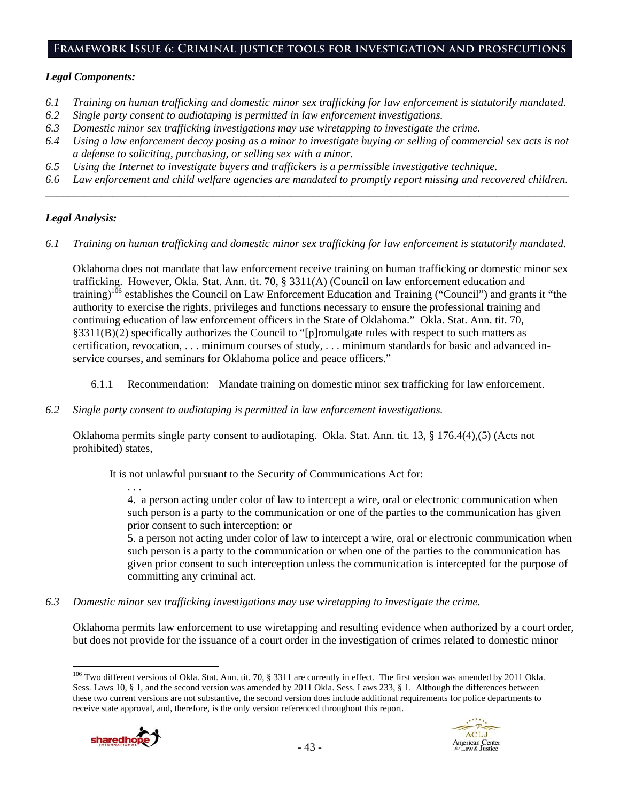#### **Framework Issue 6: Criminal justice tools for investigation and prosecutions**

#### *Legal Components:*

- *6.1 Training on human trafficking and domestic minor sex trafficking for law enforcement is statutorily mandated.*
- *6.2 Single party consent to audiotaping is permitted in law enforcement investigations.*
- *6.3 Domestic minor sex trafficking investigations may use wiretapping to investigate the crime.*
- *6.4 Using a law enforcement decoy posing as a minor to investigate buying or selling of commercial sex acts is not a defense to soliciting, purchasing, or selling sex with a minor.*
- *6.5 Using the Internet to investigate buyers and traffickers is a permissible investigative technique.*
- *6.6 Law enforcement and child welfare agencies are mandated to promptly report missing and recovered children. \_\_\_\_\_\_\_\_\_\_\_\_\_\_\_\_\_\_\_\_\_\_\_\_\_\_\_\_\_\_\_\_\_\_\_\_\_\_\_\_\_\_\_\_\_\_\_\_\_\_\_\_\_\_\_\_\_\_\_\_\_\_\_\_\_\_\_\_\_\_\_\_\_\_\_\_\_\_\_\_\_\_\_\_\_\_\_\_\_\_\_\_\_\_*

#### *Legal Analysis:*

*6.1 Training on human trafficking and domestic minor sex trafficking for law enforcement is statutorily mandated.* 

Oklahoma does not mandate that law enforcement receive training on human trafficking or domestic minor sex trafficking. However, Okla. Stat. Ann. tit. 70, § 3311(A) (Council on law enforcement education and training)<sup>106</sup> establishes the Council on Law Enforcement Education and Training ("Council") and grants it "the authority to exercise the rights, privileges and functions necessary to ensure the professional training and continuing education of law enforcement officers in the State of Oklahoma." Okla. Stat. Ann. tit. 70, §3311(B)(2) specifically authorizes the Council to "[p]romulgate rules with respect to such matters as certification, revocation, . . . minimum courses of study, . . . minimum standards for basic and advanced inservice courses, and seminars for Oklahoma police and peace officers."

- 6.1.1 Recommendation: Mandate training on domestic minor sex trafficking for law enforcement.
- *6.2 Single party consent to audiotaping is permitted in law enforcement investigations.*

Oklahoma permits single party consent to audiotaping. Okla. Stat. Ann. tit. 13, § 176.4(4),(5) (Acts not prohibited) states,

It is not unlawful pursuant to the Security of Communications Act for:

. . . 4. a person acting under color of law to intercept a wire, oral or electronic communication when such person is a party to the communication or one of the parties to the communication has given prior consent to such interception; or

5. a person not acting under color of law to intercept a wire, oral or electronic communication when such person is a party to the communication or when one of the parties to the communication has given prior consent to such interception unless the communication is intercepted for the purpose of committing any criminal act.

*6.3 Domestic minor sex trafficking investigations may use wiretapping to investigate the crime.* 

Oklahoma permits law enforcement to use wiretapping and resulting evidence when authorized by a court order, but does not provide for the issuance of a court order in the investigation of crimes related to domestic minor

 <sup>106</sup> Two different versions of Okla. Stat. Ann. tit. 70, § 3311 are currently in effect. The first version was amended by 2011 Okla. Sess. Laws 10, § 1, and the second version was amended by 2011 Okla. Sess. Laws 233, § 1. Although the differences between these two current versions are not substantive, the second version does include additional requirements for police departments to receive state approval, and, therefore, is the only version referenced throughout this report.

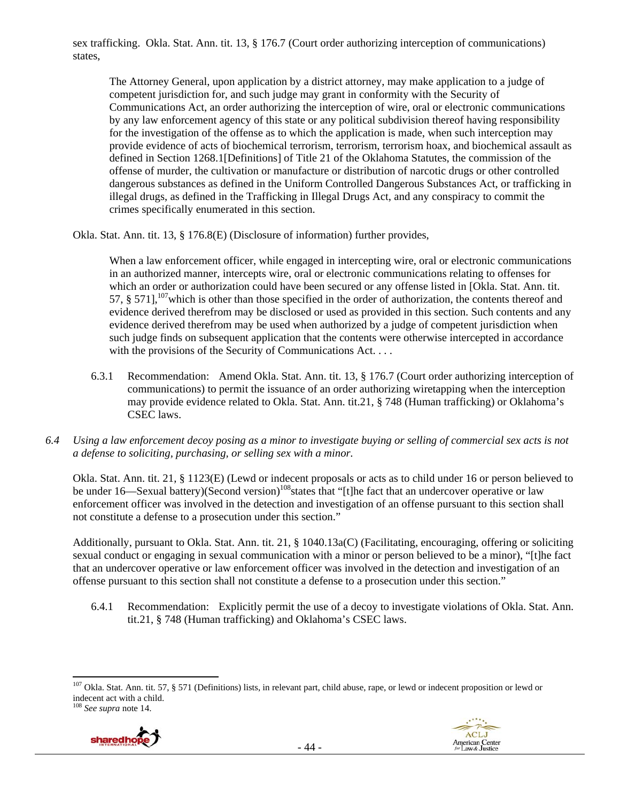sex trafficking. Okla. Stat. Ann. tit. 13, § 176.7 (Court order authorizing interception of communications) states,

The Attorney General, upon application by a district attorney, may make application to a judge of competent jurisdiction for, and such judge may grant in conformity with the Security of Communications Act, an order authorizing the interception of wire, oral or electronic communications by any law enforcement agency of this state or any political subdivision thereof having responsibility for the investigation of the offense as to which the application is made, when such interception may provide evidence of acts of biochemical terrorism, terrorism, terrorism hoax, and biochemical assault as defined in Section 1268.1[Definitions] of Title 21 of the Oklahoma Statutes, the commission of the offense of murder, the cultivation or manufacture or distribution of narcotic drugs or other controlled dangerous substances as defined in the Uniform Controlled Dangerous Substances Act, or trafficking in illegal drugs, as defined in the Trafficking in Illegal Drugs Act, and any conspiracy to commit the crimes specifically enumerated in this section.

Okla. Stat. Ann. tit. 13, § 176.8(E) (Disclosure of information) further provides,

When a law enforcement officer, while engaged in intercepting wire, oral or electronic communications in an authorized manner, intercepts wire, oral or electronic communications relating to offenses for which an order or authorization could have been secured or any offense listed in [Okla. Stat. Ann. tit. 57,  $§$  571], <sup>107</sup>which is other than those specified in the order of authorization, the contents thereof and evidence derived therefrom may be disclosed or used as provided in this section. Such contents and any evidence derived therefrom may be used when authorized by a judge of competent jurisdiction when such judge finds on subsequent application that the contents were otherwise intercepted in accordance with the provisions of the Security of Communications Act. . . .

- 6.3.1 Recommendation: Amend Okla. Stat. Ann. tit. 13, § 176.7 (Court order authorizing interception of communications) to permit the issuance of an order authorizing wiretapping when the interception may provide evidence related to Okla. Stat. Ann. tit.21, § 748 (Human trafficking) or Oklahoma's CSEC laws.
- *6.4 Using a law enforcement decoy posing as a minor to investigate buying or selling of commercial sex acts is not a defense to soliciting, purchasing, or selling sex with a minor.*

Okla. Stat. Ann. tit. 21, § 1123(E) (Lewd or indecent proposals or acts as to child under 16 or person believed to be under 16—Sexual battery)(Second version)<sup>108</sup> states that "[t]he fact that an undercover operative or law enforcement officer was involved in the detection and investigation of an offense pursuant to this section shall not constitute a defense to a prosecution under this section."

Additionally, pursuant to Okla. Stat. Ann. tit. 21, § 1040.13a(C) (Facilitating, encouraging, offering or soliciting sexual conduct or engaging in sexual communication with a minor or person believed to be a minor), "[t]he fact that an undercover operative or law enforcement officer was involved in the detection and investigation of an offense pursuant to this section shall not constitute a defense to a prosecution under this section."

6.4.1 Recommendation: Explicitly permit the use of a decoy to investigate violations of Okla. Stat. Ann. tit.21, § 748 (Human trafficking) and Oklahoma's CSEC laws.

<sup>108</sup> *See supra* note 14.





  $107$  Okla. Stat. Ann. tit. 57, § 571 (Definitions) lists, in relevant part, child abuse, rape, or lewd or indecent proposition or lewd or indecent act with a child.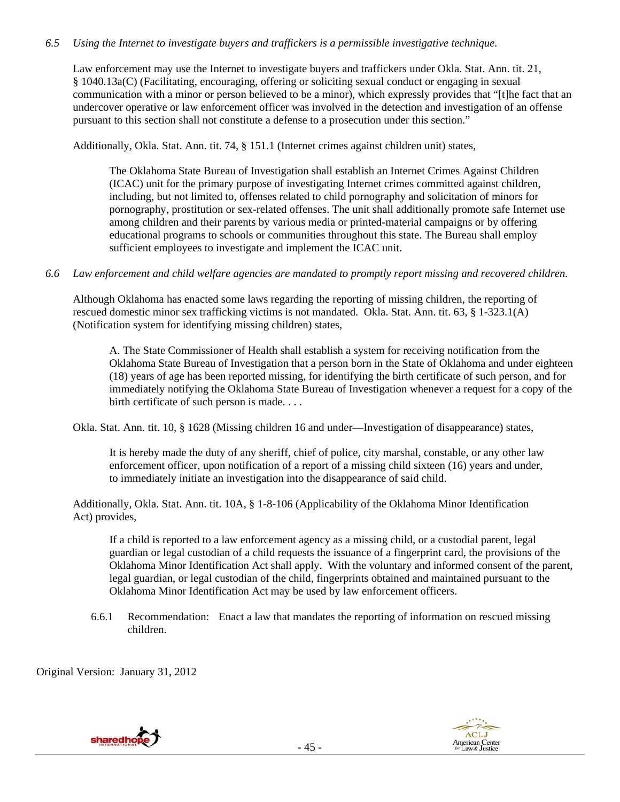## *6.5 Using the Internet to investigate buyers and traffickers is a permissible investigative technique.*

Law enforcement may use the Internet to investigate buyers and traffickers under Okla. Stat. Ann. tit. 21, § 1040.13a(C) (Facilitating, encouraging, offering or soliciting sexual conduct or engaging in sexual communication with a minor or person believed to be a minor), which expressly provides that "[t]he fact that an undercover operative or law enforcement officer was involved in the detection and investigation of an offense pursuant to this section shall not constitute a defense to a prosecution under this section."

Additionally, Okla. Stat. Ann. tit. 74, § 151.1 (Internet crimes against children unit) states,

The Oklahoma State Bureau of Investigation shall establish an Internet Crimes Against Children (ICAC) unit for the primary purpose of investigating Internet crimes committed against children, including, but not limited to, offenses related to child pornography and solicitation of minors for pornography, prostitution or sex-related offenses. The unit shall additionally promote safe Internet use among children and their parents by various media or printed-material campaigns or by offering educational programs to schools or communities throughout this state. The Bureau shall employ sufficient employees to investigate and implement the ICAC unit.

#### *6.6 Law enforcement and child welfare agencies are mandated to promptly report missing and recovered children.*

Although Oklahoma has enacted some laws regarding the reporting of missing children, the reporting of rescued domestic minor sex trafficking victims is not mandated. Okla. Stat. Ann. tit. 63, § 1-323.1(A) (Notification system for identifying missing children) states,

A. The State Commissioner of Health shall establish a system for receiving notification from the Oklahoma State Bureau of Investigation that a person born in the State of Oklahoma and under eighteen (18) years of age has been reported missing, for identifying the birth certificate of such person, and for immediately notifying the Oklahoma State Bureau of Investigation whenever a request for a copy of the birth certificate of such person is made. . . .

Okla. Stat. Ann. tit. 10, § 1628 (Missing children 16 and under—Investigation of disappearance) states,

It is hereby made the duty of any sheriff, chief of police, city marshal, constable, or any other law enforcement officer, upon notification of a report of a missing child sixteen (16) years and under, to immediately initiate an investigation into the disappearance of said child.

Additionally, Okla. Stat. Ann. tit. 10A, § 1-8-106 (Applicability of the Oklahoma Minor Identification Act) provides,

If a child is reported to a law enforcement agency as a missing child, or a custodial parent, legal guardian or legal custodian of a child requests the issuance of a fingerprint card, the provisions of the Oklahoma Minor Identification Act shall apply. With the voluntary and informed consent of the parent, legal guardian, or legal custodian of the child, fingerprints obtained and maintained pursuant to the Oklahoma Minor Identification Act may be used by law enforcement officers.

6.6.1 Recommendation: Enact a law that mandates the reporting of information on rescued missing children.

Original Version: January 31, 2012